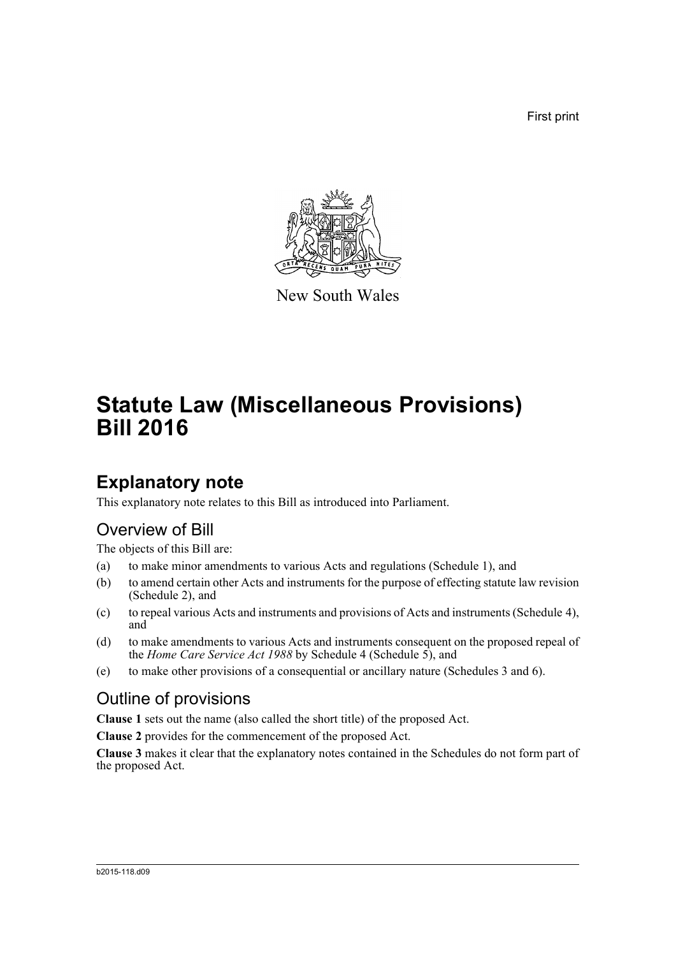First print



New South Wales

# **Statute Law (Miscellaneous Provisions) Bill 2016**

# **Explanatory note**

This explanatory note relates to this Bill as introduced into Parliament.

# Overview of Bill

The objects of this Bill are:

- (a) to make minor amendments to various Acts and regulations (Schedule 1), and
- (b) to amend certain other Acts and instruments for the purpose of effecting statute law revision (Schedule 2), and
- (c) to repeal various Acts and instruments and provisions of Acts and instruments (Schedule 4), and
- (d) to make amendments to various Acts and instruments consequent on the proposed repeal of the *Home Care Service Act 1988* by Schedule 4 (Schedule 5), and
- (e) to make other provisions of a consequential or ancillary nature (Schedules 3 and 6).

# Outline of provisions

**Clause 1** sets out the name (also called the short title) of the proposed Act.

**Clause 2** provides for the commencement of the proposed Act.

**Clause 3** makes it clear that the explanatory notes contained in the Schedules do not form part of the proposed Act.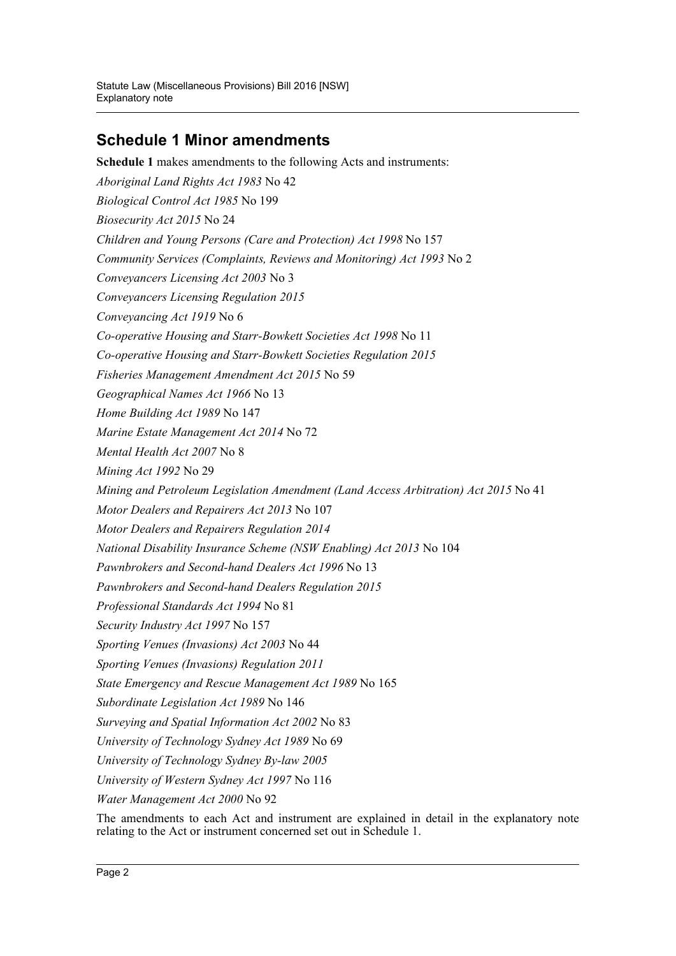# **Schedule 1 Minor amendments**

**Schedule 1** makes amendments to the following Acts and instruments: *Aboriginal Land Rights Act 1983* No 42 *Biological Control Act 1985* No 199 *Biosecurity Act 2015* No 24 *Children and Young Persons (Care and Protection) Act 1998* No 157 *Community Services (Complaints, Reviews and Monitoring) Act 1993* No 2 *Conveyancers Licensing Act 2003* No 3 *Conveyancers Licensing Regulation 2015 Conveyancing Act 1919* No 6 *Co-operative Housing and Starr-Bowkett Societies Act 1998* No 11 *Co-operative Housing and Starr-Bowkett Societies Regulation 2015 Fisheries Management Amendment Act 2015* No 59 *Geographical Names Act 1966* No 13 *Home Building Act 1989* No 147 *Marine Estate Management Act 2014* No 72 *Mental Health Act 2007* No 8 *Mining Act 1992* No 29 *Mining and Petroleum Legislation Amendment (Land Access Arbitration) Act 2015* No 41 *Motor Dealers and Repairers Act 2013* No 107 *Motor Dealers and Repairers Regulation 2014 National Disability Insurance Scheme (NSW Enabling) Act 2013* No 104 *Pawnbrokers and Second-hand Dealers Act 1996* No 13 *Pawnbrokers and Second-hand Dealers Regulation 2015 Professional Standards Act 1994* No 81 *Security Industry Act 1997* No 157 *Sporting Venues (Invasions) Act 2003* No 44 *Sporting Venues (Invasions) Regulation 2011 State Emergency and Rescue Management Act 1989* No 165 *Subordinate Legislation Act 1989* No 146 *Surveying and Spatial Information Act 2002* No 83 *University of Technology Sydney Act 1989* No 69 *University of Technology Sydney By-law 2005 University of Western Sydney Act 1997* No 116 *Water Management Act 2000* No 92

The amendments to each Act and instrument are explained in detail in the explanatory note relating to the Act or instrument concerned set out in Schedule 1.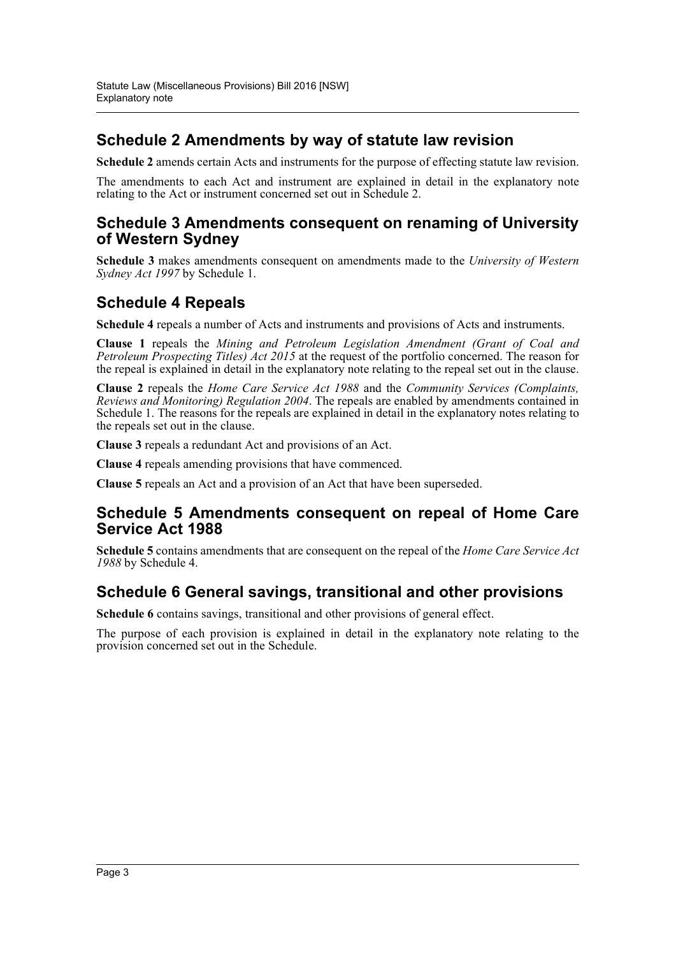# **Schedule 2 Amendments by way of statute law revision**

**Schedule 2** amends certain Acts and instruments for the purpose of effecting statute law revision.

The amendments to each Act and instrument are explained in detail in the explanatory note relating to the Act or instrument concerned set out in Schedule 2.

# **Schedule 3 Amendments consequent on renaming of University of Western Sydney**

**Schedule 3** makes amendments consequent on amendments made to the *University of Western Sydney Act 1997* by Schedule 1.

# **Schedule 4 Repeals**

**Schedule 4** repeals a number of Acts and instruments and provisions of Acts and instruments.

**Clause 1** repeals the *Mining and Petroleum Legislation Amendment (Grant of Coal and Petroleum Prospecting Titles) Act 2015* at the request of the portfolio concerned. The reason for the repeal is explained in detail in the explanatory note relating to the repeal set out in the clause.

**Clause 2** repeals the *Home Care Service Act 1988* and the *Community Services (Complaints, Reviews and Monitoring) Regulation 2004*. The repeals are enabled by amendments contained in Schedule 1. The reasons for the repeals are explained in detail in the explanatory notes relating to the repeals set out in the clause.

**Clause 3** repeals a redundant Act and provisions of an Act.

**Clause 4** repeals amending provisions that have commenced.

**Clause 5** repeals an Act and a provision of an Act that have been superseded.

## **Schedule 5 Amendments consequent on repeal of Home Care Service Act 1988**

**Schedule 5** contains amendments that are consequent on the repeal of the *Home Care Service Act 1988* by Schedule 4.

# **Schedule 6 General savings, transitional and other provisions**

**Schedule 6** contains savings, transitional and other provisions of general effect.

The purpose of each provision is explained in detail in the explanatory note relating to the provision concerned set out in the Schedule.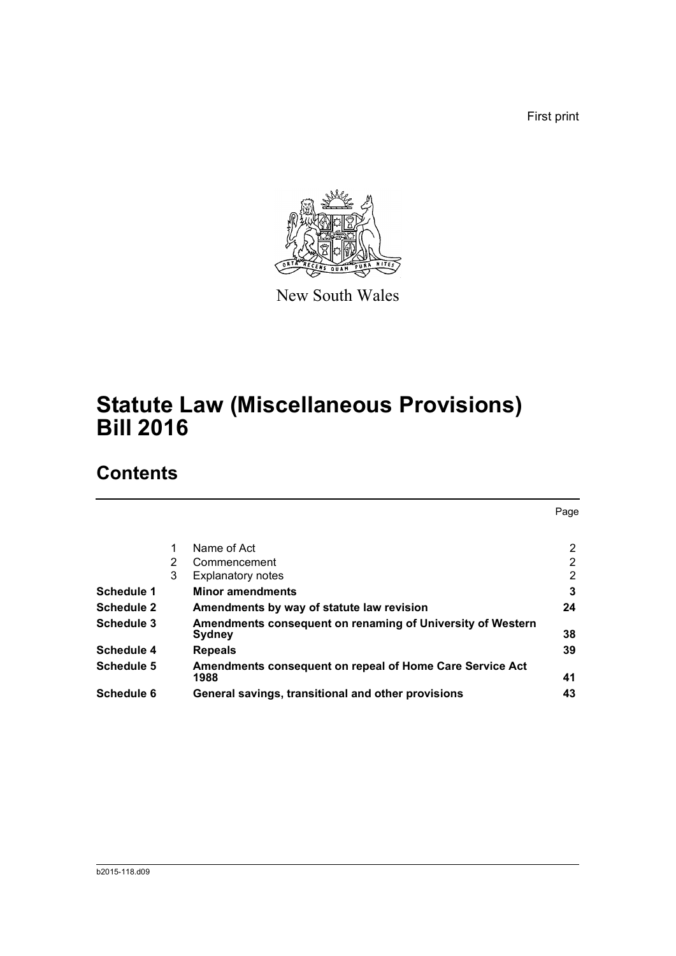First print



New South Wales

# **Statute Law (Miscellaneous Provisions) Bill 2016**

# **Contents**

|                   |   |                                                                      | Page |
|-------------------|---|----------------------------------------------------------------------|------|
|                   | 1 | Name of Act                                                          | 2    |
|                   | 2 | Commencement                                                         | 2    |
|                   | 3 | <b>Explanatory notes</b>                                             | 2    |
| Schedule 1        |   | <b>Minor amendments</b>                                              | 3    |
| <b>Schedule 2</b> |   | Amendments by way of statute law revision                            | 24   |
| Schedule 3        |   | Amendments consequent on renaming of University of Western<br>Sydney | 38   |
| Schedule 4        |   | <b>Repeals</b>                                                       | 39   |
| Schedule 5        |   | Amendments consequent on repeal of Home Care Service Act<br>1988     | 41   |
| Schedule 6        |   | General savings, transitional and other provisions                   | 43   |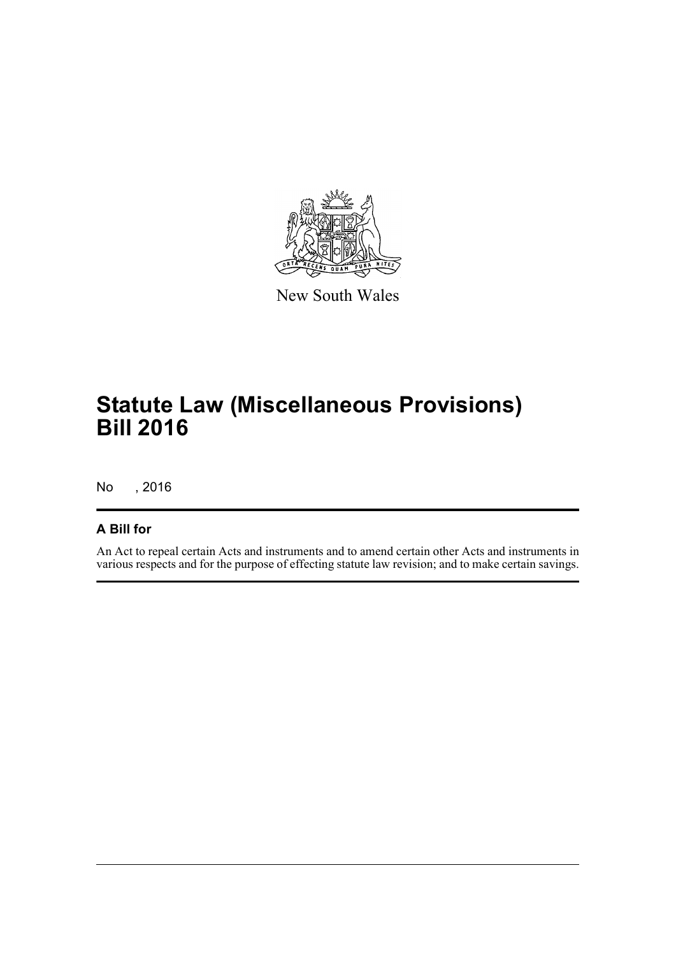

New South Wales

# **Statute Law (Miscellaneous Provisions) Bill 2016**

No , 2016

## **A Bill for**

An Act to repeal certain Acts and instruments and to amend certain other Acts and instruments in various respects and for the purpose of effecting statute law revision; and to make certain savings.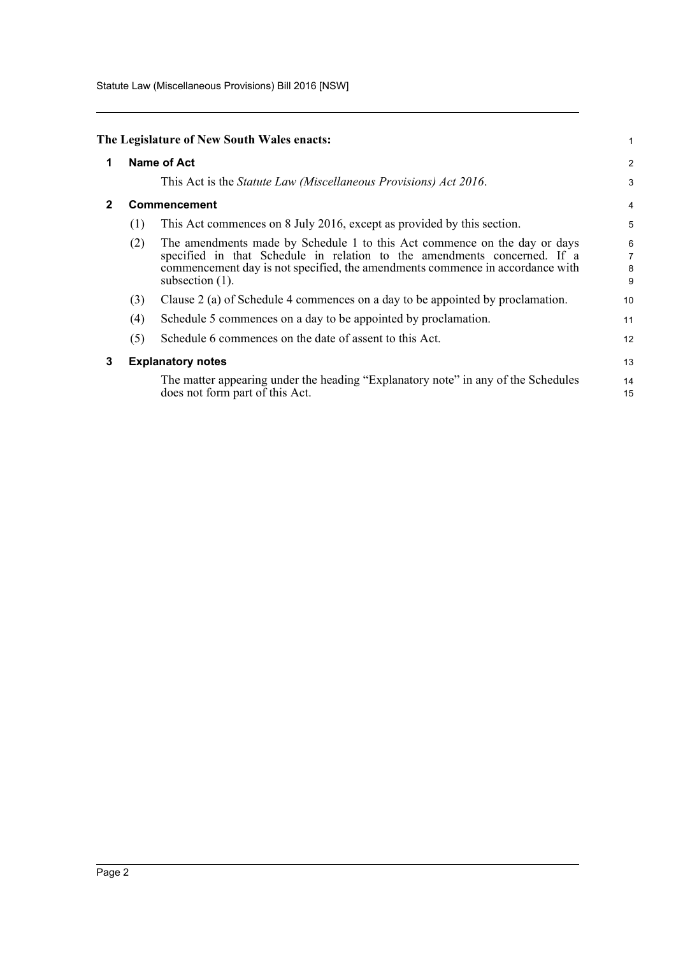Statute Law (Miscellaneous Provisions) Bill 2016 [NSW]

<span id="page-5-2"></span><span id="page-5-1"></span><span id="page-5-0"></span>

|              |              | The Legislature of New South Wales enacts:                                                                                                                                                                                                                   | 1                |
|--------------|--------------|--------------------------------------------------------------------------------------------------------------------------------------------------------------------------------------------------------------------------------------------------------------|------------------|
| 1            |              | Name of Act                                                                                                                                                                                                                                                  | $\overline{c}$   |
|              |              | This Act is the <i>Statute Law (Miscellaneous Provisions) Act 2016</i> .                                                                                                                                                                                     | 3                |
| $\mathbf{2}$ | Commencement |                                                                                                                                                                                                                                                              |                  |
|              | (1)          | This Act commences on 8 July 2016, except as provided by this section.                                                                                                                                                                                       | 5                |
|              | (2)          | The amendments made by Schedule 1 to this Act commence on the day or days<br>specified in that Schedule in relation to the amendments concerned. If a<br>commencement day is not specified, the amendments commence in accordance with<br>subsection $(1)$ . | 6<br>7<br>8<br>9 |
|              | (3)          | Clause 2 (a) of Schedule 4 commences on a day to be appointed by proclamation.                                                                                                                                                                               | 10               |
|              | (4)          | Schedule 5 commences on a day to be appointed by proclamation.                                                                                                                                                                                               | 11               |
|              | (5)          | Schedule 6 commences on the date of assent to this Act.                                                                                                                                                                                                      | 12               |
| 3            |              | <b>Explanatory notes</b>                                                                                                                                                                                                                                     | 13               |
|              |              | The matter appearing under the heading "Explanatory note" in any of the Schedules<br>does not form part of this Act.                                                                                                                                         | 14<br>15         |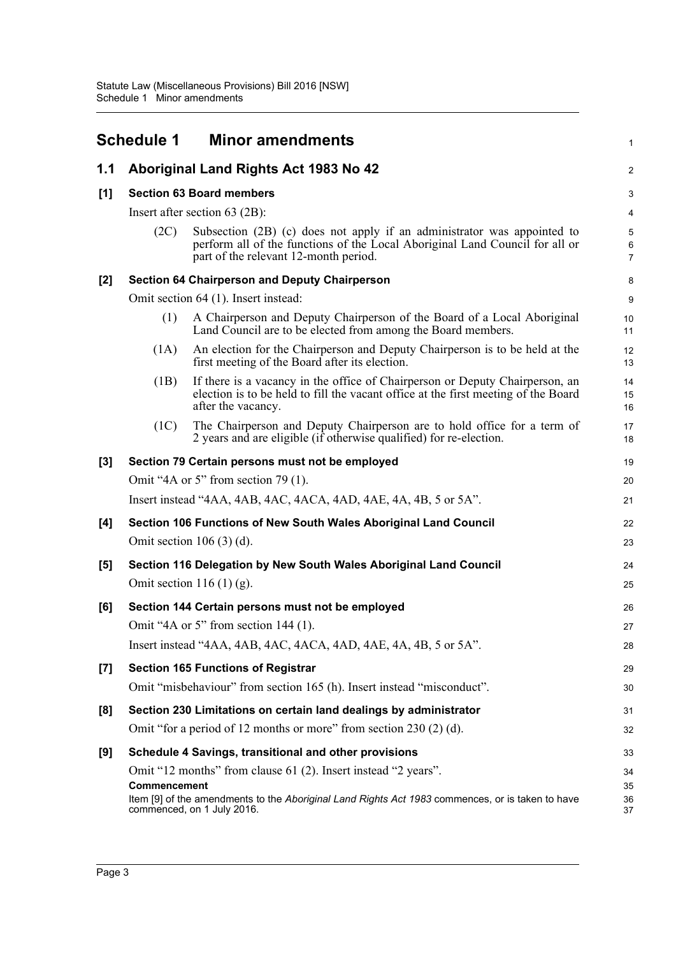<span id="page-6-0"></span>

|       | <b>Schedule 1</b>                                                                                                                                                                                                | <b>Minor amendments</b>                                                                                                                                                                          | 1              |  |  |  |
|-------|------------------------------------------------------------------------------------------------------------------------------------------------------------------------------------------------------------------|--------------------------------------------------------------------------------------------------------------------------------------------------------------------------------------------------|----------------|--|--|--|
| 1.1   |                                                                                                                                                                                                                  | Aboriginal Land Rights Act 1983 No 42                                                                                                                                                            | $\overline{a}$ |  |  |  |
| [1]   |                                                                                                                                                                                                                  | <b>Section 63 Board members</b>                                                                                                                                                                  |                |  |  |  |
|       |                                                                                                                                                                                                                  | Insert after section $63$ (2B):                                                                                                                                                                  | 4              |  |  |  |
|       | (2C)                                                                                                                                                                                                             | Subsection (2B) (c) does not apply if an administrator was appointed to<br>perform all of the functions of the Local Aboriginal Land Council for all or<br>part of the relevant 12-month period. | 5<br>6<br>7    |  |  |  |
| $[2]$ |                                                                                                                                                                                                                  | <b>Section 64 Chairperson and Deputy Chairperson</b>                                                                                                                                             | 8              |  |  |  |
|       |                                                                                                                                                                                                                  | Omit section 64 (1). Insert instead:                                                                                                                                                             | 9              |  |  |  |
|       | (1)                                                                                                                                                                                                              | A Chairperson and Deputy Chairperson of the Board of a Local Aboriginal<br>Land Council are to be elected from among the Board members.                                                          | 10<br>11       |  |  |  |
|       | (1A)                                                                                                                                                                                                             | An election for the Chairperson and Deputy Chairperson is to be held at the<br>first meeting of the Board after its election.                                                                    | 12<br>13       |  |  |  |
|       | (1B)                                                                                                                                                                                                             | If there is a vacancy in the office of Chairperson or Deputy Chairperson, an<br>election is to be held to fill the vacant office at the first meeting of the Board<br>after the vacancy.         | 14<br>15<br>16 |  |  |  |
|       | (1C)                                                                                                                                                                                                             | The Chairperson and Deputy Chairperson are to hold office for a term of<br>2 years and are eligible (if otherwise qualified) for re-election.                                                    | 17<br>18       |  |  |  |
| $[3]$ |                                                                                                                                                                                                                  | Section 79 Certain persons must not be employed                                                                                                                                                  | 19             |  |  |  |
|       |                                                                                                                                                                                                                  | Omit "4A or 5" from section 79 $(1)$ .                                                                                                                                                           | 20             |  |  |  |
|       |                                                                                                                                                                                                                  | Insert instead "4AA, 4AB, 4AC, 4ACA, 4AD, 4AE, 4A, 4B, 5 or 5A".                                                                                                                                 | 21             |  |  |  |
| [4]   |                                                                                                                                                                                                                  | Section 106 Functions of New South Wales Aboriginal Land Council                                                                                                                                 | 22             |  |  |  |
|       |                                                                                                                                                                                                                  | Omit section $106(3)(d)$ .                                                                                                                                                                       | 23             |  |  |  |
| [5]   |                                                                                                                                                                                                                  | Section 116 Delegation by New South Wales Aboriginal Land Council                                                                                                                                | 24             |  |  |  |
|       |                                                                                                                                                                                                                  | Omit section $116(1)(g)$ .                                                                                                                                                                       | 25             |  |  |  |
| [6]   |                                                                                                                                                                                                                  | Section 144 Certain persons must not be employed                                                                                                                                                 | 26             |  |  |  |
|       |                                                                                                                                                                                                                  | Omit "4A or 5" from section $144$ (1).                                                                                                                                                           | 27             |  |  |  |
|       |                                                                                                                                                                                                                  | Insert instead "4AA, 4AB, 4AC, 4ACA, 4AD, 4AE, 4A, 4B, 5 or 5A".                                                                                                                                 | 28             |  |  |  |
| $[7]$ |                                                                                                                                                                                                                  | <b>Section 165 Functions of Registrar</b>                                                                                                                                                        | 29             |  |  |  |
|       |                                                                                                                                                                                                                  | Omit "misbehaviour" from section 165 (h). Insert instead "misconduct".                                                                                                                           | 30             |  |  |  |
| [8]   |                                                                                                                                                                                                                  | Section 230 Limitations on certain land dealings by administrator                                                                                                                                | 31             |  |  |  |
|       |                                                                                                                                                                                                                  | Omit "for a period of 12 months or more" from section 230 (2) (d).                                                                                                                               | 32             |  |  |  |
| [9]   |                                                                                                                                                                                                                  | Schedule 4 Savings, transitional and other provisions                                                                                                                                            | 33             |  |  |  |
|       | Omit "12 months" from clause 61 (2). Insert instead "2 years".<br>Commencement<br>Item [9] of the amendments to the Aboriginal Land Rights Act 1983 commences, or is taken to have<br>commenced, on 1 July 2016. |                                                                                                                                                                                                  |                |  |  |  |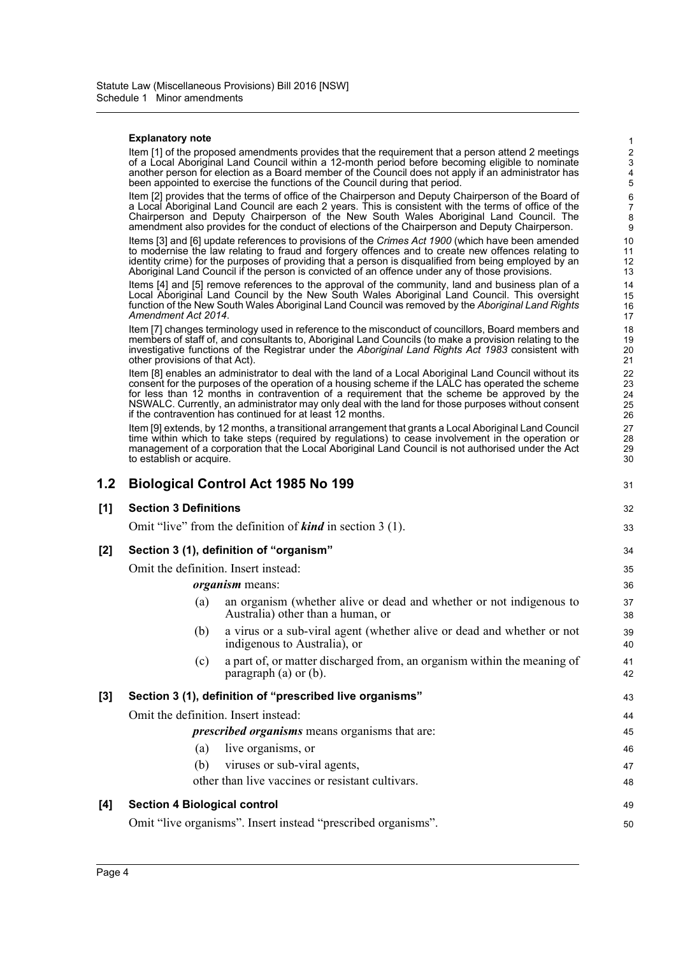#### **Explanatory note**

Item [1] of the proposed amendments provides that the requirement that a person attend 2 meetings of a Local Aboriginal Land Council within a 12-month period before becoming eligible to nominate another person for election as a Board member of the Council does not apply if an administrator has been appointed to exercise the functions of the Council during that period.

Item [2] provides that the terms of office of the Chairperson and Deputy Chairperson of the Board of a Local Aboriginal Land Council are each 2 years. This is consistent with the terms of office of the Chairperson and Deputy Chairperson of the New South Wales Aboriginal Land Council. The amendment also provides for the conduct of elections of the Chairperson and Deputy Chairperson.

Items [3] and [6] update references to provisions of the *Crimes Act 1900* (which have been amended to modernise the law relating to fraud and forgery offences and to create new offences relating to identity crime) for the purposes of providing that a person is disqualified from being employed by an Aboriginal Land Council if the person is convicted of an offence under any of those provisions.

Items [4] and [5] remove references to the approval of the community, land and business plan of a Local Aboriginal Land Council by the New South Wales Aboriginal Land Council. This oversight function of the New South Wales Aboriginal Land Council was removed by the *Aboriginal Land Rights Amendment Act 2014*.

Item [7] changes terminology used in reference to the misconduct of councillors, Board members and members of staff of, and consultants to, Aboriginal Land Councils (to make a provision relating to the investigative functions of the Registrar under the *Aboriginal Land Rights Act 1983* consistent with other provisions of that Act).

Item [8] enables an administrator to deal with the land of a Local Aboriginal Land Council without its consent for the purposes of the operation of a housing scheme if the LALC has operated the scheme for less than 12 months in contravention of a requirement that the scheme be approved by the NSWALC. Currently, an administrator may only deal with the land for those purposes without consent if the contravention has continued for at least 12 months.

Item [9] extends, by 12 months, a transitional arrangement that grants a Local Aboriginal Land Council time within which to take steps (required by regulations) to cease involvement in the operation or management of a corporation that the Local Aboriginal Land Council is not authorised under the Act to establish or acquire.

| 1.2 |                                      | <b>Biological Control Act 1985 No 199</b>                                                                | 31       |
|-----|--------------------------------------|----------------------------------------------------------------------------------------------------------|----------|
| [1] | <b>Section 3 Definitions</b>         |                                                                                                          | 32       |
|     |                                      | Omit "live" from the definition of <b>kind</b> in section $3(1)$ .                                       | 33       |
| [2] |                                      | Section 3 (1), definition of "organism"                                                                  | 34       |
|     | Omit the definition. Insert instead: |                                                                                                          | 35       |
|     |                                      | organism means:                                                                                          | 36       |
|     | (a)                                  | an organism (whether alive or dead and whether or not indigenous to<br>Australia) other than a human, or | 37<br>38 |
|     | (b)                                  | a virus or a sub-viral agent (whether alive or dead and whether or not<br>indigenous to Australia), or   | 39<br>40 |
|     | (c)                                  | a part of, or matter discharged from, an organism within the meaning of<br>paragraph $(a)$ or $(b)$ .    | 41<br>42 |
| [3] |                                      | Section 3 (1), definition of "prescribed live organisms"                                                 | 43       |
|     | Omit the definition. Insert instead: |                                                                                                          | 44       |
|     |                                      | <i>prescribed organisms</i> means organisms that are:                                                    | 45       |
|     | (a)                                  | live organisms, or                                                                                       | 46       |
|     | (b)                                  | viruses or sub-viral agents,                                                                             | 47       |
|     |                                      | other than live vaccines or resistant cultivars.                                                         | 48       |
| [4] | <b>Section 4 Biological control</b>  |                                                                                                          | 49       |
|     |                                      | Omit "live organisms". Insert instead "prescribed organisms".                                            | 50       |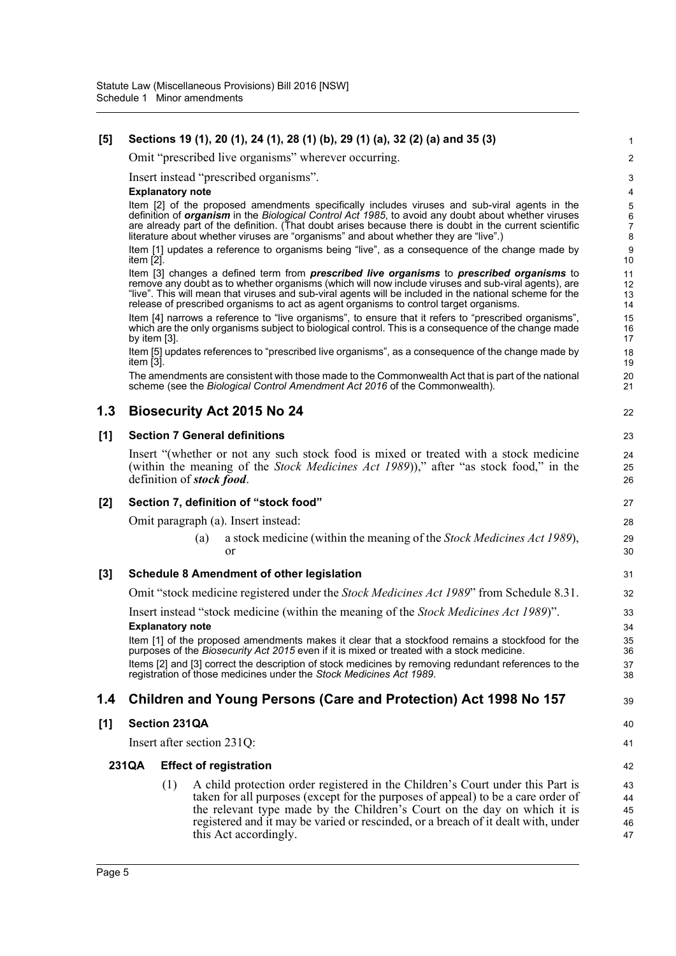## **[5] Sections 19 (1), 20 (1), 24 (1), 28 (1) (b), 29 (1) (a), 32 (2) (a) and 35 (3)**

Omit "prescribed live organisms" wherever occurring.

Insert instead "prescribed organisms".

#### **Explanatory note**

Item [2] of the proposed amendments specifically includes viruses and sub-viral agents in the definition of *organism* in the *Biological Control Act 1985*, to avoid any doubt about whether viruses are already part of the definition. (That doubt arises because there is doubt in the current scientific literature about whether viruses are "organisms" and about whether they are "live".)

22

39

40 41 42

Item [1] updates a reference to organisms being "live", as a consequence of the change made by item [2].

Item [3] changes a defined term from *prescribed live organisms* to *prescribed organisms* to remove any doubt as to whether organisms (which will now include viruses and sub-viral agents), are "live". This will mean that viruses and sub-viral agents will be included in the national scheme for the release of prescribed organisms to act as agent organisms to control target organisms.

Item [4] narrows a reference to "live organisms", to ensure that it refers to "prescribed organisms" which are the only organisms subject to biological control. This is a consequence of the change made by item [3].

Item [5] updates references to "prescribed live organisms", as a consequence of the change made by item [3].

The amendments are consistent with those made to the Commonwealth Act that is part of the national scheme (see the *Biological Control Amendment Act 2016* of the Commonwealth).

## **1.3 Biosecurity Act 2015 No 24**

## **[1] Section 7 General definitions**

Insert "(whether or not any such stock food is mixed or treated with a stock medicine (within the meaning of the *Stock Medicines Act 1989*))," after "as stock food," in the definition of *stock food*.

### **[2] Section 7, definition of "stock food"**

Omit paragraph (a). Insert instead:

(a) a stock medicine (within the meaning of the *Stock Medicines Act 1989*), or

### **[3] Schedule 8 Amendment of other legislation**

Omit "stock medicine registered under the *Stock Medicines Act 1989*" from Schedule 8.31.

Insert instead "stock medicine (within the meaning of the *Stock Medicines Act 1989*)". **Explanatory note**

Item [1] of the proposed amendments makes it clear that a stockfood remains a stockfood for the purposes of the *Biosecurity Act 2015* even if it is mixed or treated with a stock medicine. Items [2] and [3] correct the description of stock medicines by removing redundant references to the

registration of those medicines under the *Stock Medicines Act 1989*.

## **1.4 Children and Young Persons (Care and Protection) Act 1998 No 157**

### **[1] Section 231QA**

Insert after section 231Q:

#### **231QA Effect of registration**

(1) A child protection order registered in the Children's Court under this Part is taken for all purposes (except for the purposes of appeal) to be a care order of the relevant type made by the Children's Court on the day on which it is registered and it may be varied or rescinded, or a breach of it dealt with, under this Act accordingly. 43 44 45 46 47

Page 5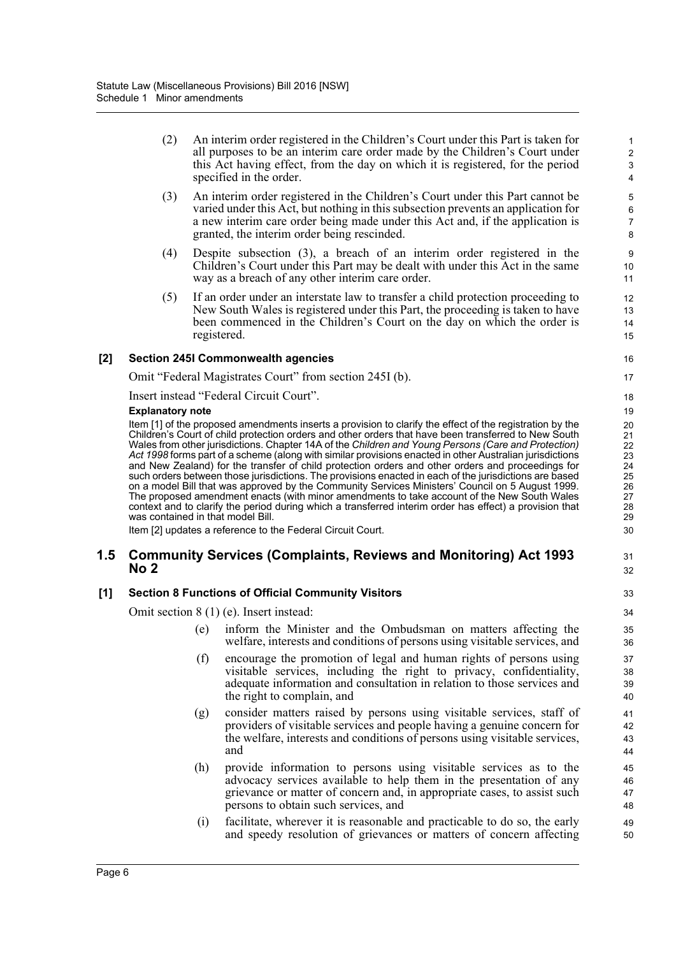(2) An interim order registered in the Children's Court under this Part is taken for all purposes to be an interim care order made by the Children's Court under this Act having effect, from the day on which it is registered, for the period specified in the order.

31 32

- (3) An interim order registered in the Children's Court under this Part cannot be varied under this Act, but nothing in this subsection prevents an application for a new interim care order being made under this Act and, if the application is granted, the interim order being rescinded.
- (4) Despite subsection (3), a breach of an interim order registered in the Children's Court under this Part may be dealt with under this Act in the same way as a breach of any other interim care order.
- (5) If an order under an interstate law to transfer a child protection proceeding to New South Wales is registered under this Part, the proceeding is taken to have been commenced in the Children's Court on the day on which the order is registered.

#### **[2] Section 245I Commonwealth agencies**

Omit "Federal Magistrates Court" from section 245I (b).

Insert instead "Federal Circuit Court".

#### **Explanatory note**

Item [1] of the proposed amendments inserts a provision to clarify the effect of the registration by the Children's Court of child protection orders and other orders that have been transferred to New South Wales from other jurisdictions. Chapter 14A of the *Children and Young Persons (Care and Protection) Act 1998* forms part of a scheme (along with similar provisions enacted in other Australian jurisdictions and New Zealand) for the transfer of child protection orders and other orders and proceedings for such orders between those jurisdictions. The provisions enacted in each of the jurisdictions are based on a model Bill that was approved by the Community Services Ministers' Council on 5 August 1999. The proposed amendment enacts (with minor amendments to take account of the New South Wales context and to clarify the period during which a transferred interim order has effect) a provision that was contained in that model Bill.

Item [2] updates a reference to the Federal Circuit Court.

### **1.5 Community Services (Complaints, Reviews and Monitoring) Act 1993 No 2**

### **[1] Section 8 Functions of Official Community Visitors**

Omit section 8 (1) (e). Insert instead:

- (e) inform the Minister and the Ombudsman on matters affecting the welfare, interests and conditions of persons using visitable services, and
- (f) encourage the promotion of legal and human rights of persons using visitable services, including the right to privacy, confidentiality, adequate information and consultation in relation to those services and the right to complain, and
- (g) consider matters raised by persons using visitable services, staff of providers of visitable services and people having a genuine concern for the welfare, interests and conditions of persons using visitable services, and
- (h) provide information to persons using visitable services as to the advocacy services available to help them in the presentation of any grievance or matter of concern and, in appropriate cases, to assist such persons to obtain such services, and
- (i) facilitate, wherever it is reasonable and practicable to do so, the early and speedy resolution of grievances or matters of concern affecting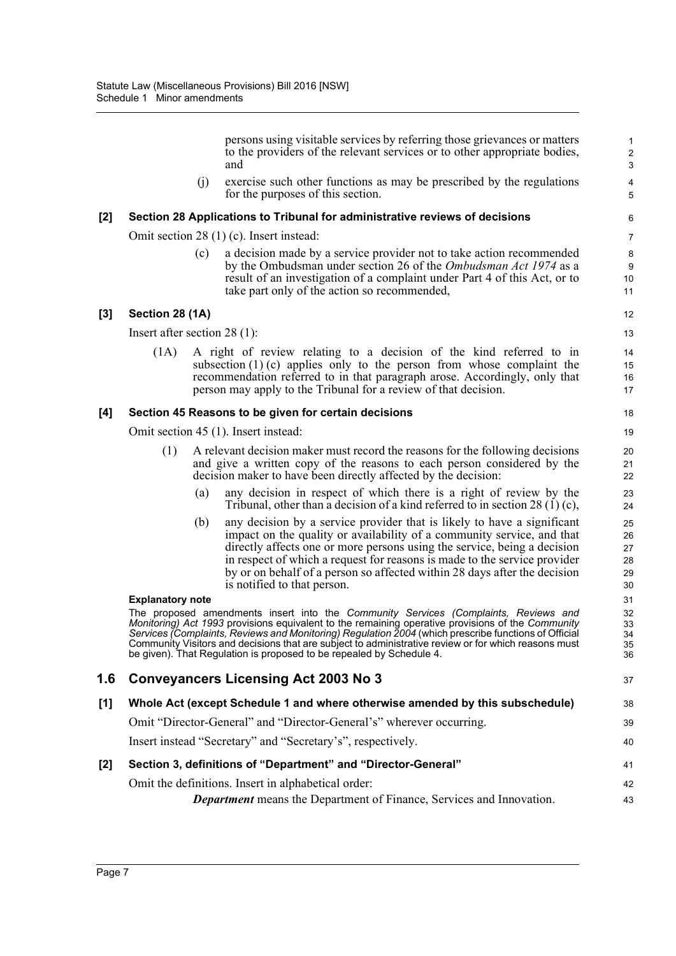persons using visitable services by referring those grievances or matters to the providers of the relevant services or to other appropriate bodies, and

37

(j) exercise such other functions as may be prescribed by the regulations for the purposes of this section.

#### **[2] Section 28 Applications to Tribunal for administrative reviews of decisions**

Omit section 28 (1) (c). Insert instead:

(c) a decision made by a service provider not to take action recommended by the Ombudsman under section 26 of the *Ombudsman Act 1974* as a result of an investigation of a complaint under Part 4 of this Act, or to take part only of the action so recommended,

#### **[3] Section 28 (1A)**

Insert after section 28 (1):

(1A) A right of review relating to a decision of the kind referred to in subsection (1) (c) applies only to the person from whose complaint the recommendation referred to in that paragraph arose. Accordingly, only that person may apply to the Tribunal for a review of that decision.

#### **[4] Section 45 Reasons to be given for certain decisions**

Omit section 45 (1). Insert instead:

- (1) A relevant decision maker must record the reasons for the following decisions and give a written copy of the reasons to each person considered by the decision maker to have been directly affected by the decision:
	- (a) any decision in respect of which there is a right of review by the Tribunal, other than a decision of a kind referred to in section 28 (1) (c),
	- (b) any decision by a service provider that is likely to have a significant impact on the quality or availability of a community service, and that directly affects one or more persons using the service, being a decision in respect of which a request for reasons is made to the service provider by or on behalf of a person so affected within 28 days after the decision is notified to that person.

#### **Explanatory note**

The proposed amendments insert into the *Community Services (Complaints, Reviews and Monitoring) Act 1993* provisions equivalent to the remaining operative provisions of the *Community Services (Complaints, Reviews and Monitoring) Regulation 2004* (which prescribe functions of Official Community Visitors and decisions that are subject to administrative review or for which reasons must be given). That Regulation is proposed to be repealed by Schedule 4.

## **1.6 Conveyancers Licensing Act 2003 No 3**

| [1] | Whole Act (except Schedule 1 and where otherwise amended by this subschedule) | 38 |
|-----|-------------------------------------------------------------------------------|----|
|     | Omit "Director-General" and "Director-General's" wherever occurring.          | 39 |
|     | Insert instead "Secretary" and "Secretary's", respectively.                   | 40 |
| [2] | Section 3, definitions of "Department" and "Director-General"                 | 41 |
|     | Omit the definitions. Insert in alphabetical order:                           | 42 |
|     | <b>Department</b> means the Department of Finance, Services and Innovation.   | 43 |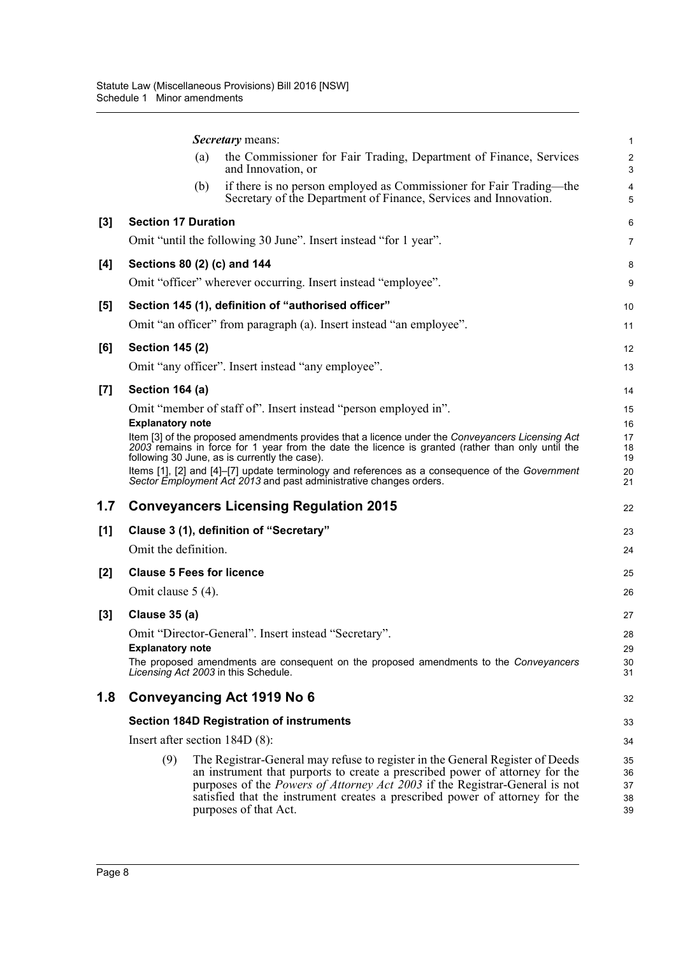| and Innovation, or                                                                                                                                                                                                                                                                                                                                                  | $\overline{c}$<br>3                                                                                                                                                                                                                                                                              |
|---------------------------------------------------------------------------------------------------------------------------------------------------------------------------------------------------------------------------------------------------------------------------------------------------------------------------------------------------------------------|--------------------------------------------------------------------------------------------------------------------------------------------------------------------------------------------------------------------------------------------------------------------------------------------------|
| if there is no person employed as Commissioner for Fair Trading—the<br>(b)<br>Secretary of the Department of Finance, Services and Innovation.                                                                                                                                                                                                                      | $\overline{4}$<br>5                                                                                                                                                                                                                                                                              |
| <b>Section 17 Duration</b>                                                                                                                                                                                                                                                                                                                                          | 6                                                                                                                                                                                                                                                                                                |
| Omit "until the following 30 June". Insert instead "for 1 year".                                                                                                                                                                                                                                                                                                    | $\overline{7}$                                                                                                                                                                                                                                                                                   |
| Sections 80 (2) (c) and 144                                                                                                                                                                                                                                                                                                                                         | 8                                                                                                                                                                                                                                                                                                |
| Omit "officer" wherever occurring. Insert instead "employee".                                                                                                                                                                                                                                                                                                       | 9                                                                                                                                                                                                                                                                                                |
| Section 145 (1), definition of "authorised officer"                                                                                                                                                                                                                                                                                                                 | 10                                                                                                                                                                                                                                                                                               |
| Omit "an officer" from paragraph (a). Insert instead "an employee".                                                                                                                                                                                                                                                                                                 | 11                                                                                                                                                                                                                                                                                               |
| <b>Section 145 (2)</b>                                                                                                                                                                                                                                                                                                                                              | 12                                                                                                                                                                                                                                                                                               |
| Omit "any officer". Insert instead "any employee".                                                                                                                                                                                                                                                                                                                  | 13                                                                                                                                                                                                                                                                                               |
| Section 164 (a)                                                                                                                                                                                                                                                                                                                                                     | 14                                                                                                                                                                                                                                                                                               |
| Omit "member of staff of". Insert instead "person employed in".<br><b>Explanatory note</b>                                                                                                                                                                                                                                                                          | 15<br>16                                                                                                                                                                                                                                                                                         |
| Item [3] of the proposed amendments provides that a licence under the Conveyancers Licensing Act<br>2003 remains in force for 1 year from the date the licence is granted (rather than only until the<br>following 30 June, as is currently the case).                                                                                                              | 17<br>18<br>19                                                                                                                                                                                                                                                                                   |
| Sector Employment Act 2013 and past administrative changes orders.                                                                                                                                                                                                                                                                                                  | 20<br>21                                                                                                                                                                                                                                                                                         |
| <b>Conveyancers Licensing Regulation 2015</b>                                                                                                                                                                                                                                                                                                                       | 22                                                                                                                                                                                                                                                                                               |
| Clause 3 (1), definition of "Secretary"                                                                                                                                                                                                                                                                                                                             | 23                                                                                                                                                                                                                                                                                               |
| Omit the definition.                                                                                                                                                                                                                                                                                                                                                | 24                                                                                                                                                                                                                                                                                               |
| <b>Clause 5 Fees for licence</b>                                                                                                                                                                                                                                                                                                                                    | 25                                                                                                                                                                                                                                                                                               |
| Omit clause 5 (4).                                                                                                                                                                                                                                                                                                                                                  | 26                                                                                                                                                                                                                                                                                               |
| Clause 35 (a)                                                                                                                                                                                                                                                                                                                                                       | 27                                                                                                                                                                                                                                                                                               |
| Omit "Director-General". Insert instead "Secretary".                                                                                                                                                                                                                                                                                                                | 28                                                                                                                                                                                                                                                                                               |
|                                                                                                                                                                                                                                                                                                                                                                     | 29<br>30                                                                                                                                                                                                                                                                                         |
| Licensing Act 2003 in this Schedule.                                                                                                                                                                                                                                                                                                                                | 31                                                                                                                                                                                                                                                                                               |
| Conveyancing Act 1919 No 6                                                                                                                                                                                                                                                                                                                                          | 32                                                                                                                                                                                                                                                                                               |
| <b>Section 184D Registration of instruments</b>                                                                                                                                                                                                                                                                                                                     | 33                                                                                                                                                                                                                                                                                               |
| Insert after section $184D(8)$ :                                                                                                                                                                                                                                                                                                                                    | 34                                                                                                                                                                                                                                                                                               |
| (9)<br>The Registrar-General may refuse to register in the General Register of Deeds<br>an instrument that purports to create a prescribed power of attorney for the<br>purposes of the <i>Powers of Attorney Act 2003</i> if the Registrar-General is not<br>satisfied that the instrument creates a prescribed power of attorney for the<br>purposes of that Act. | 35<br>36<br>37<br>38<br>39                                                                                                                                                                                                                                                                       |
|                                                                                                                                                                                                                                                                                                                                                                     | the Commissioner for Fair Trading, Department of Finance, Services<br>(a)<br>Items [1], [2] and [4]-[7] update terminology and references as a consequence of the Government<br><b>Explanatory note</b><br>The proposed amendments are consequent on the proposed amendments to the Conveyancers |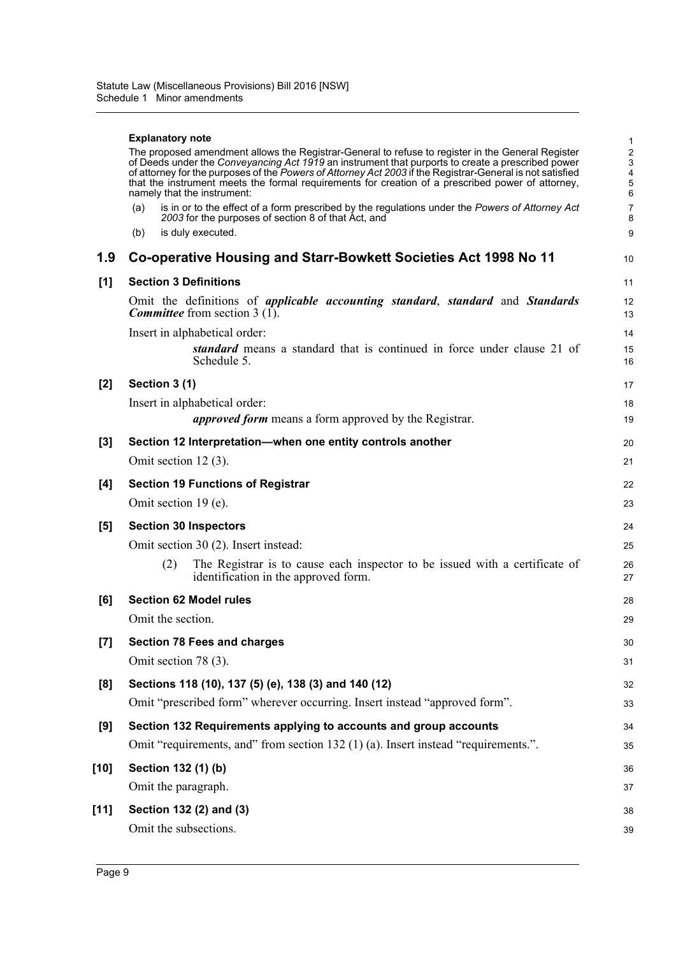|        | <b>Explanatory note</b><br>The proposed amendment allows the Registrar-General to refuse to register in the General Register<br>of Deeds under the Conveyancing Act 1919 an instrument that purports to create a prescribed power<br>of attorney for the purposes of the Powers of Attorney Act 2003 if the Registrar-General is not satisfied<br>that the instrument meets the formal requirements for creation of a prescribed power of attorney,<br>namely that the instrument:<br>is in or to the effect of a form prescribed by the regulations under the Powers of Attorney Act<br>(a)<br>2003 for the purposes of section 8 of that Act, and<br>is duly executed.<br>(b) | 1<br>$\overline{c}$<br>3<br>4<br>5<br>6<br>7<br>8<br>9 |
|--------|---------------------------------------------------------------------------------------------------------------------------------------------------------------------------------------------------------------------------------------------------------------------------------------------------------------------------------------------------------------------------------------------------------------------------------------------------------------------------------------------------------------------------------------------------------------------------------------------------------------------------------------------------------------------------------|--------------------------------------------------------|
| 1.9    | Co-operative Housing and Starr-Bowkett Societies Act 1998 No 11                                                                                                                                                                                                                                                                                                                                                                                                                                                                                                                                                                                                                 | 10                                                     |
| [1]    | <b>Section 3 Definitions</b>                                                                                                                                                                                                                                                                                                                                                                                                                                                                                                                                                                                                                                                    | 11                                                     |
|        | Omit the definitions of <i>applicable accounting standard</i> , <i>standard</i> and <i>Standards</i><br><b>Committee</b> from section 3 (1).                                                                                                                                                                                                                                                                                                                                                                                                                                                                                                                                    | 12<br>13                                               |
|        | Insert in alphabetical order:                                                                                                                                                                                                                                                                                                                                                                                                                                                                                                                                                                                                                                                   | 14                                                     |
|        | <i>standard</i> means a standard that is continued in force under clause 21 of<br>Schedule 5.                                                                                                                                                                                                                                                                                                                                                                                                                                                                                                                                                                                   | 15<br>16                                               |
| $[2]$  | Section 3 (1)                                                                                                                                                                                                                                                                                                                                                                                                                                                                                                                                                                                                                                                                   | 17                                                     |
|        | Insert in alphabetical order:                                                                                                                                                                                                                                                                                                                                                                                                                                                                                                                                                                                                                                                   | 18                                                     |
|        | <i>approved form</i> means a form approved by the Registrar.                                                                                                                                                                                                                                                                                                                                                                                                                                                                                                                                                                                                                    | 19                                                     |
| $[3]$  | Section 12 Interpretation-when one entity controls another                                                                                                                                                                                                                                                                                                                                                                                                                                                                                                                                                                                                                      | 20                                                     |
|        | Omit section $12(3)$ .                                                                                                                                                                                                                                                                                                                                                                                                                                                                                                                                                                                                                                                          | 21                                                     |
| [4]    | <b>Section 19 Functions of Registrar</b>                                                                                                                                                                                                                                                                                                                                                                                                                                                                                                                                                                                                                                        | 22                                                     |
|        | Omit section 19 (e).                                                                                                                                                                                                                                                                                                                                                                                                                                                                                                                                                                                                                                                            | 23                                                     |
| [5]    | <b>Section 30 Inspectors</b>                                                                                                                                                                                                                                                                                                                                                                                                                                                                                                                                                                                                                                                    | 24                                                     |
|        | Omit section 30 (2). Insert instead:                                                                                                                                                                                                                                                                                                                                                                                                                                                                                                                                                                                                                                            | 25                                                     |
|        | (2)<br>The Registrar is to cause each inspector to be issued with a certificate of<br>identification in the approved form.                                                                                                                                                                                                                                                                                                                                                                                                                                                                                                                                                      | 26<br>27                                               |
| [6]    | <b>Section 62 Model rules</b>                                                                                                                                                                                                                                                                                                                                                                                                                                                                                                                                                                                                                                                   | 28                                                     |
|        | Omit the section.                                                                                                                                                                                                                                                                                                                                                                                                                                                                                                                                                                                                                                                               | 29                                                     |
| $[7]$  | <b>Section 78 Fees and charges</b>                                                                                                                                                                                                                                                                                                                                                                                                                                                                                                                                                                                                                                              | 30                                                     |
|        | Omit section 78 (3).                                                                                                                                                                                                                                                                                                                                                                                                                                                                                                                                                                                                                                                            | 31                                                     |
| [8]    | Sections 118 (10), 137 (5) (e), 138 (3) and 140 (12)                                                                                                                                                                                                                                                                                                                                                                                                                                                                                                                                                                                                                            | 32                                                     |
|        | Omit "prescribed form" wherever occurring. Insert instead "approved form".                                                                                                                                                                                                                                                                                                                                                                                                                                                                                                                                                                                                      | 33                                                     |
| [9]    | Section 132 Requirements applying to accounts and group accounts                                                                                                                                                                                                                                                                                                                                                                                                                                                                                                                                                                                                                | 34                                                     |
|        | Omit "requirements, and" from section 132 (1) (a). Insert instead "requirements.".                                                                                                                                                                                                                                                                                                                                                                                                                                                                                                                                                                                              | 35                                                     |
| [10]   | Section 132 (1) (b)                                                                                                                                                                                                                                                                                                                                                                                                                                                                                                                                                                                                                                                             | 36                                                     |
|        | Omit the paragraph.                                                                                                                                                                                                                                                                                                                                                                                                                                                                                                                                                                                                                                                             | 37                                                     |
| $[11]$ | Section 132 (2) and (3)                                                                                                                                                                                                                                                                                                                                                                                                                                                                                                                                                                                                                                                         | 38                                                     |
|        | Omit the subsections.                                                                                                                                                                                                                                                                                                                                                                                                                                                                                                                                                                                                                                                           | 39                                                     |
|        |                                                                                                                                                                                                                                                                                                                                                                                                                                                                                                                                                                                                                                                                                 |                                                        |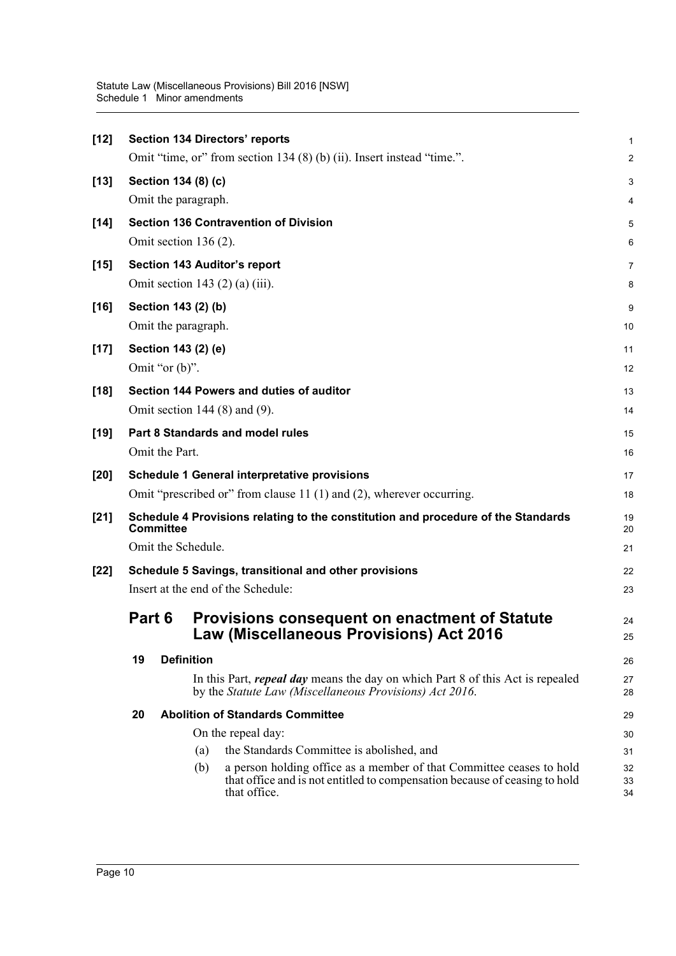| $[12]$ |        |                   | <b>Section 134 Directors' reports</b>                                                                                                                                     | 1              |
|--------|--------|-------------------|---------------------------------------------------------------------------------------------------------------------------------------------------------------------------|----------------|
|        |        |                   | Omit "time, or" from section 134 (8) (b) (ii). Insert instead "time.".                                                                                                    | $\overline{c}$ |
| $[13]$ |        |                   | Section 134 (8) (c)                                                                                                                                                       | 3              |
|        |        |                   | Omit the paragraph.                                                                                                                                                       | 4              |
| $[14]$ |        |                   | <b>Section 136 Contravention of Division</b>                                                                                                                              | 5              |
|        |        |                   | Omit section $136(2)$ .                                                                                                                                                   | 6              |
| $[15]$ |        |                   | <b>Section 143 Auditor's report</b>                                                                                                                                       | 7              |
|        |        |                   | Omit section 143 $(2)$ $(a)$ $(iii)$ .                                                                                                                                    | 8              |
| $[16]$ |        |                   | Section 143 (2) (b)                                                                                                                                                       | 9              |
|        |        |                   | Omit the paragraph.                                                                                                                                                       | 10             |
| $[17]$ |        |                   | Section 143 (2) (e)                                                                                                                                                       | 11             |
|        |        | Omit "or $(b)$ ". |                                                                                                                                                                           | 12             |
| $[18]$ |        |                   | Section 144 Powers and duties of auditor                                                                                                                                  | 13             |
|        |        |                   | Omit section $144(8)$ and $(9)$ .                                                                                                                                         | 14             |
| $[19]$ |        |                   | Part 8 Standards and model rules                                                                                                                                          | 15             |
|        |        | Omit the Part.    |                                                                                                                                                                           | 16             |
| $[20]$ |        |                   | <b>Schedule 1 General interpretative provisions</b>                                                                                                                       | 17             |
|        |        |                   | Omit "prescribed or" from clause 11 (1) and (2), wherever occurring.                                                                                                      | 18             |
| $[21]$ |        |                   | Schedule 4 Provisions relating to the constitution and procedure of the Standards                                                                                         | 19             |
|        |        | <b>Committee</b>  | Omit the Schedule.                                                                                                                                                        | 20             |
|        |        |                   |                                                                                                                                                                           | 21             |
| $[22]$ |        |                   | Schedule 5 Savings, transitional and other provisions                                                                                                                     | 22             |
|        |        |                   | Insert at the end of the Schedule:                                                                                                                                        | 23             |
|        | Part 6 |                   | <b>Provisions consequent on enactment of Statute</b><br>Law (Miscellaneous Provisions) Act 2016                                                                           | 24<br>25       |
|        | 19     |                   | <b>Definition</b>                                                                                                                                                         | 26             |
|        |        |                   | In this Part, <i>repeal day</i> means the day on which Part 8 of this Act is repealed<br>by the Statute Law (Miscellaneous Provisions) Act 2016.                          | 27<br>28       |
|        | 20     |                   | <b>Abolition of Standards Committee</b>                                                                                                                                   | 29             |
|        |        |                   | On the repeal day:                                                                                                                                                        | 30             |
|        |        |                   | the Standards Committee is abolished, and<br>(a)                                                                                                                          | 31             |
|        |        |                   | a person holding office as a member of that Committee ceases to hold<br>(b)<br>that office and is not entitled to compensation because of ceasing to hold<br>that office. | 32<br>33<br>34 |
|        |        |                   |                                                                                                                                                                           |                |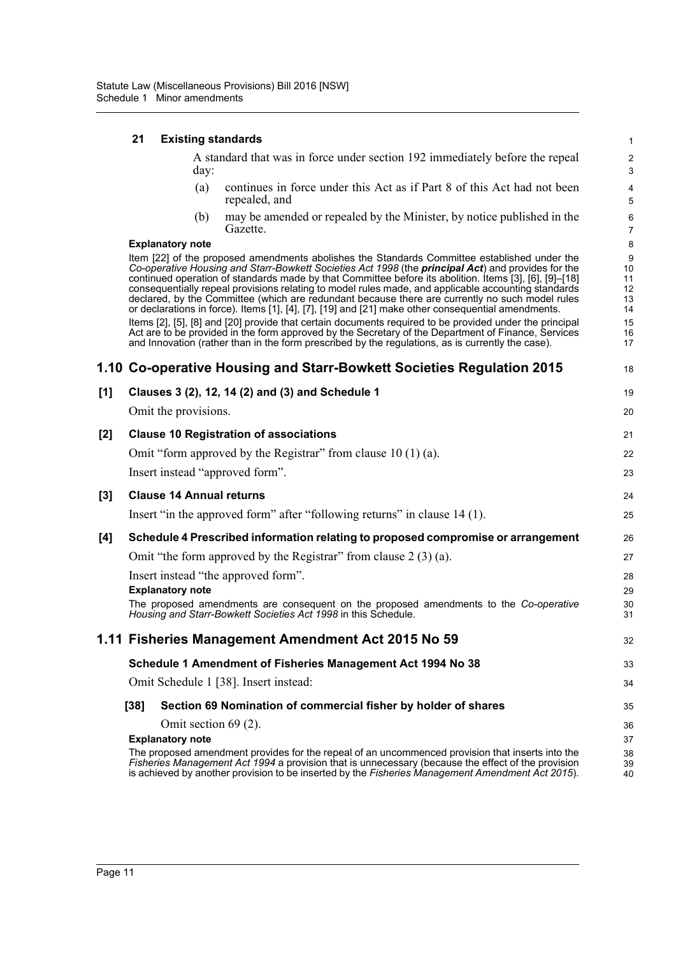|     | 21     |                         |      | <b>Existing standards</b>                                                                                                                                                                                                                                                                                                                                                                                                                                                                                                                                                                                                                                                                                                                                                                                                                                                                                                                           | $\mathbf{1}$                                      |
|-----|--------|-------------------------|------|-----------------------------------------------------------------------------------------------------------------------------------------------------------------------------------------------------------------------------------------------------------------------------------------------------------------------------------------------------------------------------------------------------------------------------------------------------------------------------------------------------------------------------------------------------------------------------------------------------------------------------------------------------------------------------------------------------------------------------------------------------------------------------------------------------------------------------------------------------------------------------------------------------------------------------------------------------|---------------------------------------------------|
|     |        |                         | day: | A standard that was in force under section 192 immediately before the repeal                                                                                                                                                                                                                                                                                                                                                                                                                                                                                                                                                                                                                                                                                                                                                                                                                                                                        | $\overline{c}$<br>3                               |
|     |        |                         | (a)  | continues in force under this Act as if Part 8 of this Act had not been<br>repealed, and                                                                                                                                                                                                                                                                                                                                                                                                                                                                                                                                                                                                                                                                                                                                                                                                                                                            | $\overline{\mathbf{4}}$<br>5                      |
|     |        |                         | (b)  | may be amended or repealed by the Minister, by notice published in the<br>Gazette.                                                                                                                                                                                                                                                                                                                                                                                                                                                                                                                                                                                                                                                                                                                                                                                                                                                                  | 6<br>$\overline{7}$                               |
|     |        | <b>Explanatory note</b> |      |                                                                                                                                                                                                                                                                                                                                                                                                                                                                                                                                                                                                                                                                                                                                                                                                                                                                                                                                                     | $\bf 8$                                           |
|     |        |                         |      | Item [22] of the proposed amendments abolishes the Standards Committee established under the<br>Co-operative Housing and Starr-Bowkett Societies Act 1998 (the principal Act) and provides for the<br>continued operation of standards made by that Committee before its abolition. Items [3], [6], [9]-[18]<br>consequentially repeal provisions relating to model rules made, and applicable accounting standards<br>declared, by the Committee (which are redundant because there are currently no such model rules<br>or declarations in force). Items [1], [4], [7], [19] and [21] make other consequential amendments.<br>Items [2], [5], [8] and [20] provide that certain documents required to be provided under the principal<br>Act are to be provided in the form approved by the Secretary of the Department of Finance, Services<br>and Innovation (rather than in the form prescribed by the regulations, as is currently the case). | 9<br>10<br>11<br>12<br>13<br>14<br>15<br>16<br>17 |
|     |        |                         |      | 1.10 Co-operative Housing and Starr-Bowkett Societies Regulation 2015                                                                                                                                                                                                                                                                                                                                                                                                                                                                                                                                                                                                                                                                                                                                                                                                                                                                               | 18                                                |
| [1] |        |                         |      | Clauses 3 (2), 12, 14 (2) and (3) and Schedule 1                                                                                                                                                                                                                                                                                                                                                                                                                                                                                                                                                                                                                                                                                                                                                                                                                                                                                                    | 19                                                |
|     |        | Omit the provisions.    |      |                                                                                                                                                                                                                                                                                                                                                                                                                                                                                                                                                                                                                                                                                                                                                                                                                                                                                                                                                     | 20                                                |
| [2] |        |                         |      | <b>Clause 10 Registration of associations</b>                                                                                                                                                                                                                                                                                                                                                                                                                                                                                                                                                                                                                                                                                                                                                                                                                                                                                                       | 21                                                |
|     |        |                         |      | Omit "form approved by the Registrar" from clause $10(1)(a)$ .                                                                                                                                                                                                                                                                                                                                                                                                                                                                                                                                                                                                                                                                                                                                                                                                                                                                                      | 22                                                |
|     |        |                         |      | Insert instead "approved form".                                                                                                                                                                                                                                                                                                                                                                                                                                                                                                                                                                                                                                                                                                                                                                                                                                                                                                                     | 23                                                |
| [3] |        |                         |      | <b>Clause 14 Annual returns</b>                                                                                                                                                                                                                                                                                                                                                                                                                                                                                                                                                                                                                                                                                                                                                                                                                                                                                                                     | 24                                                |
|     |        |                         |      | Insert "in the approved form" after "following returns" in clause 14 (1).                                                                                                                                                                                                                                                                                                                                                                                                                                                                                                                                                                                                                                                                                                                                                                                                                                                                           | 25                                                |
| [4] |        |                         |      | Schedule 4 Prescribed information relating to proposed compromise or arrangement                                                                                                                                                                                                                                                                                                                                                                                                                                                                                                                                                                                                                                                                                                                                                                                                                                                                    | 26                                                |
|     |        |                         |      | Omit "the form approved by the Registrar" from clause $2(3)(a)$ .                                                                                                                                                                                                                                                                                                                                                                                                                                                                                                                                                                                                                                                                                                                                                                                                                                                                                   | 27                                                |
|     |        |                         |      | Insert instead "the approved form".                                                                                                                                                                                                                                                                                                                                                                                                                                                                                                                                                                                                                                                                                                                                                                                                                                                                                                                 | 28                                                |
|     |        | <b>Explanatory note</b> |      |                                                                                                                                                                                                                                                                                                                                                                                                                                                                                                                                                                                                                                                                                                                                                                                                                                                                                                                                                     | 29                                                |
|     |        |                         |      | The proposed amendments are consequent on the proposed amendments to the Co-operative<br>Housing and Starr-Bowkett Societies Act 1998 in this Schedule.                                                                                                                                                                                                                                                                                                                                                                                                                                                                                                                                                                                                                                                                                                                                                                                             | 30<br>31                                          |
|     |        |                         |      | 1.11 Fisheries Management Amendment Act 2015 No 59                                                                                                                                                                                                                                                                                                                                                                                                                                                                                                                                                                                                                                                                                                                                                                                                                                                                                                  | 32                                                |
|     |        |                         |      | Schedule 1 Amendment of Fisheries Management Act 1994 No 38                                                                                                                                                                                                                                                                                                                                                                                                                                                                                                                                                                                                                                                                                                                                                                                                                                                                                         | 33                                                |
|     |        |                         |      | Omit Schedule 1 [38]. Insert instead:                                                                                                                                                                                                                                                                                                                                                                                                                                                                                                                                                                                                                                                                                                                                                                                                                                                                                                               | 34                                                |
|     | $[38]$ |                         |      | Section 69 Nomination of commercial fisher by holder of shares                                                                                                                                                                                                                                                                                                                                                                                                                                                                                                                                                                                                                                                                                                                                                                                                                                                                                      | 35                                                |
|     |        |                         |      | Omit section 69 (2).                                                                                                                                                                                                                                                                                                                                                                                                                                                                                                                                                                                                                                                                                                                                                                                                                                                                                                                                | 36                                                |
|     |        | <b>Explanatory note</b> |      |                                                                                                                                                                                                                                                                                                                                                                                                                                                                                                                                                                                                                                                                                                                                                                                                                                                                                                                                                     | 37                                                |
|     |        |                         |      | The proposed amendment provides for the repeal of an uncommenced provision that inserts into the<br>Fisheries Management Act 1994 a provision that is unnecessary (because the effect of the provision<br>is achieved by another provision to be inserted by the Fisheries Management Amendment Act 2015).                                                                                                                                                                                                                                                                                                                                                                                                                                                                                                                                                                                                                                          | 38<br>39<br>40                                    |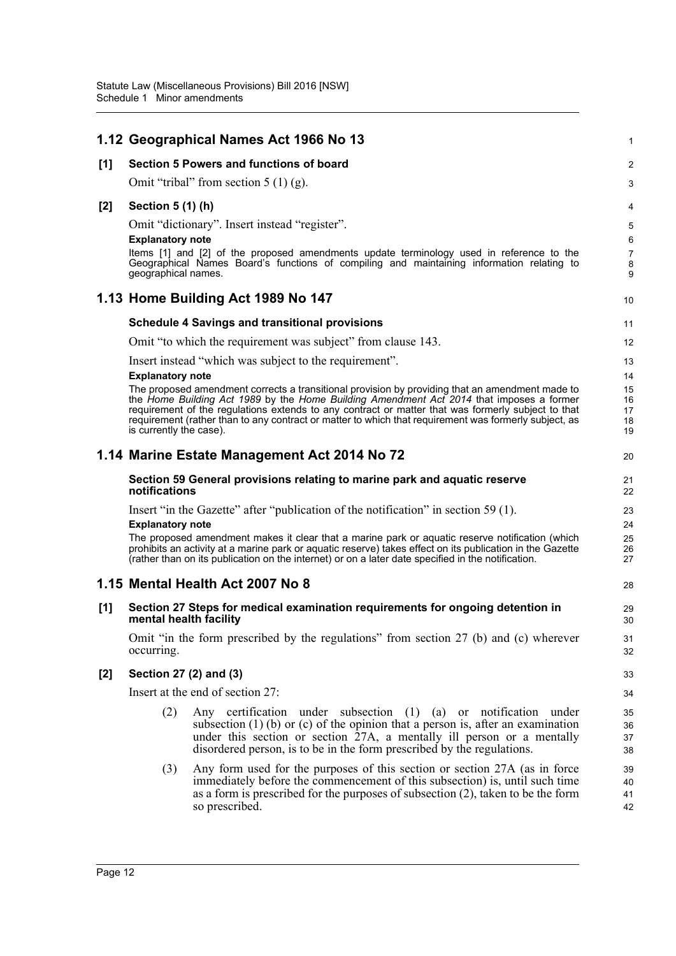|       |                         | 1.12 Geographical Names Act 1966 No 13                                                                                                                                                                                                                                                                                                                                                                     | 1                          |
|-------|-------------------------|------------------------------------------------------------------------------------------------------------------------------------------------------------------------------------------------------------------------------------------------------------------------------------------------------------------------------------------------------------------------------------------------------------|----------------------------|
| [1]   |                         | Section 5 Powers and functions of board                                                                                                                                                                                                                                                                                                                                                                    | $\overline{2}$             |
|       |                         | Omit "tribal" from section $5(1)(g)$ .                                                                                                                                                                                                                                                                                                                                                                     | 3                          |
| $[2]$ | Section 5 (1) (h)       |                                                                                                                                                                                                                                                                                                                                                                                                            | 4                          |
|       | <b>Explanatory note</b> | Omit "dictionary". Insert instead "register".                                                                                                                                                                                                                                                                                                                                                              | 5<br>6                     |
|       | geographical names.     | Items [1] and [2] of the proposed amendments update terminology used in reference to the<br>Geographical Names Board's functions of compiling and maintaining information relating to                                                                                                                                                                                                                      | $\overline{7}$<br>8<br>9   |
|       |                         | 1.13 Home Building Act 1989 No 147                                                                                                                                                                                                                                                                                                                                                                         | 10                         |
|       |                         | <b>Schedule 4 Savings and transitional provisions</b>                                                                                                                                                                                                                                                                                                                                                      | 11                         |
|       |                         | Omit "to which the requirement was subject" from clause 143.                                                                                                                                                                                                                                                                                                                                               | 12                         |
|       | <b>Explanatory note</b> | Insert instead "which was subject to the requirement".                                                                                                                                                                                                                                                                                                                                                     | 13<br>14                   |
|       | is currently the case). | The proposed amendment corrects a transitional provision by providing that an amendment made to<br>the Home Building Act 1989 by the Home Building Amendment Act 2014 that imposes a former<br>requirement of the regulations extends to any contract or matter that was formerly subject to that<br>requirement (rather than to any contract or matter to which that requirement was formerly subject, as | 15<br>16<br>17<br>18<br>19 |
|       |                         | 1.14 Marine Estate Management Act 2014 No 72                                                                                                                                                                                                                                                                                                                                                               | 20                         |
|       | notifications           | Section 59 General provisions relating to marine park and aquatic reserve                                                                                                                                                                                                                                                                                                                                  | 21<br>22                   |
|       |                         | Insert "in the Gazette" after "publication of the notification" in section 59 (1).                                                                                                                                                                                                                                                                                                                         | 23                         |
|       | <b>Explanatory note</b> | The proposed amendment makes it clear that a marine park or aquatic reserve notification (which<br>prohibits an activity at a marine park or aquatic reserve) takes effect on its publication in the Gazette<br>(rather than on its publication on the internet) or on a later date specified in the notification.                                                                                         | 24<br>25<br>26<br>27       |
|       |                         | 1.15 Mental Health Act 2007 No 8                                                                                                                                                                                                                                                                                                                                                                           | 28                         |
| [1]   | mental health facility  | Section 27 Steps for medical examination requirements for ongoing detention in                                                                                                                                                                                                                                                                                                                             | 29<br>30                   |
|       | occurring.              | Omit "in the form prescribed by the regulations" from section 27 (b) and (c) wherever                                                                                                                                                                                                                                                                                                                      | 31<br>32                   |
| $[2]$ | Section 27 (2) and (3)  |                                                                                                                                                                                                                                                                                                                                                                                                            | 33                         |
|       |                         | Insert at the end of section 27:                                                                                                                                                                                                                                                                                                                                                                           | 34                         |
|       | (2)                     | Any certification under subsection (1) (a) or notification under<br>subsection $(1)$ (b) or $(c)$ of the opinion that a person is, after an examination<br>under this section or section 27A, a mentally ill person or a mentally<br>disordered person, is to be in the form prescribed by the regulations.                                                                                                | 35<br>36<br>37<br>38       |
|       | (3)                     | Any form used for the purposes of this section or section 27A (as in force<br>immediately before the commencement of this subsection) is, until such time<br>as a form is prescribed for the purposes of subsection $(2)$ , taken to be the form<br>so prescribed.                                                                                                                                         | 39<br>40<br>41<br>42       |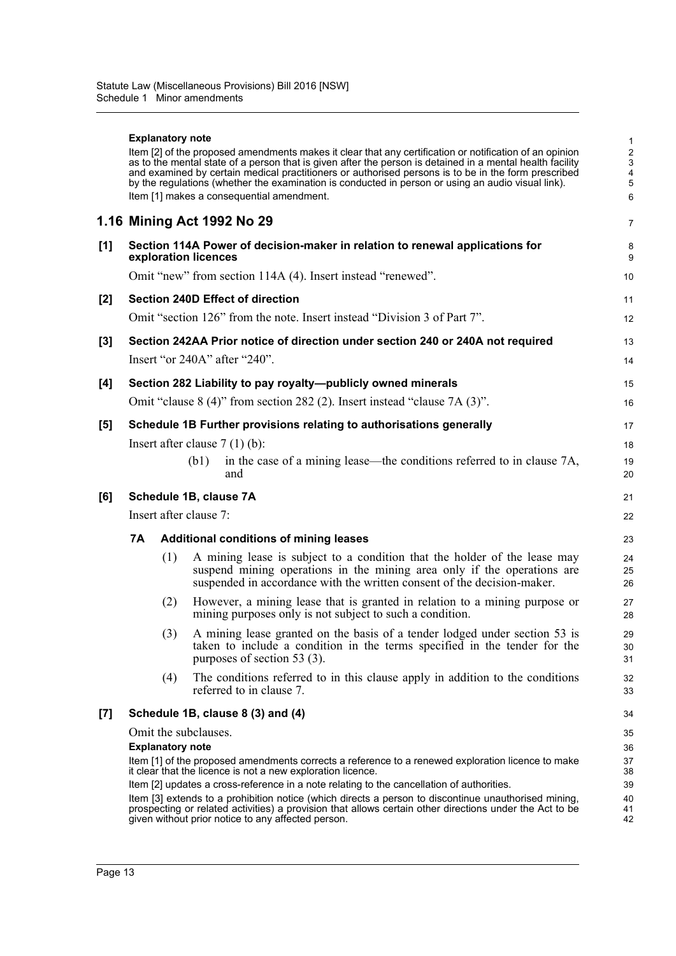|       | <b>Explanatory note</b> | Item [2] of the proposed amendments makes it clear that any certification or notification of an opinion<br>as to the mental state of a person that is given after the person is detained in a mental health facility<br>and examined by certain medical practitioners or authorised persons is to be in the form prescribed<br>by the regulations (whether the examination is conducted in person or using an audio visual link).<br>Item [1] makes a consequential amendment.                                                                                 | 1<br>$\overline{\mathbf{c}}$<br>$\mathbf{3}$<br>4<br>5<br>6 |
|-------|-------------------------|----------------------------------------------------------------------------------------------------------------------------------------------------------------------------------------------------------------------------------------------------------------------------------------------------------------------------------------------------------------------------------------------------------------------------------------------------------------------------------------------------------------------------------------------------------------|-------------------------------------------------------------|
|       |                         | 1.16 Mining Act 1992 No 29                                                                                                                                                                                                                                                                                                                                                                                                                                                                                                                                     | $\overline{7}$                                              |
| [1]   |                         | Section 114A Power of decision-maker in relation to renewal applications for<br>exploration licences                                                                                                                                                                                                                                                                                                                                                                                                                                                           | 8<br>9                                                      |
|       |                         | Omit "new" from section 114A (4). Insert instead "renewed".                                                                                                                                                                                                                                                                                                                                                                                                                                                                                                    | 10                                                          |
| $[2]$ |                         | <b>Section 240D Effect of direction</b>                                                                                                                                                                                                                                                                                                                                                                                                                                                                                                                        | 11                                                          |
|       |                         | Omit "section 126" from the note. Insert instead "Division 3 of Part 7".                                                                                                                                                                                                                                                                                                                                                                                                                                                                                       | 12                                                          |
| [3]   |                         | Section 242AA Prior notice of direction under section 240 or 240A not required                                                                                                                                                                                                                                                                                                                                                                                                                                                                                 | 13                                                          |
|       |                         | Insert "or 240A" after "240".                                                                                                                                                                                                                                                                                                                                                                                                                                                                                                                                  | 14                                                          |
| [4]   |                         | Section 282 Liability to pay royalty-publicly owned minerals                                                                                                                                                                                                                                                                                                                                                                                                                                                                                                   | 15                                                          |
|       |                         | Omit "clause $8(4)$ " from section 282 (2). Insert instead "clause $7A(3)$ ".                                                                                                                                                                                                                                                                                                                                                                                                                                                                                  | 16                                                          |
| [5]   |                         | Schedule 1B Further provisions relating to authorisations generally                                                                                                                                                                                                                                                                                                                                                                                                                                                                                            | 17                                                          |
|       |                         | Insert after clause $7(1)(b)$ :                                                                                                                                                                                                                                                                                                                                                                                                                                                                                                                                | 18                                                          |
|       |                         | in the case of a mining lease—the conditions referred to in clause 7A,<br>(b1)<br>and                                                                                                                                                                                                                                                                                                                                                                                                                                                                          | 19<br>20                                                    |
| [6]   |                         | Schedule 1B, clause 7A                                                                                                                                                                                                                                                                                                                                                                                                                                                                                                                                         | 21                                                          |
|       |                         | Insert after clause 7:                                                                                                                                                                                                                                                                                                                                                                                                                                                                                                                                         | 22                                                          |
|       | 7A                      | <b>Additional conditions of mining leases</b>                                                                                                                                                                                                                                                                                                                                                                                                                                                                                                                  | 23                                                          |
|       | (1)                     | A mining lease is subject to a condition that the holder of the lease may<br>suspend mining operations in the mining area only if the operations are<br>suspended in accordance with the written consent of the decision-maker.                                                                                                                                                                                                                                                                                                                                | 24<br>25<br>26                                              |
|       | (2)                     | However, a mining lease that is granted in relation to a mining purpose or<br>mining purposes only is not subject to such a condition.                                                                                                                                                                                                                                                                                                                                                                                                                         | 27<br>28                                                    |
|       | (3)                     | A mining lease granted on the basis of a tender lodged under section 53 is<br>taken to include a condition in the terms specified in the tender for the<br>purposes of section 53 (3).                                                                                                                                                                                                                                                                                                                                                                         | 29<br>30<br>31                                              |
|       | (4)                     | The conditions referred to in this clause apply in addition to the conditions<br>referred to in clause 7.                                                                                                                                                                                                                                                                                                                                                                                                                                                      | 32<br>33                                                    |
| [7]   |                         | Schedule 1B, clause 8 (3) and (4)                                                                                                                                                                                                                                                                                                                                                                                                                                                                                                                              | 34                                                          |
|       | <b>Explanatory note</b> | Omit the subclauses.<br>Item [1] of the proposed amendments corrects a reference to a renewed exploration licence to make<br>it clear that the licence is not a new exploration licence.<br>Item [2] updates a cross-reference in a note relating to the cancellation of authorities.<br>Item [3] extends to a prohibition notice (which directs a person to discontinue unauthorised mining,<br>prospecting or related activities) a provision that allows certain other directions under the Act to be<br>given without prior notice to any affected person. | 35<br>36<br>37<br>38<br>39<br>40<br>41<br>42                |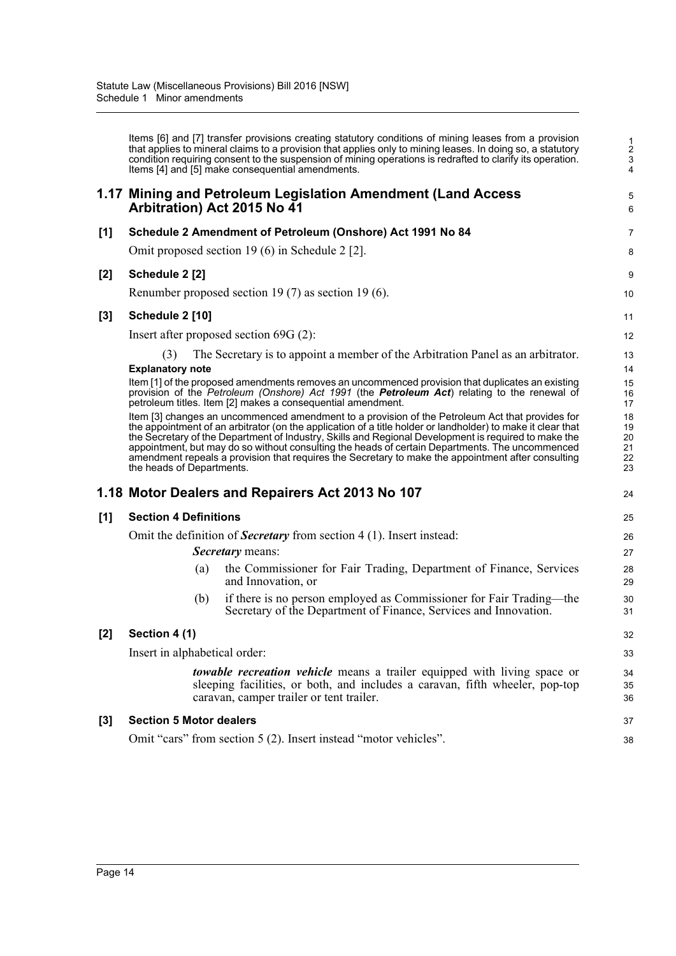Items [6] and [7] transfer provisions creating statutory conditions of mining leases from a provision that applies to mineral claims to a provision that applies only to mining leases. In doing so, a statutory condition requiring consent to the suspension of mining operations is redrafted to clarify its operation. Items [4] and [5] make consequential amendments.

5 6

38

## **1.17 Mining and Petroleum Legislation Amendment (Land Access Arbitration) Act 2015 No 41**

| [1] |                                | Schedule 2 Amendment of Petroleum (Onshore) Act 1991 No 84                                                                                                                                                                                                                                                                                                                                                                                                                                                                      | $\overline{7}$                   |
|-----|--------------------------------|---------------------------------------------------------------------------------------------------------------------------------------------------------------------------------------------------------------------------------------------------------------------------------------------------------------------------------------------------------------------------------------------------------------------------------------------------------------------------------------------------------------------------------|----------------------------------|
|     |                                | Omit proposed section 19 (6) in Schedule 2 [2].                                                                                                                                                                                                                                                                                                                                                                                                                                                                                 | 8                                |
| [2] | Schedule 2 [2]                 |                                                                                                                                                                                                                                                                                                                                                                                                                                                                                                                                 | 9                                |
|     |                                | Renumber proposed section 19 (7) as section 19 (6).                                                                                                                                                                                                                                                                                                                                                                                                                                                                             | 10                               |
| [3] | Schedule 2 [10]                |                                                                                                                                                                                                                                                                                                                                                                                                                                                                                                                                 | 11                               |
|     |                                | Insert after proposed section $69G(2)$ :                                                                                                                                                                                                                                                                                                                                                                                                                                                                                        | 12                               |
|     | (3)<br><b>Explanatory note</b> | The Secretary is to appoint a member of the Arbitration Panel as an arbitrator.<br>Item [1] of the proposed amendments removes an uncommenced provision that duplicates an existing<br>provision of the Petroleum (Onshore) Act 1991 (the <b>Petroleum Act</b> ) relating to the renewal of<br>petroleum titles. Item [2] makes a consequential amendment.                                                                                                                                                                      | 13<br>14<br>15<br>16<br>17       |
|     | the heads of Departments.      | Item [3] changes an uncommenced amendment to a provision of the Petroleum Act that provides for<br>the appointment of an arbitrator (on the application of a title holder or landholder) to make it clear that<br>the Secretary of the Department of Industry, Skills and Regional Development is required to make the<br>appointment, but may do so without consulting the heads of certain Departments. The uncommenced<br>amendment repeals a provision that requires the Secretary to make the appointment after consulting | 18<br>19<br>20<br>21<br>22<br>23 |
|     |                                | 1.18 Motor Dealers and Repairers Act 2013 No 107                                                                                                                                                                                                                                                                                                                                                                                                                                                                                | 24                               |
| [1] | <b>Section 4 Definitions</b>   |                                                                                                                                                                                                                                                                                                                                                                                                                                                                                                                                 | 25                               |
|     |                                | Omit the definition of <b>Secretary</b> from section $4(1)$ . Insert instead:<br><b>Secretary</b> means:                                                                                                                                                                                                                                                                                                                                                                                                                        | 26<br>27                         |
|     | (a)                            | the Commissioner for Fair Trading, Department of Finance, Services<br>and Innovation, or                                                                                                                                                                                                                                                                                                                                                                                                                                        | 28<br>29                         |
|     | (b)                            | if there is no person employed as Commissioner for Fair Trading—the<br>Secretary of the Department of Finance, Services and Innovation.                                                                                                                                                                                                                                                                                                                                                                                         | 30<br>31                         |
| [2] | Section 4 (1)                  |                                                                                                                                                                                                                                                                                                                                                                                                                                                                                                                                 | 32                               |
|     | Insert in alphabetical order:  |                                                                                                                                                                                                                                                                                                                                                                                                                                                                                                                                 | 33                               |
|     |                                | <i>towable recreation vehicle</i> means a trailer equipped with living space or<br>sleeping facilities, or both, and includes a caravan, fifth wheeler, pop-top<br>caravan, camper trailer or tent trailer.                                                                                                                                                                                                                                                                                                                     | 34<br>35<br>36                   |
| [3] | <b>Section 5 Motor dealers</b> |                                                                                                                                                                                                                                                                                                                                                                                                                                                                                                                                 | 37                               |

# **[3] Section 5 Motor dealers**

Omit "cars" from section 5 (2). Insert instead "motor vehicles".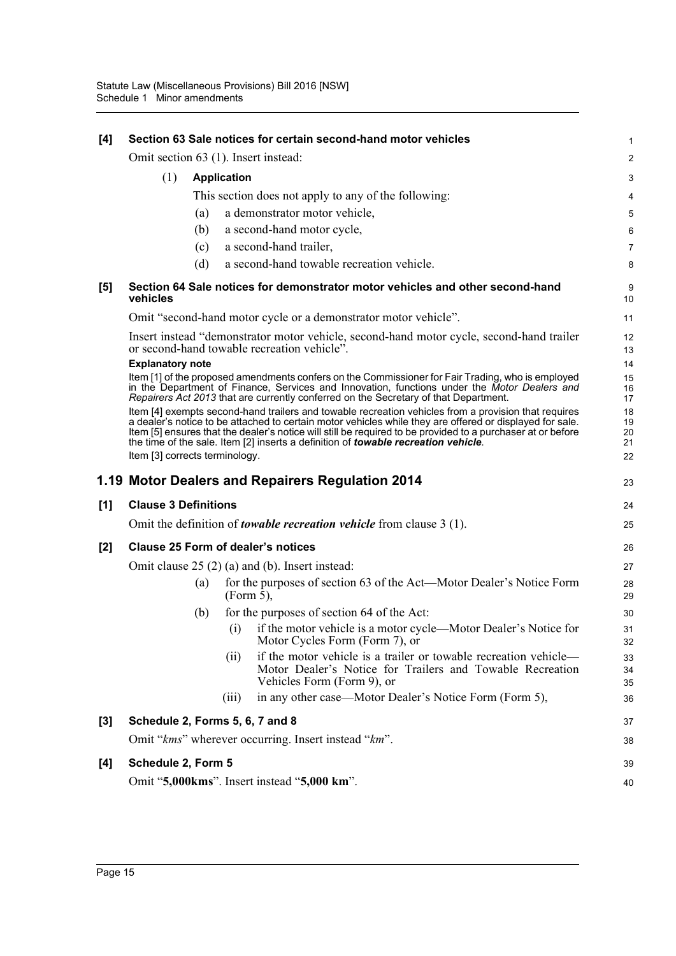| [4]   |                                      |     |                    | Section 63 Sale notices for certain second-hand motor vehicles                                                                                                                                                                                                                                                                                                                                                                | 1                          |
|-------|--------------------------------------|-----|--------------------|-------------------------------------------------------------------------------------------------------------------------------------------------------------------------------------------------------------------------------------------------------------------------------------------------------------------------------------------------------------------------------------------------------------------------------|----------------------------|
|       | Omit section 63 (1). Insert instead: |     |                    |                                                                                                                                                                                                                                                                                                                                                                                                                               | $\overline{c}$             |
|       | (1)                                  |     | <b>Application</b> |                                                                                                                                                                                                                                                                                                                                                                                                                               | 3                          |
|       |                                      |     |                    | This section does not apply to any of the following:                                                                                                                                                                                                                                                                                                                                                                          | 4                          |
|       |                                      | (a) |                    | a demonstrator motor vehicle,                                                                                                                                                                                                                                                                                                                                                                                                 | 5                          |
|       |                                      | (b) |                    | a second-hand motor cycle,                                                                                                                                                                                                                                                                                                                                                                                                    | 6                          |
|       |                                      | (c) |                    | a second-hand trailer,                                                                                                                                                                                                                                                                                                                                                                                                        | 7                          |
|       |                                      | (d) |                    | a second-hand towable recreation vehicle.                                                                                                                                                                                                                                                                                                                                                                                     | 8                          |
| [5]   | vehicles                             |     |                    | Section 64 Sale notices for demonstrator motor vehicles and other second-hand                                                                                                                                                                                                                                                                                                                                                 | 9<br>10                    |
|       |                                      |     |                    | Omit "second-hand motor cycle or a demonstrator motor vehicle".                                                                                                                                                                                                                                                                                                                                                               | 11                         |
|       |                                      |     |                    | Insert instead "demonstrator motor vehicle, second-hand motor cycle, second-hand trailer<br>or second-hand towable recreation vehicle".                                                                                                                                                                                                                                                                                       | 12<br>13                   |
|       | <b>Explanatory note</b>              |     |                    | Item [1] of the proposed amendments confers on the Commissioner for Fair Trading, who is employed<br>in the Department of Finance, Services and Innovation, functions under the Motor Dealers and<br>Repairers Act 2013 that are currently conferred on the Secretary of that Department.                                                                                                                                     | 14<br>15<br>16<br>17       |
|       | Item [3] corrects terminology.       |     |                    | Item [4] exempts second-hand trailers and towable recreation vehicles from a provision that requires<br>a dealer's notice to be attached to certain motor vehicles while they are offered or displayed for sale.<br>Item [5] ensures that the dealer's notice will still be required to be provided to a purchaser at or before<br>the time of the sale. Item [2] inserts a definition of <i>towable recreation vehicle</i> . | 18<br>19<br>20<br>21<br>22 |
|       |                                      |     |                    |                                                                                                                                                                                                                                                                                                                                                                                                                               |                            |
|       |                                      |     |                    | 1.19 Motor Dealers and Repairers Regulation 2014                                                                                                                                                                                                                                                                                                                                                                              | 23                         |
| [1]   | <b>Clause 3 Definitions</b>          |     |                    |                                                                                                                                                                                                                                                                                                                                                                                                                               | 24                         |
|       |                                      |     |                    | Omit the definition of <i>towable recreation vehicle</i> from clause $3(1)$ .                                                                                                                                                                                                                                                                                                                                                 | 25                         |
|       |                                      |     |                    | <b>Clause 25 Form of dealer's notices</b>                                                                                                                                                                                                                                                                                                                                                                                     |                            |
| $[2]$ |                                      |     |                    |                                                                                                                                                                                                                                                                                                                                                                                                                               | 26<br>27                   |
|       |                                      | (a) | $(Form 5)$ ,       | Omit clause $25(2)(a)$ and (b). Insert instead:<br>for the purposes of section 63 of the Act—Motor Dealer's Notice Form                                                                                                                                                                                                                                                                                                       | 28<br>29                   |
|       |                                      | (b) |                    | for the purposes of section 64 of the Act:                                                                                                                                                                                                                                                                                                                                                                                    | 30                         |
|       |                                      |     | (i)                | if the motor vehicle is a motor cycle—Motor Dealer's Notice for<br>Motor Cycles Form (Form 7), or                                                                                                                                                                                                                                                                                                                             | 31<br>32                   |
|       |                                      |     | (ii)               | if the motor vehicle is a trailer or towable recreation vehicle—<br>Motor Dealer's Notice for Trailers and Towable Recreation<br>Vehicles Form (Form 9), or                                                                                                                                                                                                                                                                   | 33<br>34<br>35             |
|       |                                      |     | (iii)              | in any other case—Motor Dealer's Notice Form (Form 5),                                                                                                                                                                                                                                                                                                                                                                        | 36                         |
| $[3]$ | Schedule 2, Forms 5, 6, 7 and 8      |     |                    |                                                                                                                                                                                                                                                                                                                                                                                                                               | 37                         |
|       |                                      |     |                    | Omit "kms" wherever occurring. Insert instead "km".                                                                                                                                                                                                                                                                                                                                                                           | 38                         |
| $[4]$ | Schedule 2, Form 5                   |     |                    |                                                                                                                                                                                                                                                                                                                                                                                                                               | 39                         |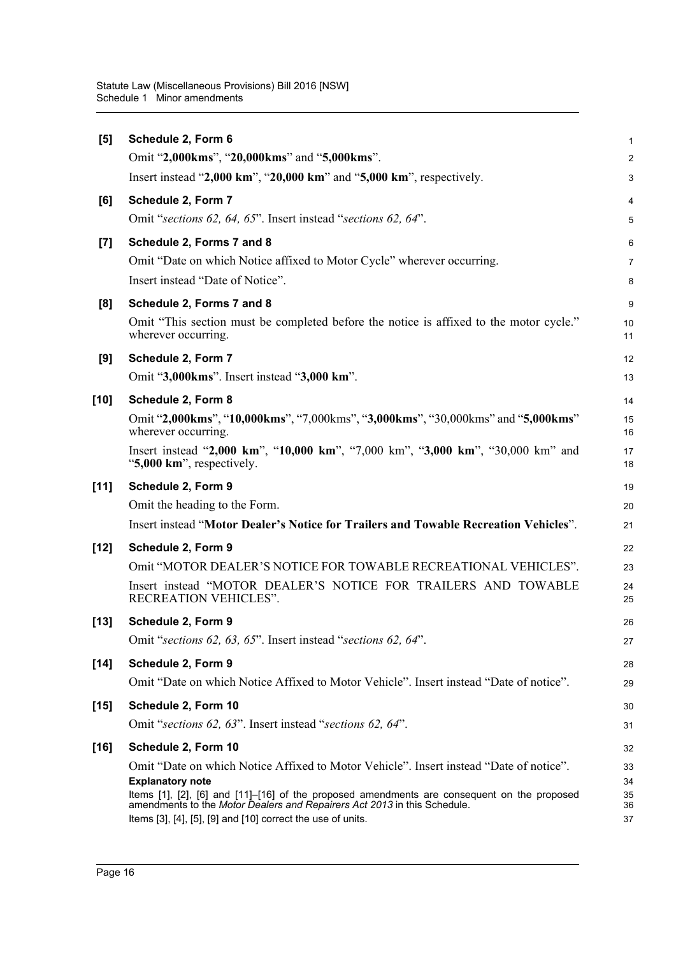| [5]    | Schedule 2, Form 6                                                                                                                                                                                                                     | $\mathbf{1}$   |
|--------|----------------------------------------------------------------------------------------------------------------------------------------------------------------------------------------------------------------------------------------|----------------|
|        | Omit "2,000kms", "20,000kms" and "5,000kms".                                                                                                                                                                                           | 2              |
|        | Insert instead "2,000 km", "20,000 km" and "5,000 km", respectively.                                                                                                                                                                   | 3              |
| [6]    | Schedule 2, Form 7                                                                                                                                                                                                                     | 4              |
|        | Omit "sections 62, 64, 65". Insert instead "sections 62, 64".                                                                                                                                                                          | 5              |
| $[7]$  | Schedule 2, Forms 7 and 8                                                                                                                                                                                                              | 6              |
|        | Omit "Date on which Notice affixed to Motor Cycle" wherever occurring.                                                                                                                                                                 | $\overline{7}$ |
|        | Insert instead "Date of Notice".                                                                                                                                                                                                       | 8              |
| [8]    | Schedule 2, Forms 7 and 8                                                                                                                                                                                                              | 9              |
|        | Omit "This section must be completed before the notice is affixed to the motor cycle."<br>wherever occurring.                                                                                                                          | 10<br>11       |
| [9]    | Schedule 2, Form 7                                                                                                                                                                                                                     | 12             |
|        | Omit "3,000kms". Insert instead "3,000 km".                                                                                                                                                                                            | 13             |
| $[10]$ | Schedule 2, Form 8                                                                                                                                                                                                                     | 14             |
|        | Omit "2,000kms", "10,000kms", "7,000kms", "3,000kms", "30,000kms" and "5,000kms"<br>wherever occurring.                                                                                                                                | 15<br>16       |
|        | Insert instead "2,000 km", "10,000 km", "7,000 km", "3,000 km", "30,000 km" and<br>"5,000 km", respectively.                                                                                                                           | 17<br>18       |
| $[11]$ | Schedule 2, Form 9                                                                                                                                                                                                                     | 19             |
|        | Omit the heading to the Form.                                                                                                                                                                                                          | 20             |
|        | Insert instead "Motor Dealer's Notice for Trailers and Towable Recreation Vehicles".                                                                                                                                                   | 21             |
| $[12]$ | Schedule 2, Form 9                                                                                                                                                                                                                     | 22             |
|        | Omit "MOTOR DEALER'S NOTICE FOR TOWABLE RECREATIONAL VEHICLES".                                                                                                                                                                        | 23             |
|        | Insert instead "MOTOR DEALER'S NOTICE FOR TRAILERS AND TOWABLE<br>RECREATION VEHICLES".                                                                                                                                                | 24<br>25       |
| $[13]$ | Schedule 2, Form 9                                                                                                                                                                                                                     | 26             |
|        | Omit "sections 62, 63, 65". Insert instead "sections 62, 64".                                                                                                                                                                          | 27             |
| $[14]$ | Schedule 2, Form 9                                                                                                                                                                                                                     | 28             |
|        | Omit "Date on which Notice Affixed to Motor Vehicle". Insert instead "Date of notice".                                                                                                                                                 | 29             |
| $[15]$ | Schedule 2, Form 10                                                                                                                                                                                                                    | 30             |
|        | Omit "sections 62, 63". Insert instead "sections 62, 64".                                                                                                                                                                              | 31             |
| $[16]$ | Schedule 2, Form 10                                                                                                                                                                                                                    | 32             |
|        | Omit "Date on which Notice Affixed to Motor Vehicle". Insert instead "Date of notice".                                                                                                                                                 | 33             |
|        | <b>Explanatory note</b>                                                                                                                                                                                                                | 34             |
|        | Items [1], [2], [6] and [11]-[16] of the proposed amendments are consequent on the proposed<br>amendments to the Motor Dealers and Repairers Act 2013 in this Schedule.<br>Items [3], [4], [5], [9] and [10] correct the use of units. | 35<br>36<br>37 |
|        |                                                                                                                                                                                                                                        |                |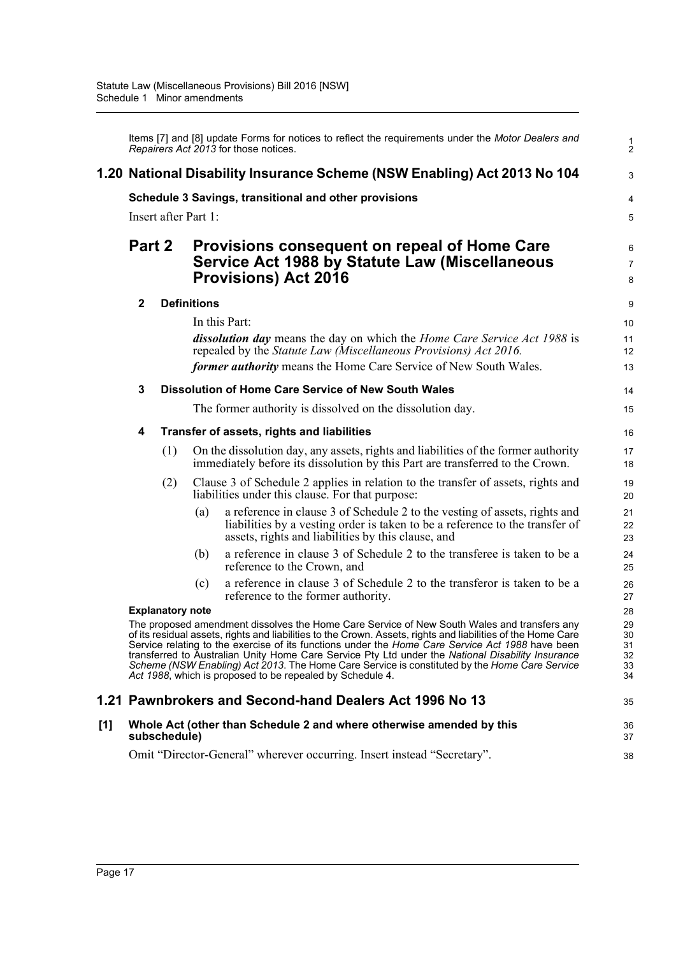|     |              |                         |                      | Items [7] and [8] update Forms for notices to reflect the requirements under the Motor Dealers and<br>Repairers Act 2013 for those notices.                                                                                                                                                                                                                                                                                                                                                                                                                                        | $\frac{1}{2}$                    |
|-----|--------------|-------------------------|----------------------|------------------------------------------------------------------------------------------------------------------------------------------------------------------------------------------------------------------------------------------------------------------------------------------------------------------------------------------------------------------------------------------------------------------------------------------------------------------------------------------------------------------------------------------------------------------------------------|----------------------------------|
|     |              |                         |                      | 1.20 National Disability Insurance Scheme (NSW Enabling) Act 2013 No 104                                                                                                                                                                                                                                                                                                                                                                                                                                                                                                           | 3                                |
|     |              |                         |                      | Schedule 3 Savings, transitional and other provisions                                                                                                                                                                                                                                                                                                                                                                                                                                                                                                                              | 4                                |
|     |              |                         | Insert after Part 1: |                                                                                                                                                                                                                                                                                                                                                                                                                                                                                                                                                                                    | 5                                |
|     | Part 2       |                         |                      | Provisions consequent on repeal of Home Care<br>Service Act 1988 by Statute Law (Miscellaneous<br><b>Provisions) Act 2016</b>                                                                                                                                                                                                                                                                                                                                                                                                                                                      | 6<br>$\overline{7}$<br>8         |
|     | $\mathbf{2}$ |                         | <b>Definitions</b>   |                                                                                                                                                                                                                                                                                                                                                                                                                                                                                                                                                                                    | 9                                |
|     |              |                         |                      | In this Part:                                                                                                                                                                                                                                                                                                                                                                                                                                                                                                                                                                      | 10                               |
|     |              |                         |                      | dissolution day means the day on which the Home Care Service Act 1988 is<br>repealed by the Statute Law (Miscellaneous Provisions) Act 2016.                                                                                                                                                                                                                                                                                                                                                                                                                                       | 11<br>12                         |
|     |              |                         |                      | former authority means the Home Care Service of New South Wales.                                                                                                                                                                                                                                                                                                                                                                                                                                                                                                                   | 13                               |
|     | 3            |                         |                      | <b>Dissolution of Home Care Service of New South Wales</b>                                                                                                                                                                                                                                                                                                                                                                                                                                                                                                                         | 14                               |
|     |              |                         |                      | The former authority is dissolved on the dissolution day.                                                                                                                                                                                                                                                                                                                                                                                                                                                                                                                          | 15                               |
|     | 4            |                         |                      | Transfer of assets, rights and liabilities                                                                                                                                                                                                                                                                                                                                                                                                                                                                                                                                         | 16                               |
|     |              | (1)                     |                      | On the dissolution day, any assets, rights and liabilities of the former authority<br>immediately before its dissolution by this Part are transferred to the Crown.                                                                                                                                                                                                                                                                                                                                                                                                                | 17<br>18                         |
|     |              | (2)                     |                      | Clause 3 of Schedule 2 applies in relation to the transfer of assets, rights and<br>liabilities under this clause. For that purpose:                                                                                                                                                                                                                                                                                                                                                                                                                                               | 19<br>20                         |
|     |              |                         | (a)                  | a reference in clause 3 of Schedule 2 to the vesting of assets, rights and<br>liabilities by a vesting order is taken to be a reference to the transfer of<br>assets, rights and liabilities by this clause, and                                                                                                                                                                                                                                                                                                                                                                   | 21<br>22<br>23                   |
|     |              |                         | (b)                  | a reference in clause 3 of Schedule 2 to the transferee is taken to be a<br>reference to the Crown, and                                                                                                                                                                                                                                                                                                                                                                                                                                                                            | 24<br>25                         |
|     |              |                         | (c)                  | a reference in clause 3 of Schedule 2 to the transferor is taken to be a<br>reference to the former authority.                                                                                                                                                                                                                                                                                                                                                                                                                                                                     | 26<br>27                         |
|     |              | <b>Explanatory note</b> |                      |                                                                                                                                                                                                                                                                                                                                                                                                                                                                                                                                                                                    | 28                               |
|     |              |                         |                      | The proposed amendment dissolves the Home Care Service of New South Wales and transfers any<br>of its residual assets, rights and liabilities to the Crown. Assets, rights and liabilities of the Home Care<br>Service relating to the exercise of its functions under the Home Care Service Act 1988 have been<br>transferred to Australian Unity Home Care Service Pty Ltd under the National Disability Insurance<br>Scheme (NSW Enabling) Act 2013. The Home Care Service is constituted by the Home Care Service<br>Act 1988, which is proposed to be repealed by Schedule 4. | 29<br>30<br>31<br>32<br>33<br>34 |
|     |              |                         |                      | 1.21 Pawnbrokers and Second-hand Dealers Act 1996 No 13                                                                                                                                                                                                                                                                                                                                                                                                                                                                                                                            | 35                               |
| [1] |              | subschedule)            |                      | Whole Act (other than Schedule 2 and where otherwise amended by this                                                                                                                                                                                                                                                                                                                                                                                                                                                                                                               | 36<br>37                         |
|     |              |                         |                      | Omit "Director-General" wherever occurring. Insert instead "Secretary".                                                                                                                                                                                                                                                                                                                                                                                                                                                                                                            | 38                               |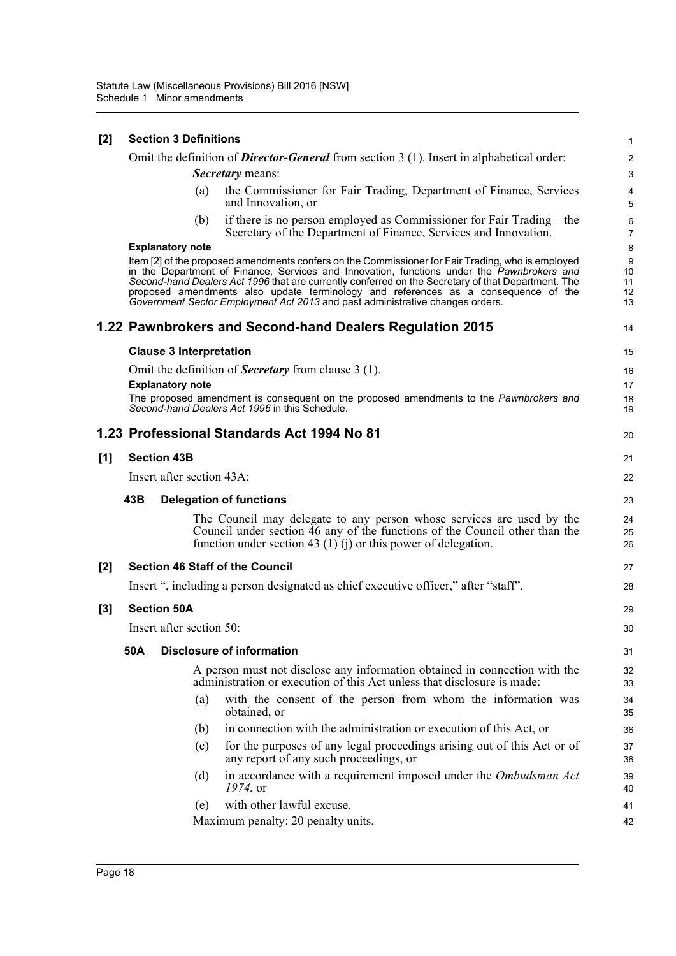| [2] |     | <b>Section 3 Definitions</b>   |                                                                                                                                                                                                                                                                                                                                                                                                                                                                              | 1                         |
|-----|-----|--------------------------------|------------------------------------------------------------------------------------------------------------------------------------------------------------------------------------------------------------------------------------------------------------------------------------------------------------------------------------------------------------------------------------------------------------------------------------------------------------------------------|---------------------------|
|     |     |                                | Omit the definition of <b>Director-General</b> from section $3(1)$ . Insert in alphabetical order:                                                                                                                                                                                                                                                                                                                                                                           | $\boldsymbol{2}$          |
|     |     |                                | Secretary means:                                                                                                                                                                                                                                                                                                                                                                                                                                                             | 3                         |
|     |     | (a)                            | the Commissioner for Fair Trading, Department of Finance, Services<br>and Innovation, or                                                                                                                                                                                                                                                                                                                                                                                     | 4<br>5                    |
|     |     | (b)                            | if there is no person employed as Commissioner for Fair Trading—the<br>Secretary of the Department of Finance, Services and Innovation.                                                                                                                                                                                                                                                                                                                                      | 6<br>7                    |
|     |     | <b>Explanatory note</b>        |                                                                                                                                                                                                                                                                                                                                                                                                                                                                              | 8                         |
|     |     |                                | Item [2] of the proposed amendments confers on the Commissioner for Fair Trading, who is employed<br>in the Department of Finance, Services and Innovation, functions under the Pawnbrokers and<br>Second-hand Dealers Act 1996 that are currently conferred on the Secretary of that Department. The<br>proposed amendments also update terminology and references as a consequence of the<br>Government Sector Employment Act 2013 and past administrative changes orders. | 9<br>10<br>11<br>12<br>13 |
|     |     |                                | 1.22 Pawnbrokers and Second-hand Dealers Regulation 2015                                                                                                                                                                                                                                                                                                                                                                                                                     | 14                        |
|     |     | <b>Clause 3 Interpretation</b> |                                                                                                                                                                                                                                                                                                                                                                                                                                                                              | 15                        |
|     |     |                                | Omit the definition of <b>Secretary</b> from clause 3 (1).                                                                                                                                                                                                                                                                                                                                                                                                                   | 16                        |
|     |     | <b>Explanatory note</b>        |                                                                                                                                                                                                                                                                                                                                                                                                                                                                              | 17                        |
|     |     |                                | The proposed amendment is consequent on the proposed amendments to the Pawnbrokers and<br>Second-hand Dealers Act 1996 in this Schedule.                                                                                                                                                                                                                                                                                                                                     | 18<br>19                  |
|     |     |                                | 1.23 Professional Standards Act 1994 No 81                                                                                                                                                                                                                                                                                                                                                                                                                                   | 20                        |
| [1] |     | <b>Section 43B</b>             |                                                                                                                                                                                                                                                                                                                                                                                                                                                                              | 21                        |
|     |     | Insert after section 43A:      |                                                                                                                                                                                                                                                                                                                                                                                                                                                                              | 22                        |
|     | 43B |                                | <b>Delegation of functions</b>                                                                                                                                                                                                                                                                                                                                                                                                                                               | 23                        |
|     |     |                                | The Council may delegate to any person whose services are used by the<br>Council under section 46 any of the functions of the Council other than the<br>function under section 43 (1) (j) or this power of delegation.                                                                                                                                                                                                                                                       | 24<br>25<br>26            |
| [2] |     |                                | <b>Section 46 Staff of the Council</b>                                                                                                                                                                                                                                                                                                                                                                                                                                       | 27                        |
|     |     |                                | Insert ", including a person designated as chief executive officer," after "staff".                                                                                                                                                                                                                                                                                                                                                                                          | 28                        |
| [3] |     | <b>Section 50A</b>             |                                                                                                                                                                                                                                                                                                                                                                                                                                                                              | 29                        |
|     |     | Insert after section 50:       |                                                                                                                                                                                                                                                                                                                                                                                                                                                                              | 30                        |
|     | 50A |                                | <b>Disclosure of information</b>                                                                                                                                                                                                                                                                                                                                                                                                                                             | 31                        |
|     |     |                                | A person must not disclose any information obtained in connection with the<br>administration or execution of this Act unless that disclosure is made:                                                                                                                                                                                                                                                                                                                        | 32<br>33                  |
|     |     |                                |                                                                                                                                                                                                                                                                                                                                                                                                                                                                              | 34                        |
|     |     | (a)                            | with the consent of the person from whom the information was<br>obtained, or                                                                                                                                                                                                                                                                                                                                                                                                 | 35                        |
|     |     | (b)                            | in connection with the administration or execution of this Act, or                                                                                                                                                                                                                                                                                                                                                                                                           | 36                        |
|     |     | (c)                            | for the purposes of any legal proceedings arising out of this Act or of<br>any report of any such proceedings, or                                                                                                                                                                                                                                                                                                                                                            | 37<br>38                  |
|     |     | (d)                            | in accordance with a requirement imposed under the Ombudsman Act<br>$1974$ , or                                                                                                                                                                                                                                                                                                                                                                                              | 39<br>40                  |
|     |     | (e)                            | with other lawful excuse.<br>Maximum penalty: 20 penalty units.                                                                                                                                                                                                                                                                                                                                                                                                              | 41                        |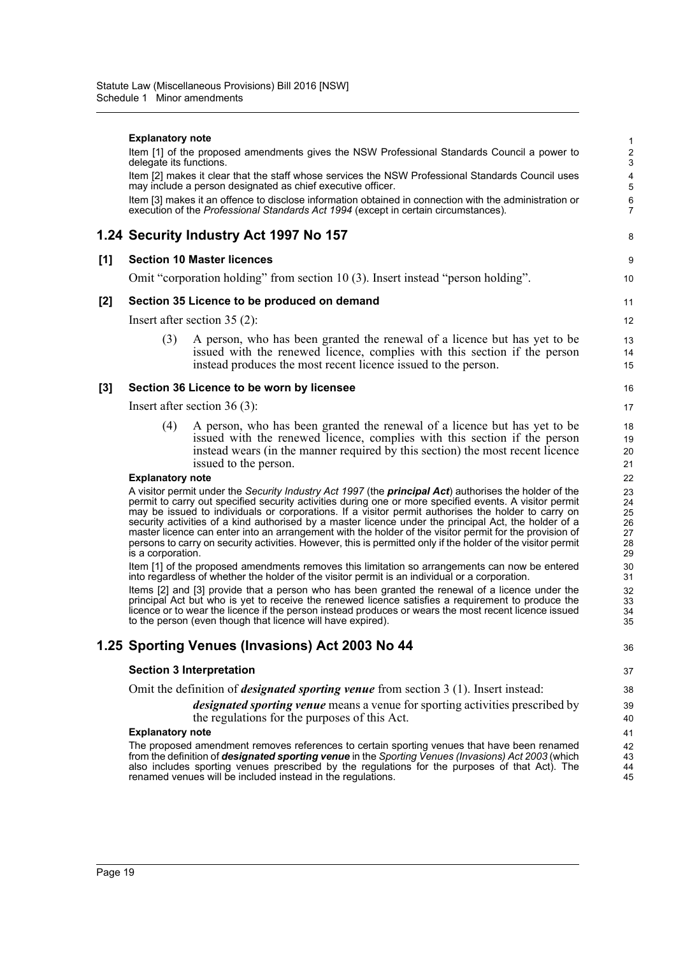|     | <b>Explanatory note</b> | Item [1] of the proposed amendments gives the NSW Professional Standards Council a power to                                                                                                                                                                                                                                                                                                                                                                                                                                                                                                                                                                          | 1<br>$\overline{c}$                    |
|-----|-------------------------|----------------------------------------------------------------------------------------------------------------------------------------------------------------------------------------------------------------------------------------------------------------------------------------------------------------------------------------------------------------------------------------------------------------------------------------------------------------------------------------------------------------------------------------------------------------------------------------------------------------------------------------------------------------------|----------------------------------------|
|     | delegate its functions. |                                                                                                                                                                                                                                                                                                                                                                                                                                                                                                                                                                                                                                                                      | 3                                      |
|     |                         | Item [2] makes it clear that the staff whose services the NSW Professional Standards Council uses<br>may include a person designated as chief executive officer.                                                                                                                                                                                                                                                                                                                                                                                                                                                                                                     | 4<br>5                                 |
|     |                         | Item [3] makes it an offence to disclose information obtained in connection with the administration or<br>execution of the Professional Standards Act 1994 (except in certain circumstances).                                                                                                                                                                                                                                                                                                                                                                                                                                                                        | 6<br>$\overline{7}$                    |
|     |                         | 1.24 Security Industry Act 1997 No 157                                                                                                                                                                                                                                                                                                                                                                                                                                                                                                                                                                                                                               | 8                                      |
| [1] |                         | <b>Section 10 Master licences</b>                                                                                                                                                                                                                                                                                                                                                                                                                                                                                                                                                                                                                                    | 9                                      |
|     |                         | Omit "corporation holding" from section 10 (3). Insert instead "person holding".                                                                                                                                                                                                                                                                                                                                                                                                                                                                                                                                                                                     | 10                                     |
| [2] |                         | Section 35 Licence to be produced on demand                                                                                                                                                                                                                                                                                                                                                                                                                                                                                                                                                                                                                          | 11                                     |
|     |                         | Insert after section $35(2)$ :                                                                                                                                                                                                                                                                                                                                                                                                                                                                                                                                                                                                                                       | 12                                     |
|     | (3)                     | A person, who has been granted the renewal of a licence but has yet to be<br>issued with the renewed licence, complies with this section if the person<br>instead produces the most recent licence issued to the person.                                                                                                                                                                                                                                                                                                                                                                                                                                             | 13<br>14<br>15                         |
| [3] |                         | Section 36 Licence to be worn by licensee                                                                                                                                                                                                                                                                                                                                                                                                                                                                                                                                                                                                                            | 16                                     |
|     |                         | Insert after section $36(3)$ :                                                                                                                                                                                                                                                                                                                                                                                                                                                                                                                                                                                                                                       | 17                                     |
|     | (4)                     | A person, who has been granted the renewal of a licence but has yet to be<br>issued with the renewed licence, complies with this section if the person<br>instead wears (in the manner required by this section) the most recent licence<br>issued to the person.                                                                                                                                                                                                                                                                                                                                                                                                    | 18<br>19<br>20<br>21                   |
|     | <b>Explanatory note</b> |                                                                                                                                                                                                                                                                                                                                                                                                                                                                                                                                                                                                                                                                      | 22                                     |
|     | is a corporation.       | A visitor permit under the Security Industry Act 1997 (the <b>principal Act</b> ) authorises the holder of the<br>permit to carry out specified security activities during one or more specified events. A visitor permit<br>may be issued to individuals or corporations. If a visitor permit authorises the holder to carry on<br>security activities of a kind authorised by a master licence under the principal Act, the holder of a<br>master licence can enter into an arrangement with the holder of the visitor permit for the provision of<br>persons to carry on security activities. However, this is permitted only if the holder of the visitor permit | 23<br>24<br>25<br>26<br>27<br>28<br>29 |
|     |                         | Item [1] of the proposed amendments removes this limitation so arrangements can now be entered<br>into regardless of whether the holder of the visitor permit is an individual or a corporation.                                                                                                                                                                                                                                                                                                                                                                                                                                                                     | 30<br>31                               |
|     |                         | Items [2] and [3] provide that a person who has been granted the renewal of a licence under the<br>principal Act but who is yet to receive the renewed licence satisfies a requirement to produce the<br>licence or to wear the licence if the person instead produces or wears the most recent licence issued<br>to the person (even though that licence will have expired).                                                                                                                                                                                                                                                                                        | 32<br>33<br>34<br>35                   |
|     |                         | 1.25 Sporting Venues (Invasions) Act 2003 No 44                                                                                                                                                                                                                                                                                                                                                                                                                                                                                                                                                                                                                      | 36                                     |
|     |                         | <b>Section 3 Interpretation</b>                                                                                                                                                                                                                                                                                                                                                                                                                                                                                                                                                                                                                                      | 37                                     |
|     |                         | Omit the definition of <i>designated sporting venue</i> from section $3(1)$ . Insert instead:                                                                                                                                                                                                                                                                                                                                                                                                                                                                                                                                                                        | 38                                     |
|     |                         | designated sporting venue means a venue for sporting activities prescribed by<br>the regulations for the purposes of this Act.                                                                                                                                                                                                                                                                                                                                                                                                                                                                                                                                       | 39<br>40                               |
|     | <b>Explanatory note</b> | The proposed amendment removes references to certain sporting venues that have been renamed                                                                                                                                                                                                                                                                                                                                                                                                                                                                                                                                                                          | 41                                     |
|     |                         | from the definition of <i>designated sporting venue</i> in the Sporting Venues (Invasions) Act 2003 (which<br>also includes sporting venues prescribed by the regulations for the purposes of that Act). The<br>renamed venues will be included instead in the regulations.                                                                                                                                                                                                                                                                                                                                                                                          | 42<br>43<br>44<br>45                   |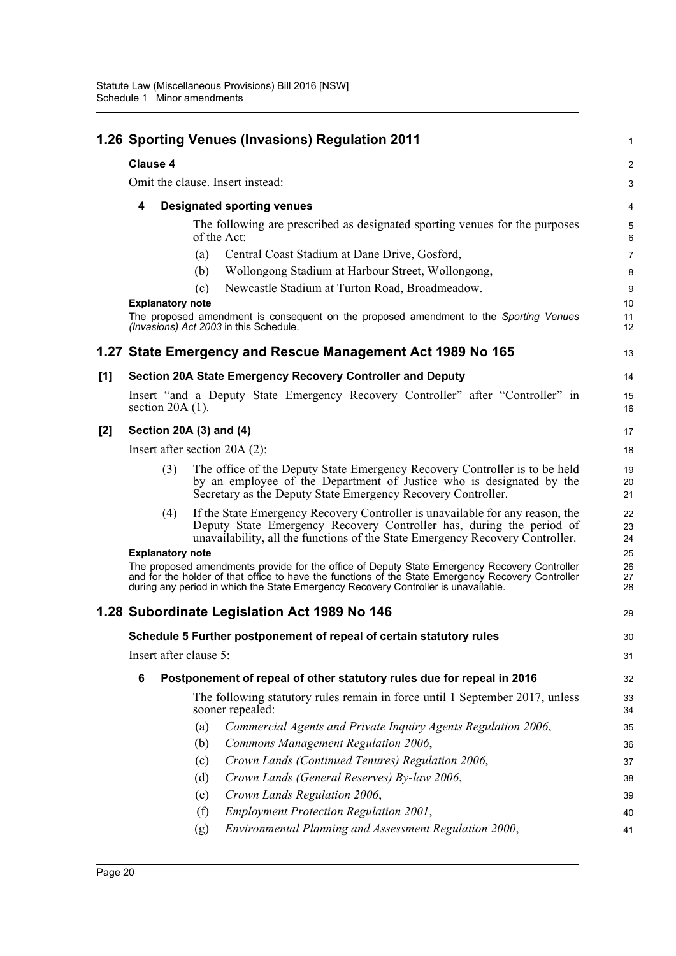|       |                         | 1.26 Sporting Venues (Invasions) Regulation 2011                                                                                                                                                                                                                                         | 1                    |
|-------|-------------------------|------------------------------------------------------------------------------------------------------------------------------------------------------------------------------------------------------------------------------------------------------------------------------------------|----------------------|
|       | <b>Clause 4</b>         |                                                                                                                                                                                                                                                                                          | 2                    |
|       |                         | Omit the clause. Insert instead:                                                                                                                                                                                                                                                         | 3                    |
|       | 4                       | <b>Designated sporting venues</b>                                                                                                                                                                                                                                                        | 4                    |
|       |                         | The following are prescribed as designated sporting venues for the purposes<br>of the Act:                                                                                                                                                                                               | 5<br>6               |
|       |                         | Central Coast Stadium at Dane Drive, Gosford,<br>(a)                                                                                                                                                                                                                                     | $\overline{7}$       |
|       |                         | Wollongong Stadium at Harbour Street, Wollongong,<br>(b)                                                                                                                                                                                                                                 | 8                    |
|       |                         | Newcastle Stadium at Turton Road, Broadmeadow.<br>(c)                                                                                                                                                                                                                                    | 9                    |
|       | <b>Explanatory note</b> | The proposed amendment is consequent on the proposed amendment to the Sporting Venues<br>(Invasions) Act 2003 in this Schedule.                                                                                                                                                          | 10<br>11<br>12       |
|       |                         | 1.27 State Emergency and Rescue Management Act 1989 No 165                                                                                                                                                                                                                               | 13                   |
| [1]   |                         | <b>Section 20A State Emergency Recovery Controller and Deputy</b>                                                                                                                                                                                                                        | 14                   |
|       | section $20A(1)$ .      | Insert "and a Deputy State Emergency Recovery Controller" after "Controller" in                                                                                                                                                                                                          | 15<br>16             |
| $[2]$ |                         | Section 20A (3) and (4)                                                                                                                                                                                                                                                                  | 17                   |
|       |                         | Insert after section $20A(2)$ :                                                                                                                                                                                                                                                          | 18                   |
|       | (3)                     | The office of the Deputy State Emergency Recovery Controller is to be held<br>by an employee of the Department of Justice who is designated by the<br>Secretary as the Deputy State Emergency Recovery Controller.                                                                       | 19<br>20<br>21       |
|       | (4)                     | If the State Emergency Recovery Controller is unavailable for any reason, the<br>Deputy State Emergency Recovery Controller has, during the period of<br>unavailability, all the functions of the State Emergency Recovery Controller.                                                   | 22<br>23<br>24       |
|       | <b>Explanatory note</b> | The proposed amendments provide for the office of Deputy State Emergency Recovery Controller<br>and for the holder of that office to have the functions of the State Emergency Recovery Controller<br>during any period in which the State Emergency Recovery Controller is unavailable. | 25<br>26<br>27<br>28 |
|       |                         | 1.28 Subordinate Legislation Act 1989 No 146                                                                                                                                                                                                                                             | 29                   |
|       |                         | Schedule 5 Further postponement of repeal of certain statutory rules                                                                                                                                                                                                                     | 30                   |
|       | Insert after clause 5:  |                                                                                                                                                                                                                                                                                          | 31                   |
|       | 6                       | Postponement of repeal of other statutory rules due for repeal in 2016                                                                                                                                                                                                                   | 32                   |
|       |                         | The following statutory rules remain in force until 1 September 2017, unless<br>sooner repealed:                                                                                                                                                                                         | 33<br>34             |
|       |                         | Commercial Agents and Private Inquiry Agents Regulation 2006,<br>(a)                                                                                                                                                                                                                     | 35                   |
|       |                         | Commons Management Regulation 2006,<br>(b)                                                                                                                                                                                                                                               | 36                   |
|       |                         | Crown Lands (Continued Tenures) Regulation 2006,<br>(c)                                                                                                                                                                                                                                  | 37                   |
|       |                         | Crown Lands (General Reserves) By-law 2006,<br>(d)                                                                                                                                                                                                                                       | 38                   |
|       |                         | Crown Lands Regulation 2006,<br>(e)                                                                                                                                                                                                                                                      | 39                   |
|       |                         | <b>Employment Protection Regulation 2001,</b><br>(f)                                                                                                                                                                                                                                     | 40                   |
|       |                         | Environmental Planning and Assessment Regulation 2000,<br>(g)                                                                                                                                                                                                                            | 41                   |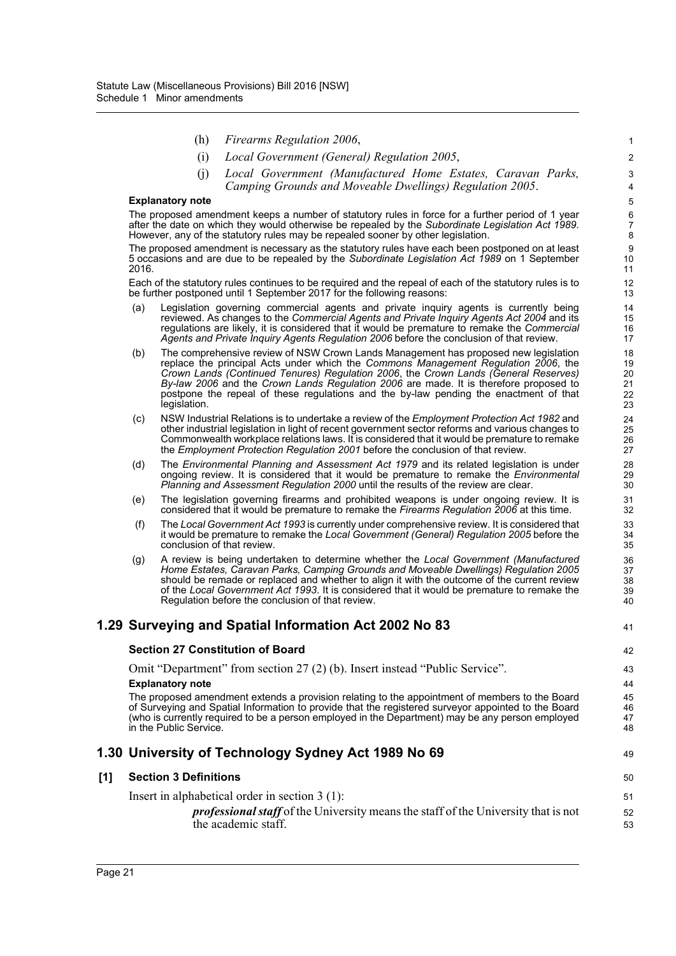|     |       | (h)                          | Firearms Regulation 2006,                                                                                                                                                                                                                                                                                                                                                                                                                          | 1                                |
|-----|-------|------------------------------|----------------------------------------------------------------------------------------------------------------------------------------------------------------------------------------------------------------------------------------------------------------------------------------------------------------------------------------------------------------------------------------------------------------------------------------------------|----------------------------------|
|     |       | (i)                          | Local Government (General) Regulation 2005,                                                                                                                                                                                                                                                                                                                                                                                                        | $\overline{2}$                   |
|     |       | (j)                          | Local Government (Manufactured Home Estates, Caravan Parks,<br>Camping Grounds and Moveable Dwellings) Regulation 2005.                                                                                                                                                                                                                                                                                                                            | 3<br>$\overline{4}$              |
|     |       | <b>Explanatory note</b>      |                                                                                                                                                                                                                                                                                                                                                                                                                                                    | 5                                |
|     |       |                              | The proposed amendment keeps a number of statutory rules in force for a further period of 1 year<br>after the date on which they would otherwise be repealed by the Subordinate Legislation Act 1989.<br>However, any of the statutory rules may be repealed sooner by other legislation.                                                                                                                                                          | $\,6\,$<br>$\boldsymbol{7}$<br>8 |
|     | 2016. |                              | The proposed amendment is necessary as the statutory rules have each been postponed on at least<br>5 occasions and are due to be repealed by the Subordinate Legislation Act 1989 on 1 September                                                                                                                                                                                                                                                   | $\boldsymbol{9}$<br>10<br>11     |
|     |       |                              | Each of the statutory rules continues to be required and the repeal of each of the statutory rules is to<br>be further postponed until 1 September 2017 for the following reasons:                                                                                                                                                                                                                                                                 | 12<br>13                         |
|     | (a)   |                              | Legislation governing commercial agents and private inquiry agents is currently being<br>reviewed. As changes to the Commercial Agents and Private Inquiry Agents Act 2004 and its<br>regulations are likely, it is considered that it would be premature to remake the Commercial<br>Agents and Private Inquiry Agents Regulation 2006 before the conclusion of that review.                                                                      | 14<br>15<br>16<br>17             |
|     | (b)   | legislation.                 | The comprehensive review of NSW Crown Lands Management has proposed new legislation<br>replace the principal Acts under which the Commons Management Regulation 2006, the<br>Crown Lands (Continued Tenures) Regulation 2006, the Crown Lands (General Reserves)<br>By-law 2006 and the Crown Lands Regulation 2006 are made. It is therefore proposed to<br>postpone the repeal of these regulations and the by-law pending the enactment of that | 18<br>19<br>20<br>21<br>22<br>23 |
|     | (c)   |                              | NSW Industrial Relations is to undertake a review of the <i>Employment Protection Act 1982</i> and<br>other industrial legislation in light of recent government sector reforms and various changes to<br>Commonwealth workplace relations laws. It is considered that it would be premature to remake<br>the Employment Protection Regulation 2001 before the conclusion of that review.                                                          | 24<br>25<br>26<br>27             |
|     | (d)   |                              | The Environmental Planning and Assessment Act 1979 and its related legislation is under<br>ongoing review. It is considered that it would be premature to remake the <i>Environmental</i><br>Planning and Assessment Regulation 2000 until the results of the review are clear.                                                                                                                                                                    | 28<br>29<br>30                   |
|     | (e)   |                              | The legislation governing firearms and prohibited weapons is under ongoing review. It is<br>considered that it would be premature to remake the Firearms Regulation 2006 at this time.                                                                                                                                                                                                                                                             | 31<br>32                         |
|     | (f)   |                              | The Local Government Act 1993 is currently under comprehensive review. It is considered that<br>it would be premature to remake the Local Government (General) Regulation 2005 before the<br>conclusion of that review.                                                                                                                                                                                                                            | 33<br>34<br>35                   |
|     | (g)   |                              | A review is being undertaken to determine whether the Local Government (Manufactured<br>Home Estates, Caravan Parks, Camping Grounds and Moveable Dwellings) Regulation 2005<br>should be remade or replaced and whether to align it with the outcome of the current review<br>of the Local Government Act 1993. It is considered that it would be premature to remake the<br>Regulation before the conclusion of that review.                     | 36<br>37<br>38<br>39<br>40       |
|     |       |                              | 1.29 Surveying and Spatial Information Act 2002 No 83                                                                                                                                                                                                                                                                                                                                                                                              | 41                               |
|     |       |                              | <b>Section 27 Constitution of Board</b>                                                                                                                                                                                                                                                                                                                                                                                                            | 42                               |
|     |       |                              | Omit "Department" from section 27 (2) (b). Insert instead "Public Service".                                                                                                                                                                                                                                                                                                                                                                        | 43                               |
|     |       | <b>Explanatory note</b>      |                                                                                                                                                                                                                                                                                                                                                                                                                                                    | 44                               |
|     |       | in the Public Service.       | The proposed amendment extends a provision relating to the appointment of members to the Board<br>of Surveying and Spatial Information to provide that the registered surveyor appointed to the Board<br>(who is currently required to be a person employed in the Department) may be any person employed                                                                                                                                          | 45<br>46<br>47<br>48             |
|     |       |                              | 1.30 University of Technology Sydney Act 1989 No 69                                                                                                                                                                                                                                                                                                                                                                                                | 49                               |
| [1] |       | <b>Section 3 Definitions</b> |                                                                                                                                                                                                                                                                                                                                                                                                                                                    | 50                               |
|     |       |                              | Insert in alphabetical order in section $3(1)$ :                                                                                                                                                                                                                                                                                                                                                                                                   | 51                               |
|     |       |                              | <i>professional staff</i> of the University means the staff of the University that is not<br>the academic staff.                                                                                                                                                                                                                                                                                                                                   | 52<br>53                         |
|     |       |                              |                                                                                                                                                                                                                                                                                                                                                                                                                                                    |                                  |

 $[1]$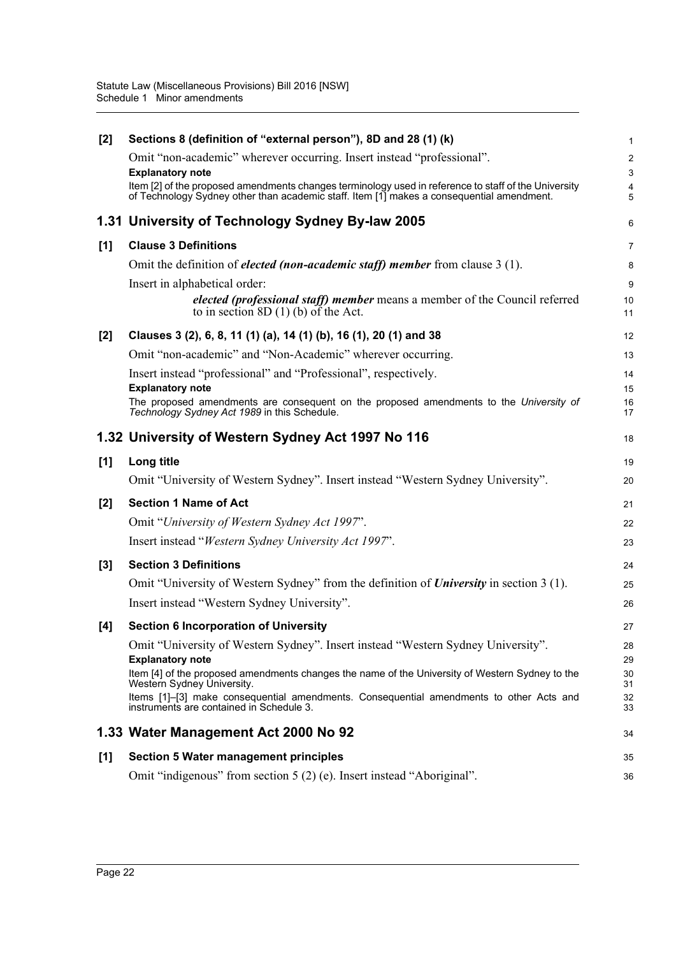| $[2]$ | Sections 8 (definition of "external person"), 8D and 28 (1) (k)                                                                                                                                   | 1                   |
|-------|---------------------------------------------------------------------------------------------------------------------------------------------------------------------------------------------------|---------------------|
|       | Omit "non-academic" wherever occurring. Insert instead "professional".                                                                                                                            | $\overline{c}$      |
|       | <b>Explanatory note</b>                                                                                                                                                                           | 3                   |
|       | Item [2] of the proposed amendments changes terminology used in reference to staff of the University<br>of Technology Sydney other than academic staff. Item [1] makes a consequential amendment. | $\overline{4}$<br>5 |
|       | 1.31 University of Technology Sydney By-law 2005                                                                                                                                                  | 6                   |
| [1]   | <b>Clause 3 Definitions</b>                                                                                                                                                                       | 7                   |
|       | Omit the definition of <i>elected (non-academic staff)</i> member from clause $3(1)$ .                                                                                                            | 8                   |
|       | Insert in alphabetical order:                                                                                                                                                                     | 9                   |
|       | elected (professional staff) member means a member of the Council referred<br>to in section 8D $(1)$ (b) of the Act.                                                                              | 10<br>11            |
| $[2]$ | Clauses 3 (2), 6, 8, 11 (1) (a), 14 (1) (b), 16 (1), 20 (1) and 38                                                                                                                                | 12                  |
|       | Omit "non-academic" and "Non-Academic" wherever occurring.                                                                                                                                        | 13                  |
|       | Insert instead "professional" and "Professional", respectively.                                                                                                                                   | 14                  |
|       | <b>Explanatory note</b>                                                                                                                                                                           | 15                  |
|       | The proposed amendments are consequent on the proposed amendments to the University of<br>Technology Sydney Act 1989 in this Schedule.                                                            | 16<br>17            |
|       | 1.32 University of Western Sydney Act 1997 No 116                                                                                                                                                 | 18                  |
| [1]   | Long title                                                                                                                                                                                        | 19                  |
|       | Omit "University of Western Sydney". Insert instead "Western Sydney University".                                                                                                                  | 20                  |
| $[2]$ | <b>Section 1 Name of Act</b>                                                                                                                                                                      | 21                  |
|       | Omit "University of Western Sydney Act 1997".                                                                                                                                                     | 22                  |
|       | Insert instead "Western Sydney University Act 1997".                                                                                                                                              | 23                  |
| $[3]$ | <b>Section 3 Definitions</b>                                                                                                                                                                      | 24                  |
|       | Omit "University of Western Sydney" from the definition of <i>University</i> in section 3 (1).                                                                                                    | 25                  |
|       | Insert instead "Western Sydney University".                                                                                                                                                       | 26                  |
| [4]   | <b>Section 6 Incorporation of University</b>                                                                                                                                                      | 27                  |
|       | Omit "University of Western Sydney". Insert instead "Western Sydney University".                                                                                                                  | 28                  |
|       | <b>Explanatory note</b>                                                                                                                                                                           | 29                  |
|       | Item [4] of the proposed amendments changes the name of the University of Western Sydney to the<br>Western Sydney University.                                                                     | 30<br>31            |
|       | Items [1]-[3] make consequential amendments. Consequential amendments to other Acts and<br>instruments are contained in Schedule 3.                                                               | 32<br>33            |
|       | 1.33 Water Management Act 2000 No 92                                                                                                                                                              | 34                  |
| [1]   | <b>Section 5 Water management principles</b>                                                                                                                                                      | 35                  |
|       | Omit "indigenous" from section 5 (2) (e). Insert instead "Aboriginal".                                                                                                                            | 36                  |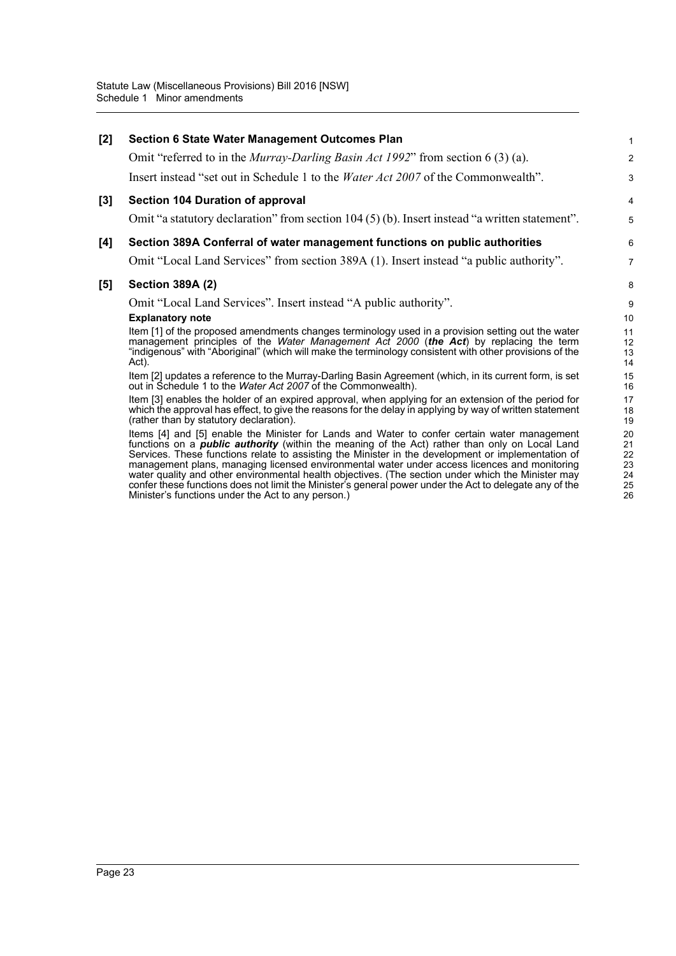Minister's functions under the Act to any person.)

| [2] | <b>Section 6 State Water Management Outcomes Plan</b>                                                                                                                                                                                                                                                                                                                                                                                                                                                                                                                                                                        | 1                                |  |  |  |
|-----|------------------------------------------------------------------------------------------------------------------------------------------------------------------------------------------------------------------------------------------------------------------------------------------------------------------------------------------------------------------------------------------------------------------------------------------------------------------------------------------------------------------------------------------------------------------------------------------------------------------------------|----------------------------------|--|--|--|
|     | Omit "referred to in the <i>Murray-Darling Basin Act 1992</i> " from section 6 (3) (a).                                                                                                                                                                                                                                                                                                                                                                                                                                                                                                                                      | $\overline{\mathbf{c}}$          |  |  |  |
|     | Insert instead "set out in Schedule 1 to the <i>Water Act 2007</i> of the Commonwealth".                                                                                                                                                                                                                                                                                                                                                                                                                                                                                                                                     | 3                                |  |  |  |
| [3] | <b>Section 104 Duration of approval</b>                                                                                                                                                                                                                                                                                                                                                                                                                                                                                                                                                                                      | 4                                |  |  |  |
|     | Omit "a statutory declaration" from section $104(5)$ (b). Insert instead "a written statement".                                                                                                                                                                                                                                                                                                                                                                                                                                                                                                                              | 5                                |  |  |  |
| [4] | Section 389A Conferral of water management functions on public authorities                                                                                                                                                                                                                                                                                                                                                                                                                                                                                                                                                   | 6                                |  |  |  |
|     | Omit "Local Land Services" from section 389A (1). Insert instead "a public authority".                                                                                                                                                                                                                                                                                                                                                                                                                                                                                                                                       | 7                                |  |  |  |
| [5] | <b>Section 389A (2)</b>                                                                                                                                                                                                                                                                                                                                                                                                                                                                                                                                                                                                      |                                  |  |  |  |
|     | Omit "Local Land Services". Insert instead "A public authority".                                                                                                                                                                                                                                                                                                                                                                                                                                                                                                                                                             | 9                                |  |  |  |
|     | <b>Explanatory note</b>                                                                                                                                                                                                                                                                                                                                                                                                                                                                                                                                                                                                      | 10                               |  |  |  |
|     | Item [1] of the proposed amendments changes terminology used in a provision setting out the water<br>management principles of the Water Management Act 2000 (the Act) by replacing the term<br>"indigenous" with "Aboriginal" (which will make the terminology consistent with other provisions of the<br>Act).                                                                                                                                                                                                                                                                                                              | 11<br>12<br>13<br>14             |  |  |  |
|     | Item [2] updates a reference to the Murray-Darling Basin Agreement (which, in its current form, is set<br>out in Schedule 1 to the Water Act 2007 of the Commonwealth).                                                                                                                                                                                                                                                                                                                                                                                                                                                      | 15<br>16                         |  |  |  |
|     | Item [3] enables the holder of an expired approval, when applying for an extension of the period for<br>which the approval has effect, to give the reasons for the delay in applying by way of written statement<br>(rather than by statutory declaration).                                                                                                                                                                                                                                                                                                                                                                  | 17<br>18<br>19                   |  |  |  |
|     | Items [4] and [5] enable the Minister for Lands and Water to confer certain water management<br>functions on a <i>public authority</i> (within the meaning of the Act) rather than only on Local Land<br>Services. These functions relate to assisting the Minister in the development or implementation of<br>management plans, managing licensed environmental water under access licences and monitoring<br>water quality and other environmental health objectives. (The section under which the Minister may<br>confer these functions does not limit the Minister's general power under the Act to delegate any of the | 20<br>21<br>22<br>23<br>24<br>25 |  |  |  |

26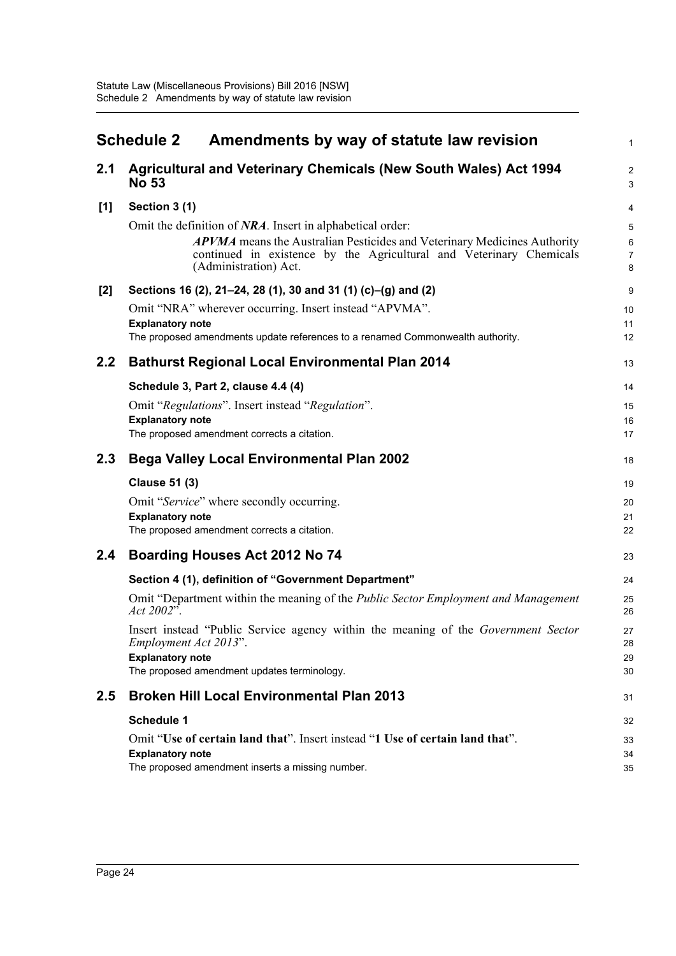<span id="page-27-0"></span>

|     | <b>Schedule 2</b><br>Amendments by way of statute law revision                                                                                                           | $\mathbf{1}$                   |
|-----|--------------------------------------------------------------------------------------------------------------------------------------------------------------------------|--------------------------------|
| 2.1 | Agricultural and Veterinary Chemicals (New South Wales) Act 1994<br><b>No 53</b>                                                                                         | $\overline{c}$<br>$\mathbf{3}$ |
| [1] | Section 3 (1)                                                                                                                                                            | $\overline{4}$                 |
|     | Omit the definition of NRA. Insert in alphabetical order:                                                                                                                | 5                              |
|     | APVMA means the Australian Pesticides and Veterinary Medicines Authority<br>continued in existence by the Agricultural and Veterinary Chemicals<br>(Administration) Act. | $\,6\,$<br>$\overline{7}$<br>8 |
| [2] | Sections 16 (2), 21–24, 28 (1), 30 and 31 (1) (c)–(g) and (2)                                                                                                            | 9                              |
|     | Omit "NRA" wherever occurring. Insert instead "APVMA".                                                                                                                   | 10                             |
|     | <b>Explanatory note</b>                                                                                                                                                  | 11                             |
|     | The proposed amendments update references to a renamed Commonwealth authority.                                                                                           | 12                             |
| 2.2 | <b>Bathurst Regional Local Environmental Plan 2014</b>                                                                                                                   | 13                             |
|     | Schedule 3, Part 2, clause 4.4 (4)                                                                                                                                       | 14                             |
|     | Omit "Regulations". Insert instead "Regulation".                                                                                                                         | 15                             |
|     | <b>Explanatory note</b>                                                                                                                                                  | 16                             |
|     | The proposed amendment corrects a citation.                                                                                                                              | 17                             |
| 2.3 | <b>Bega Valley Local Environmental Plan 2002</b>                                                                                                                         | 18                             |
|     | <b>Clause 51 (3)</b>                                                                                                                                                     | 19                             |
|     | Omit "Service" where secondly occurring.                                                                                                                                 | 20                             |
|     | <b>Explanatory note</b>                                                                                                                                                  | 21                             |
|     | The proposed amendment corrects a citation.                                                                                                                              | 22                             |
| 2.4 | Boarding Houses Act 2012 No 74                                                                                                                                           | 23                             |
|     | Section 4 (1), definition of "Government Department"                                                                                                                     | 24                             |
|     | Omit "Department within the meaning of the <i>Public Sector Employment and Management</i><br>Act $2002$ <sup>5</sup> .                                                   | 25<br>26                       |
|     | Insert instead "Public Service agency within the meaning of the Government Sector<br>Employment Act 2013".<br><b>Explanatory note</b>                                    | 27<br>28<br>29                 |
|     | The proposed amendment updates terminology.                                                                                                                              | 30                             |
| 2.5 | <b>Broken Hill Local Environmental Plan 2013</b>                                                                                                                         | 31                             |
|     | <b>Schedule 1</b>                                                                                                                                                        | 32                             |
|     | Omit "Use of certain land that". Insert instead "1 Use of certain land that".                                                                                            | 33                             |
|     | <b>Explanatory note</b>                                                                                                                                                  | 34                             |
|     | The proposed amendment inserts a missing number.                                                                                                                         | 35                             |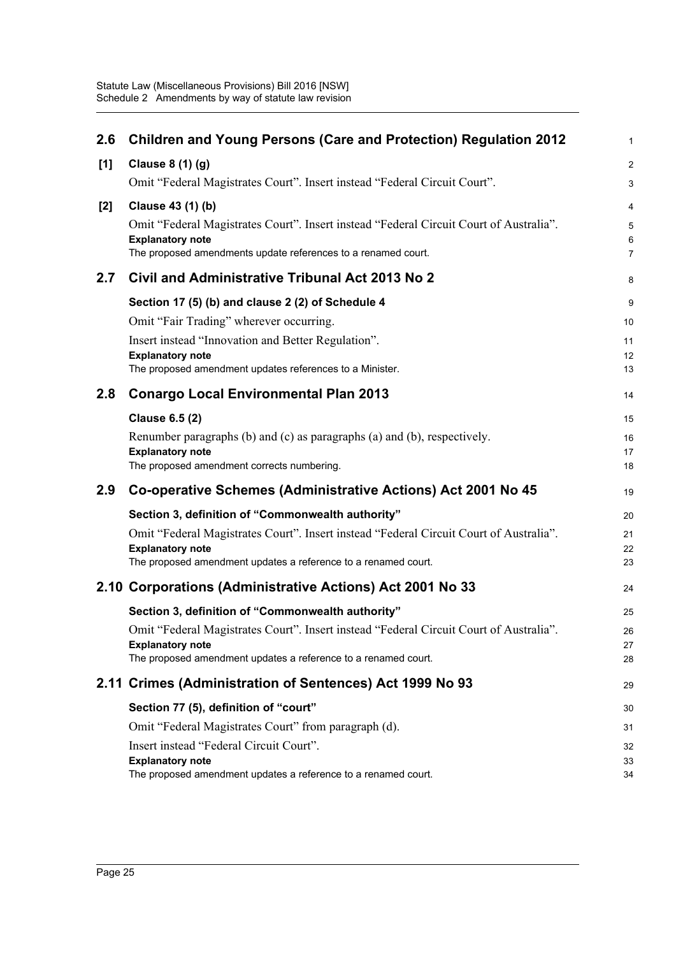| 2.6 | <b>Children and Young Persons (Care and Protection) Regulation 2012</b>                   | $\mathbf{1}$            |
|-----|-------------------------------------------------------------------------------------------|-------------------------|
| [1] | Clause 8 (1) (g)                                                                          | $\overline{2}$          |
|     | Omit "Federal Magistrates Court". Insert instead "Federal Circuit Court".                 | $\mathbf{3}$            |
| [2] | Clause 43 (1) (b)                                                                         | 4                       |
|     | Omit "Federal Magistrates Court". Insert instead "Federal Circuit Court of Australia".    | 5                       |
|     | <b>Explanatory note</b><br>The proposed amendments update references to a renamed court.  | $\,6$<br>$\overline{7}$ |
| 2.7 | Civil and Administrative Tribunal Act 2013 No 2                                           | 8                       |
|     | Section 17 (5) (b) and clause 2 (2) of Schedule 4                                         | 9                       |
|     | Omit "Fair Trading" wherever occurring.                                                   | 10                      |
|     | Insert instead "Innovation and Better Regulation".                                        | 11                      |
|     | <b>Explanatory note</b>                                                                   | 12                      |
|     | The proposed amendment updates references to a Minister.                                  | 13                      |
| 2.8 | <b>Conargo Local Environmental Plan 2013</b>                                              | 14                      |
|     | <b>Clause 6.5 (2)</b>                                                                     | 15                      |
|     | Renumber paragraphs (b) and (c) as paragraphs (a) and (b), respectively.                  | 16                      |
|     | <b>Explanatory note</b><br>The proposed amendment corrects numbering.                     | 17<br>18                |
| 2.9 |                                                                                           |                         |
|     | Co-operative Schemes (Administrative Actions) Act 2001 No 45                              | 19                      |
|     | Section 3, definition of "Commonwealth authority"                                         | 20                      |
|     |                                                                                           |                         |
|     | Omit "Federal Magistrates Court". Insert instead "Federal Circuit Court of Australia".    | 21                      |
|     | <b>Explanatory note</b>                                                                   | 22<br>23                |
|     | The proposed amendment updates a reference to a renamed court.                            |                         |
|     | 2.10 Corporations (Administrative Actions) Act 2001 No 33                                 | 24                      |
|     | Section 3, definition of "Commonwealth authority"                                         | 25                      |
|     | Omit "Federal Magistrates Court". Insert instead "Federal Circuit Court of Australia".    | 26                      |
|     | <b>Explanatory note</b><br>The proposed amendment updates a reference to a renamed court. | 27<br>28                |
|     | 2.11 Crimes (Administration of Sentences) Act 1999 No 93                                  | 29                      |
|     | Section 77 (5), definition of "court"                                                     | 30                      |
|     | Omit "Federal Magistrates Court" from paragraph (d).                                      | 31                      |
|     | Insert instead "Federal Circuit Court".                                                   | 32                      |
|     | <b>Explanatory note</b><br>The proposed amendment updates a reference to a renamed court. | 33<br>34                |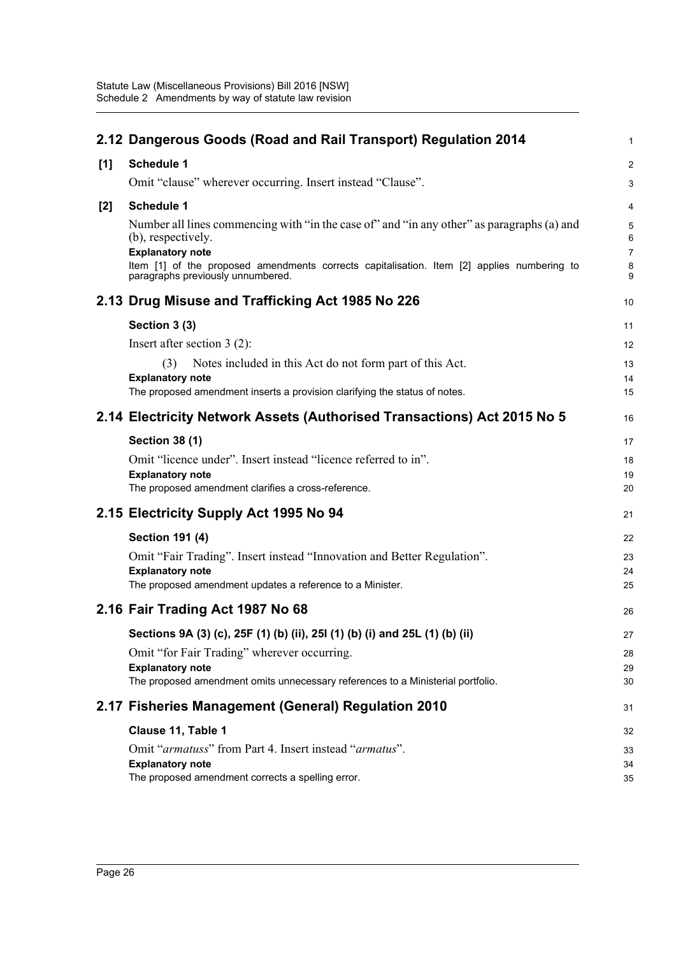|       | 2.12 Dangerous Goods (Road and Rail Transport) Regulation 2014                                                                                                                                                                                                                 | $\mathbf{1}$                       |
|-------|--------------------------------------------------------------------------------------------------------------------------------------------------------------------------------------------------------------------------------------------------------------------------------|------------------------------------|
| [1]   | <b>Schedule 1</b>                                                                                                                                                                                                                                                              | $\overline{2}$                     |
|       | Omit "clause" wherever occurring. Insert instead "Clause".                                                                                                                                                                                                                     | 3                                  |
| $[2]$ | <b>Schedule 1</b>                                                                                                                                                                                                                                                              | 4                                  |
|       | Number all lines commencing with "in the case of" and "in any other" as paragraphs (a) and<br>(b), respectively.<br><b>Explanatory note</b><br>Item [1] of the proposed amendments corrects capitalisation. Item [2] applies numbering to<br>paragraphs previously unnumbered. | 5<br>6<br>$\overline{7}$<br>8<br>9 |
|       | 2.13 Drug Misuse and Trafficking Act 1985 No 226                                                                                                                                                                                                                               | 10                                 |
|       | Section 3 (3)                                                                                                                                                                                                                                                                  | 11                                 |
|       | Insert after section $3(2)$ :                                                                                                                                                                                                                                                  | 12                                 |
|       | Notes included in this Act do not form part of this Act.<br>(3)                                                                                                                                                                                                                | 13                                 |
|       | <b>Explanatory note</b>                                                                                                                                                                                                                                                        | 14                                 |
|       | The proposed amendment inserts a provision clarifying the status of notes.                                                                                                                                                                                                     | 15                                 |
|       | 2.14 Electricity Network Assets (Authorised Transactions) Act 2015 No 5                                                                                                                                                                                                        | 16                                 |
|       | <b>Section 38 (1)</b>                                                                                                                                                                                                                                                          | 17                                 |
|       | Omit "licence under". Insert instead "licence referred to in".                                                                                                                                                                                                                 | 18                                 |
|       | <b>Explanatory note</b><br>The proposed amendment clarifies a cross-reference.                                                                                                                                                                                                 | 19<br>20                           |
|       | 2.15 Electricity Supply Act 1995 No 94                                                                                                                                                                                                                                         | 21                                 |
|       | <b>Section 191 (4)</b>                                                                                                                                                                                                                                                         | 22                                 |
|       | Omit "Fair Trading". Insert instead "Innovation and Better Regulation".                                                                                                                                                                                                        | 23                                 |
|       | <b>Explanatory note</b><br>The proposed amendment updates a reference to a Minister.                                                                                                                                                                                           | 24<br>25                           |
|       |                                                                                                                                                                                                                                                                                |                                    |
|       | 2.16 Fair Trading Act 1987 No 68                                                                                                                                                                                                                                               | 26                                 |
|       | Sections 9A (3) (c), 25F (1) (b) (ii), 25I (1) (b) (i) and 25L (1) (b) (ii)                                                                                                                                                                                                    | 27                                 |
|       | Omit "for Fair Trading" wherever occurring.                                                                                                                                                                                                                                    | 28                                 |
|       | <b>Explanatory note</b><br>The proposed amendment omits unnecessary references to a Ministerial portfolio.                                                                                                                                                                     | 29<br>30                           |
|       |                                                                                                                                                                                                                                                                                |                                    |
|       | 2.17 Fisheries Management (General) Regulation 2010                                                                                                                                                                                                                            | 31                                 |
|       | Clause 11, Table 1                                                                                                                                                                                                                                                             | 32                                 |
|       | Omit "armatuss" from Part 4. Insert instead "armatus".<br><b>Explanatory note</b>                                                                                                                                                                                              | 33<br>34                           |
|       | The proposed amendment corrects a spelling error.                                                                                                                                                                                                                              | 35                                 |
|       |                                                                                                                                                                                                                                                                                |                                    |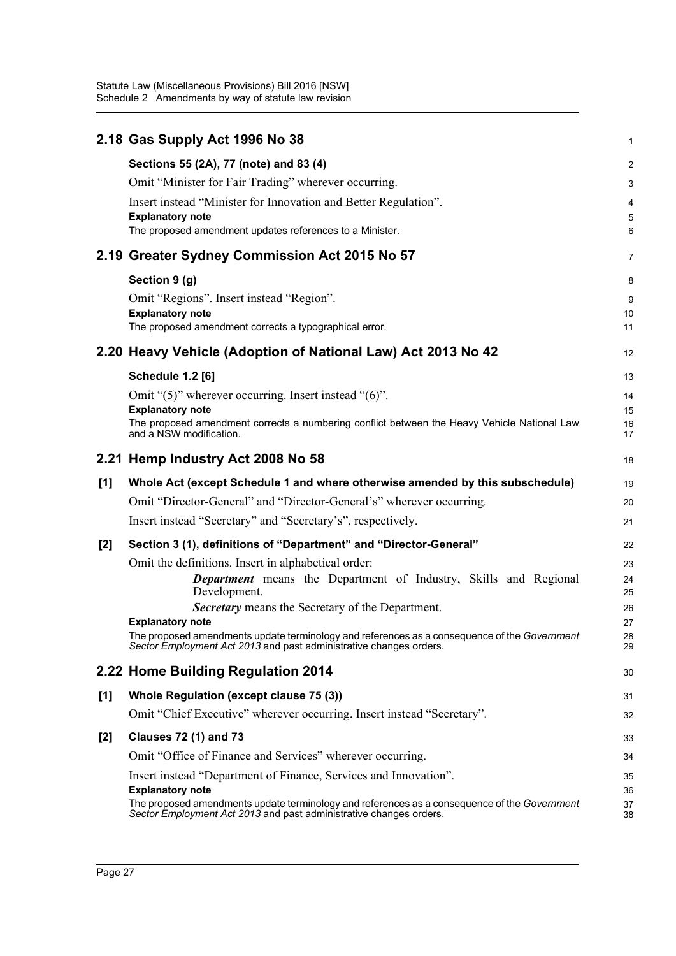Statute Law (Miscellaneous Provisions) Bill 2016 [NSW] Schedule 2 Amendments by way of statute law revision

|       | 2.18 Gas Supply Act 1996 No 38                                                                                                                                     | 1              |
|-------|--------------------------------------------------------------------------------------------------------------------------------------------------------------------|----------------|
|       | Sections 55 (2A), 77 (note) and 83 (4)                                                                                                                             | $\overline{2}$ |
|       | Omit "Minister for Fair Trading" wherever occurring.                                                                                                               | 3              |
|       | Insert instead "Minister for Innovation and Better Regulation".                                                                                                    | 4              |
|       | <b>Explanatory note</b>                                                                                                                                            | 5              |
|       | The proposed amendment updates references to a Minister.                                                                                                           | 6              |
|       | 2.19 Greater Sydney Commission Act 2015 No 57                                                                                                                      | $\overline{7}$ |
|       | Section 9 (g)                                                                                                                                                      | 8              |
|       | Omit "Regions". Insert instead "Region".                                                                                                                           | 9              |
|       | <b>Explanatory note</b>                                                                                                                                            | 10             |
|       | The proposed amendment corrects a typographical error.                                                                                                             | 11             |
|       | 2.20 Heavy Vehicle (Adoption of National Law) Act 2013 No 42                                                                                                       | 12             |
|       | <b>Schedule 1.2 [6]</b>                                                                                                                                            | 13             |
|       | Omit " $(5)$ " wherever occurring. Insert instead " $(6)$ ".                                                                                                       | 14             |
|       | <b>Explanatory note</b>                                                                                                                                            | 15             |
|       | The proposed amendment corrects a numbering conflict between the Heavy Vehicle National Law<br>and a NSW modification.                                             | 16<br>17       |
|       | 2.21 Hemp Industry Act 2008 No 58                                                                                                                                  | 18             |
| [1]   | Whole Act (except Schedule 1 and where otherwise amended by this subschedule)                                                                                      | 19             |
|       | Omit "Director-General" and "Director-General's" wherever occurring.                                                                                               | 20             |
|       | Insert instead "Secretary" and "Secretary's", respectively.                                                                                                        |                |
|       |                                                                                                                                                                    | 21             |
| $[2]$ | Section 3 (1), definitions of "Department" and "Director-General"                                                                                                  | 22             |
|       | Omit the definitions. Insert in alphabetical order:                                                                                                                | 23             |
|       | <b>Department</b> means the Department of Industry, Skills and Regional                                                                                            | 24<br>25       |
|       | Development.<br><b>Secretary</b> means the Secretary of the Department.                                                                                            | 26             |
|       | <b>Explanatory note</b>                                                                                                                                            | 27             |
|       | The proposed amendments update terminology and references as a consequence of the Government<br>Sector Employment Act 2013 and past administrative changes orders. | 28<br>29       |
|       | 2.22 Home Building Regulation 2014                                                                                                                                 | 30             |
| $[1]$ | Whole Regulation (except clause 75 (3))                                                                                                                            | 31             |
|       | Omit "Chief Executive" wherever occurring. Insert instead "Secretary".                                                                                             | 32             |
| $[2]$ | <b>Clauses 72 (1) and 73</b>                                                                                                                                       | 33             |
|       | Omit "Office of Finance and Services" wherever occurring.                                                                                                          | 34             |
|       | Insert instead "Department of Finance, Services and Innovation".                                                                                                   | 35             |
|       | <b>Explanatory note</b><br>The proposed amendments update terminology and references as a consequence of the Government                                            | 36<br>37       |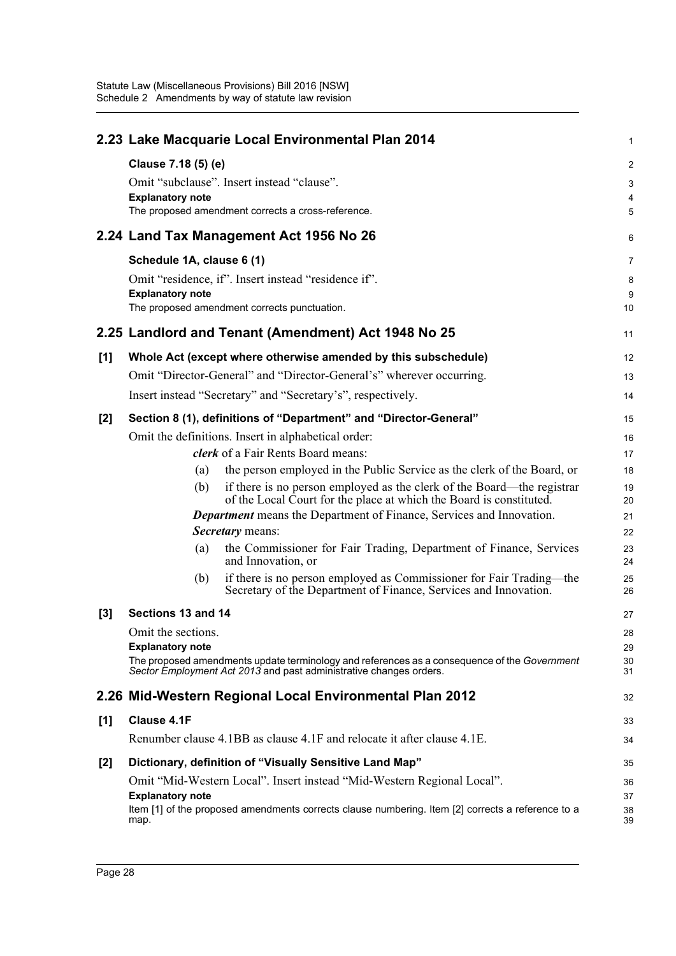|       |                           | 2.23 Lake Macquarie Local Environmental Plan 2014                                                                                             | 1                       |
|-------|---------------------------|-----------------------------------------------------------------------------------------------------------------------------------------------|-------------------------|
|       | Clause 7.18 (5) (e)       |                                                                                                                                               | $\overline{\mathbf{c}}$ |
|       |                           | Omit "subclause". Insert instead "clause".                                                                                                    | 3                       |
|       | <b>Explanatory note</b>   | The proposed amendment corrects a cross-reference.                                                                                            | 4<br>5                  |
|       |                           |                                                                                                                                               |                         |
|       |                           | 2.24 Land Tax Management Act 1956 No 26                                                                                                       | 6                       |
|       | Schedule 1A, clause 6 (1) |                                                                                                                                               | 7                       |
|       | <b>Explanatory note</b>   | Omit "residence, if". Insert instead "residence if".                                                                                          | 8                       |
|       |                           | The proposed amendment corrects punctuation.                                                                                                  | 9<br>10                 |
|       |                           | 2.25 Landlord and Tenant (Amendment) Act 1948 No 25                                                                                           | 11                      |
| [1]   |                           | Whole Act (except where otherwise amended by this subschedule)                                                                                | 12                      |
|       |                           | Omit "Director-General" and "Director-General's" wherever occurring.                                                                          | 13                      |
|       |                           | Insert instead "Secretary" and "Secretary's", respectively.                                                                                   | 14                      |
| $[2]$ |                           | Section 8 (1), definitions of "Department" and "Director-General"                                                                             | 15                      |
|       |                           | Omit the definitions. Insert in alphabetical order:                                                                                           | 16                      |
|       |                           | clerk of a Fair Rents Board means:                                                                                                            | 17                      |
|       | (a)                       | the person employed in the Public Service as the clerk of the Board, or                                                                       | 18                      |
|       | (b)                       | if there is no person employed as the clerk of the Board—the registrar<br>of the Local Court for the place at which the Board is constituted. | 19<br>20                |
|       |                           | <b>Department</b> means the Department of Finance, Services and Innovation.                                                                   | 21                      |
|       |                           | <b>Secretary</b> means:                                                                                                                       | 22                      |
|       | (a)                       | the Commissioner for Fair Trading, Department of Finance, Services<br>and Innovation, or                                                      | 23<br>24                |
|       | (b)                       | if there is no person employed as Commissioner for Fair Trading—the<br>Secretary of the Department of Finance, Services and Innovation.       | 25<br>26                |
| $[3]$ | Sections 13 and 14        |                                                                                                                                               | 27                      |
|       | Omit the sections.        |                                                                                                                                               | 28                      |
|       | <b>Explanatory note</b>   | The proposed amendments update terminology and references as a consequence of the Government                                                  | 29<br>30                |
|       |                           | Sector Employment Act 2013 and past administrative changes orders.                                                                            | 31                      |
|       |                           | 2.26 Mid-Western Regional Local Environmental Plan 2012                                                                                       | 32                      |
| [1]   | Clause 4.1F               |                                                                                                                                               | 33                      |
|       |                           | Renumber clause 4.1BB as clause 4.1F and relocate it after clause 4.1E.                                                                       | 34                      |
| [2]   |                           | Dictionary, definition of "Visually Sensitive Land Map"                                                                                       | 35                      |
|       |                           | Omit "Mid-Western Local". Insert instead "Mid-Western Regional Local".                                                                        | 36                      |
|       | <b>Explanatory note</b>   | Item [1] of the proposed amendments corrects clause numbering. Item [2] corrects a reference to a                                             | 37                      |
|       | map.                      |                                                                                                                                               | 38<br>39                |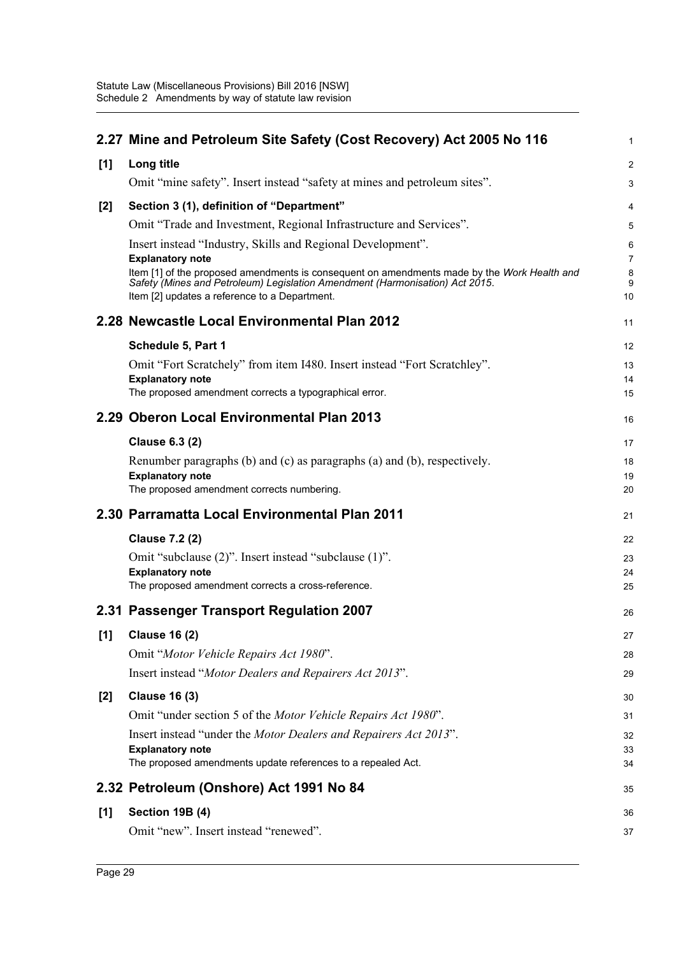|       | 2.27 Mine and Petroleum Site Safety (Cost Recovery) Act 2005 No 116                                                    | $\mathbf{1}$        |
|-------|------------------------------------------------------------------------------------------------------------------------|---------------------|
| [1]   | Long title                                                                                                             | $\overline{2}$      |
|       | Omit "mine safety". Insert instead "safety at mines and petroleum sites".                                              | $\mathbf{3}$        |
| $[2]$ | Section 3 (1), definition of "Department"                                                                              | 4                   |
|       | Omit "Trade and Investment, Regional Infrastructure and Services".                                                     | 5                   |
|       | Insert instead "Industry, Skills and Regional Development".                                                            | 6                   |
|       | <b>Explanatory note</b><br>Item [1] of the proposed amendments is consequent on amendments made by the Work Health and | $\overline{7}$<br>8 |
|       | Safety (Mines and Petroleum) Legislation Amendment (Harmonisation) Act 2015.                                           | 9                   |
|       | Item [2] updates a reference to a Department.                                                                          | 10                  |
|       | 2.28 Newcastle Local Environmental Plan 2012                                                                           | 11                  |
|       | Schedule 5, Part 1                                                                                                     | $12 \overline{ }$   |
|       | Omit "Fort Scratchely" from item I480. Insert instead "Fort Scratchley".                                               | 13                  |
|       | <b>Explanatory note</b><br>The proposed amendment corrects a typographical error.                                      | 14<br>15            |
|       |                                                                                                                        |                     |
|       | 2.29 Oberon Local Environmental Plan 2013                                                                              | 16                  |
|       | <b>Clause 6.3 (2)</b>                                                                                                  | 17                  |
|       | Renumber paragraphs (b) and (c) as paragraphs (a) and (b), respectively.                                               | 18                  |
|       | <b>Explanatory note</b><br>The proposed amendment corrects numbering.                                                  | 19<br>20            |
|       | 2.30 Parramatta Local Environmental Plan 2011                                                                          |                     |
|       |                                                                                                                        | 21                  |
|       | <b>Clause 7.2 (2)</b>                                                                                                  | 22                  |
|       | Omit "subclause (2)". Insert instead "subclause (1)".<br><b>Explanatory note</b>                                       | 23<br>24            |
|       | The proposed amendment corrects a cross-reference.                                                                     | 25                  |
|       | 2.31 Passenger Transport Regulation 2007                                                                               | 26                  |
| [1]   | <b>Clause 16 (2)</b>                                                                                                   | 27                  |
|       | Omit "Motor Vehicle Repairs Act 1980".                                                                                 | 28                  |
|       | Insert instead "Motor Dealers and Repairers Act 2013".                                                                 | 29                  |
| [2]   | <b>Clause 16 (3)</b>                                                                                                   | 30                  |
|       | Omit "under section 5 of the Motor Vehicle Repairs Act 1980".                                                          | 31                  |
|       | Insert instead "under the Motor Dealers and Repairers Act 2013".                                                       | 32                  |
|       | <b>Explanatory note</b><br>The proposed amendments update references to a repealed Act.                                | 33<br>34            |
|       |                                                                                                                        |                     |
|       | 2.32 Petroleum (Onshore) Act 1991 No 84                                                                                | 35                  |
| $[1]$ | <b>Section 19B (4)</b>                                                                                                 | 36                  |
|       | Omit "new". Insert instead "renewed".                                                                                  | 37                  |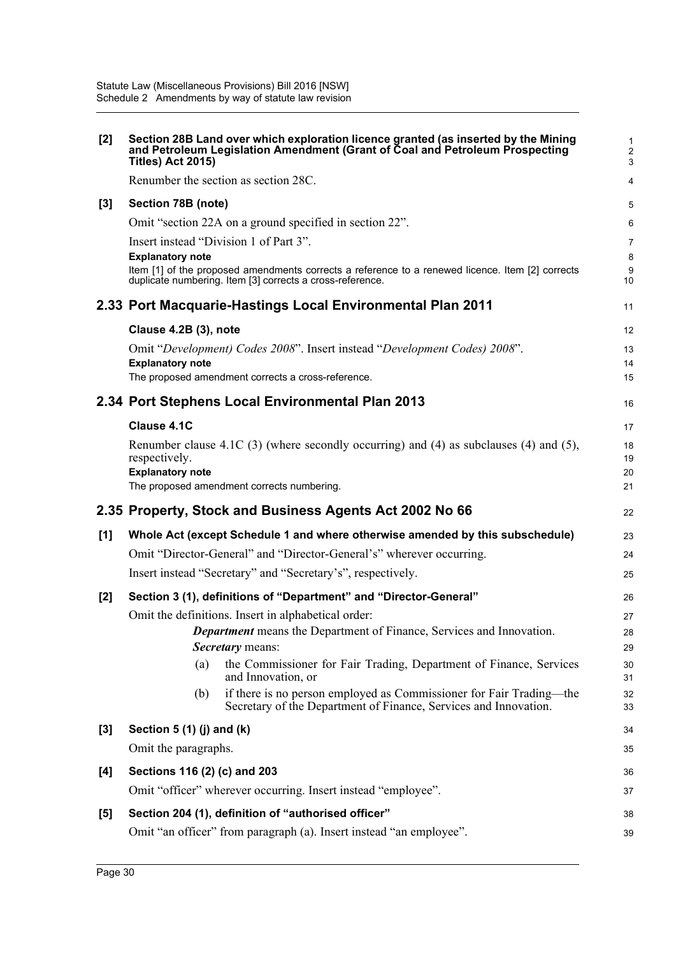| $[2]$ | Section 28B Land over which exploration licence granted (as inserted by the Mining<br>and Petroleum Legislation Amendment (Grant of Coal and Petroleum Prospecting<br><b>Titles) Act 2015)</b> | $\mathbf{1}$<br>$\overline{2}$<br>3 |
|-------|------------------------------------------------------------------------------------------------------------------------------------------------------------------------------------------------|-------------------------------------|
|       | Renumber the section as section 28C.                                                                                                                                                           | 4                                   |
| $[3]$ | Section 78B (note)                                                                                                                                                                             | 5                                   |
|       | Omit "section 22A on a ground specified in section 22".                                                                                                                                        | 6                                   |
|       | Insert instead "Division 1 of Part 3".                                                                                                                                                         | $\overline{7}$                      |
|       | <b>Explanatory note</b><br>Item [1] of the proposed amendments corrects a reference to a renewed licence. Item [2] corrects                                                                    | 8<br>9                              |
|       | duplicate numbering. Item [3] corrects a cross-reference.                                                                                                                                      | 10                                  |
|       | 2.33 Port Macquarie-Hastings Local Environmental Plan 2011                                                                                                                                     | 11                                  |
|       | Clause 4.2B (3), note                                                                                                                                                                          | 12                                  |
|       | Omit "Development) Codes 2008". Insert instead "Development Codes) 2008".                                                                                                                      | 13                                  |
|       | <b>Explanatory note</b><br>The proposed amendment corrects a cross-reference.                                                                                                                  | 14<br>15                            |
|       |                                                                                                                                                                                                |                                     |
|       | 2.34 Port Stephens Local Environmental Plan 2013                                                                                                                                               | 16                                  |
|       | Clause 4.1C                                                                                                                                                                                    | 17                                  |
|       | Renumber clause 4.1C (3) (where secondly occurring) and (4) as subclauses (4) and (5),<br>respectively.                                                                                        | 18<br>19                            |
|       | <b>Explanatory note</b>                                                                                                                                                                        | 20                                  |
|       | The proposed amendment corrects numbering.                                                                                                                                                     | 21                                  |
|       | 2.35 Property, Stock and Business Agents Act 2002 No 66                                                                                                                                        | 22                                  |
|       |                                                                                                                                                                                                |                                     |
| [1]   | Whole Act (except Schedule 1 and where otherwise amended by this subschedule)                                                                                                                  | 23                                  |
|       | Omit "Director-General" and "Director-General's" wherever occurring.                                                                                                                           | 24                                  |
|       | Insert instead "Secretary" and "Secretary's", respectively.                                                                                                                                    | 25                                  |
| [2]   | Section 3 (1), definitions of "Department" and "Director-General"                                                                                                                              | 26                                  |
|       | Omit the definitions. Insert in alphabetical order:                                                                                                                                            | 27                                  |
|       | <b>Department</b> means the Department of Finance, Services and Innovation.                                                                                                                    | 28                                  |
|       | <b>Secretary</b> means:                                                                                                                                                                        | 29                                  |
|       | the Commissioner for Fair Trading, Department of Finance, Services<br>(a)<br>and Innovation, or                                                                                                | 30<br>31                            |
|       | if there is no person employed as Commissioner for Fair Trading—the<br>(b)<br>Secretary of the Department of Finance, Services and Innovation.                                                 | 32<br>33                            |
| $[3]$ | Section $5(1)(j)$ and $(k)$                                                                                                                                                                    | 34                                  |
|       | Omit the paragraphs.                                                                                                                                                                           | 35                                  |
| [4]   | Sections 116 (2) (c) and 203                                                                                                                                                                   | 36                                  |
|       | Omit "officer" wherever occurring. Insert instead "employee".                                                                                                                                  | 37                                  |
| [5]   | Section 204 (1), definition of "authorised officer"                                                                                                                                            | 38                                  |
|       | Omit "an officer" from paragraph (a). Insert instead "an employee".                                                                                                                            | 39                                  |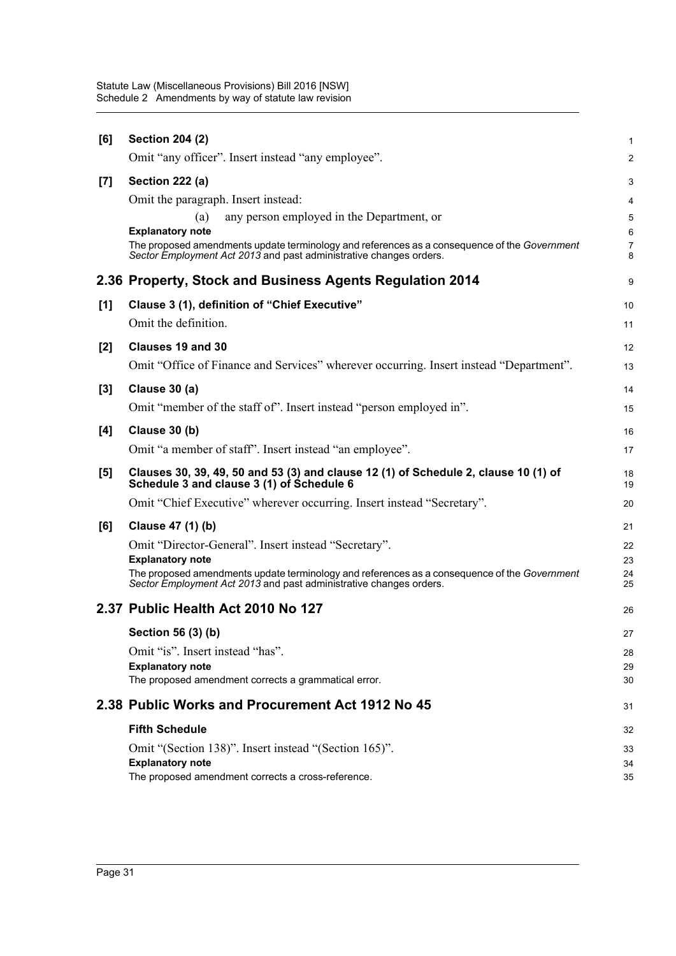| [6]   | <b>Section 204 (2)</b>                                                                                                                                             | $\mathbf{1}$        |
|-------|--------------------------------------------------------------------------------------------------------------------------------------------------------------------|---------------------|
|       | Omit "any officer". Insert instead "any employee".                                                                                                                 | 2                   |
| [7]   | Section 222 (a)                                                                                                                                                    | 3                   |
|       | Omit the paragraph. Insert instead:                                                                                                                                | 4                   |
|       | any person employed in the Department, or<br>(a)                                                                                                                   | $\mathbf 5$         |
|       | <b>Explanatory note</b><br>The proposed amendments update terminology and references as a consequence of the Government                                            | 6<br>$\overline{7}$ |
|       | Sector Employment Act 2013 and past administrative changes orders.                                                                                                 | 8                   |
|       | 2.36 Property, Stock and Business Agents Regulation 2014                                                                                                           | 9                   |
| [1]   | Clause 3 (1), definition of "Chief Executive"                                                                                                                      | 10                  |
|       | Omit the definition.                                                                                                                                               | 11                  |
| [2]   | Clauses 19 and 30                                                                                                                                                  | 12                  |
|       | Omit "Office of Finance and Services" wherever occurring. Insert instead "Department".                                                                             | 13                  |
| $[3]$ | Clause 30 (a)                                                                                                                                                      | 14                  |
|       | Omit "member of the staff of". Insert instead "person employed in".                                                                                                | 15                  |
| [4]   | Clause 30 (b)                                                                                                                                                      | 16                  |
|       | Omit "a member of staff". Insert instead "an employee".                                                                                                            | 17                  |
|       |                                                                                                                                                                    |                     |
| [5]   | Clauses 30, 39, 49, 50 and 53 (3) and clause 12 (1) of Schedule 2, clause 10 (1) of<br>Schedule 3 and clause 3 (1) of Schedule 6                                   | 18<br>19            |
|       | Omit "Chief Executive" wherever occurring. Insert instead "Secretary".                                                                                             | 20                  |
| [6]   | Clause 47 (1) (b)                                                                                                                                                  | 21                  |
|       | Omit "Director-General". Insert instead "Secretary".                                                                                                               | 22                  |
|       | <b>Explanatory note</b>                                                                                                                                            | 23                  |
|       | The proposed amendments update terminology and references as a consequence of the Government<br>Sector Employment Act 2013 and past administrative changes orders. | 24<br>25            |
|       | 2.37 Public Health Act 2010 No 127                                                                                                                                 | 26                  |
|       | Section 56 (3) (b)                                                                                                                                                 | 27                  |
|       | Omit "is". Insert instead "has".                                                                                                                                   | 28                  |
|       | <b>Explanatory note</b>                                                                                                                                            | 29                  |
|       | The proposed amendment corrects a grammatical error.                                                                                                               | 30                  |
|       | 2.38 Public Works and Procurement Act 1912 No 45                                                                                                                   | 31                  |
|       | <b>Fifth Schedule</b>                                                                                                                                              | 32                  |
|       | Omit "(Section 138)". Insert instead "(Section 165)".                                                                                                              | 33                  |
|       | <b>Explanatory note</b><br>The proposed amendment corrects a cross-reference.                                                                                      | 34<br>35            |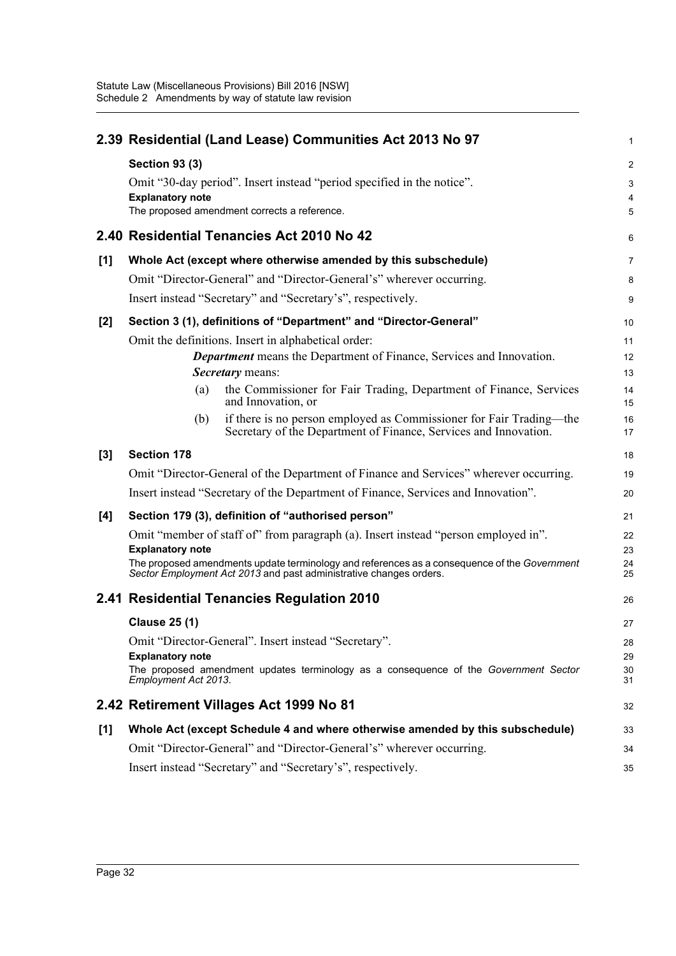|       | 2.39 Residential (Land Lease) Communities Act 2013 No 97                                                                                                           | 1              |
|-------|--------------------------------------------------------------------------------------------------------------------------------------------------------------------|----------------|
|       | <b>Section 93 (3)</b>                                                                                                                                              | $\overline{a}$ |
|       | Omit "30-day period". Insert instead "period specified in the notice".                                                                                             | 3              |
|       | <b>Explanatory note</b><br>The proposed amendment corrects a reference.                                                                                            | 4<br>5         |
|       |                                                                                                                                                                    |                |
|       | 2.40 Residential Tenancies Act 2010 No 42                                                                                                                          | 6              |
| [1]   | Whole Act (except where otherwise amended by this subschedule)                                                                                                     | 7              |
|       | Omit "Director-General" and "Director-General's" wherever occurring.                                                                                               | 8              |
|       | Insert instead "Secretary" and "Secretary's", respectively.                                                                                                        | 9              |
| $[2]$ | Section 3 (1), definitions of "Department" and "Director-General"                                                                                                  | 10             |
|       | Omit the definitions. Insert in alphabetical order:                                                                                                                | 11             |
|       | <b>Department</b> means the Department of Finance, Services and Innovation.<br>Secretary means:                                                                    | 12<br>13       |
|       | the Commissioner for Fair Trading, Department of Finance, Services<br>(a)<br>and Innovation, or                                                                    | 14<br>15       |
|       | if there is no person employed as Commissioner for Fair Trading—the<br>(b)<br>Secretary of the Department of Finance, Services and Innovation.                     | 16<br>17       |
| $[3]$ | <b>Section 178</b>                                                                                                                                                 | 18             |
|       | Omit "Director-General of the Department of Finance and Services" wherever occurring.                                                                              | 19             |
|       | Insert instead "Secretary of the Department of Finance, Services and Innovation".                                                                                  | 20             |
| [4]   | Section 179 (3), definition of "authorised person"                                                                                                                 | 21             |
|       | Omit "member of staff of" from paragraph (a). Insert instead "person employed in".<br><b>Explanatory note</b>                                                      | 22<br>23       |
|       | The proposed amendments update terminology and references as a consequence of the Government<br>Sector Employment Act 2013 and past administrative changes orders. | 24<br>25       |
|       | 2.41 Residential Tenancies Regulation 2010                                                                                                                         | 26             |
|       | <b>Clause 25 (1)</b>                                                                                                                                               | 27             |
|       | Omit "Director-General". Insert instead "Secretary".                                                                                                               | 28             |
|       | <b>Explanatory note</b><br>The proposed amendment updates terminology as a consequence of the Government Sector<br>Employment Act 2013.                            | 29<br>30<br>31 |
|       | 2.42 Retirement Villages Act 1999 No 81                                                                                                                            | 32             |
| [1]   | Whole Act (except Schedule 4 and where otherwise amended by this subschedule)                                                                                      | 33             |
|       | Omit "Director-General" and "Director-General's" wherever occurring.                                                                                               | 34             |
|       | Insert instead "Secretary" and "Secretary's", respectively.                                                                                                        | 35             |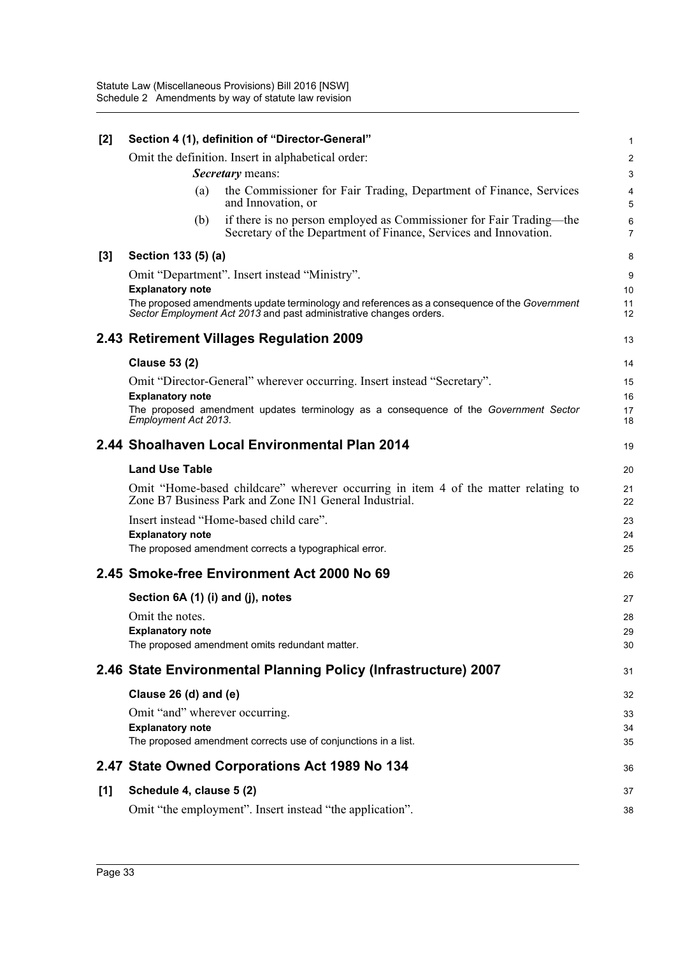| $[2]$ |                                   | Section 4 (1), definition of "Director-General"                                                                                                                    | 1                   |
|-------|-----------------------------------|--------------------------------------------------------------------------------------------------------------------------------------------------------------------|---------------------|
|       |                                   | Omit the definition. Insert in alphabetical order:                                                                                                                 | $\overline{2}$      |
|       |                                   | <b>Secretary</b> means:                                                                                                                                            | 3                   |
|       | (a)                               | the Commissioner for Fair Trading, Department of Finance, Services<br>and Innovation, or                                                                           | 4<br>5              |
|       | (b)                               | if there is no person employed as Commissioner for Fair Trading—the<br>Secretary of the Department of Finance, Services and Innovation.                            | 6<br>$\overline{7}$ |
| $[3]$ | Section 133 (5) (a)               |                                                                                                                                                                    | 8                   |
|       |                                   | Omit "Department". Insert instead "Ministry".                                                                                                                      | 9                   |
|       | <b>Explanatory note</b>           |                                                                                                                                                                    | 10                  |
|       |                                   | The proposed amendments update terminology and references as a consequence of the Government<br>Sector Employment Act 2013 and past administrative changes orders. | 11<br>12            |
|       |                                   | 2.43 Retirement Villages Regulation 2009                                                                                                                           | 13                  |
|       | <b>Clause 53 (2)</b>              |                                                                                                                                                                    | 14                  |
|       |                                   | Omit "Director-General" wherever occurring. Insert instead "Secretary".                                                                                            | 15                  |
|       | <b>Explanatory note</b>           |                                                                                                                                                                    | 16                  |
|       | Employment Act 2013.              | The proposed amendment updates terminology as a consequence of the Government Sector                                                                               | 17<br>18            |
|       |                                   | 2.44 Shoalhaven Local Environmental Plan 2014                                                                                                                      | 19                  |
|       | <b>Land Use Table</b>             |                                                                                                                                                                    | 20                  |
|       |                                   | Omit "Home-based childcare" wherever occurring in item 4 of the matter relating to<br>Zone B7 Business Park and Zone IN1 General Industrial.                       | 21<br>22            |
|       |                                   | Insert instead "Home-based child care".                                                                                                                            | 23                  |
|       | <b>Explanatory note</b>           |                                                                                                                                                                    | 24                  |
|       |                                   | The proposed amendment corrects a typographical error.                                                                                                             | 25                  |
|       |                                   | 2.45 Smoke-free Environment Act 2000 No 69                                                                                                                         | 26                  |
|       | Section 6A (1) (i) and (j), notes |                                                                                                                                                                    | 27                  |
|       | Omit the notes.                   |                                                                                                                                                                    | 28                  |
|       | <b>Explanatory note</b>           |                                                                                                                                                                    | 29                  |
|       |                                   | The proposed amendment omits redundant matter.                                                                                                                     | 30                  |
|       |                                   | 2.46 State Environmental Planning Policy (Infrastructure) 2007                                                                                                     | 31                  |
|       | Clause $26$ (d) and (e)           |                                                                                                                                                                    | 32                  |
|       | Omit "and" wherever occurring.    |                                                                                                                                                                    | 33                  |
|       | <b>Explanatory note</b>           |                                                                                                                                                                    | 34                  |
|       |                                   | The proposed amendment corrects use of conjunctions in a list.                                                                                                     | 35                  |
|       |                                   | 2.47 State Owned Corporations Act 1989 No 134                                                                                                                      | 36                  |
| [1]   | Schedule 4, clause 5 (2)          |                                                                                                                                                                    | 37                  |
|       |                                   | Omit "the employment". Insert instead "the application".                                                                                                           | 38                  |
|       |                                   |                                                                                                                                                                    |                     |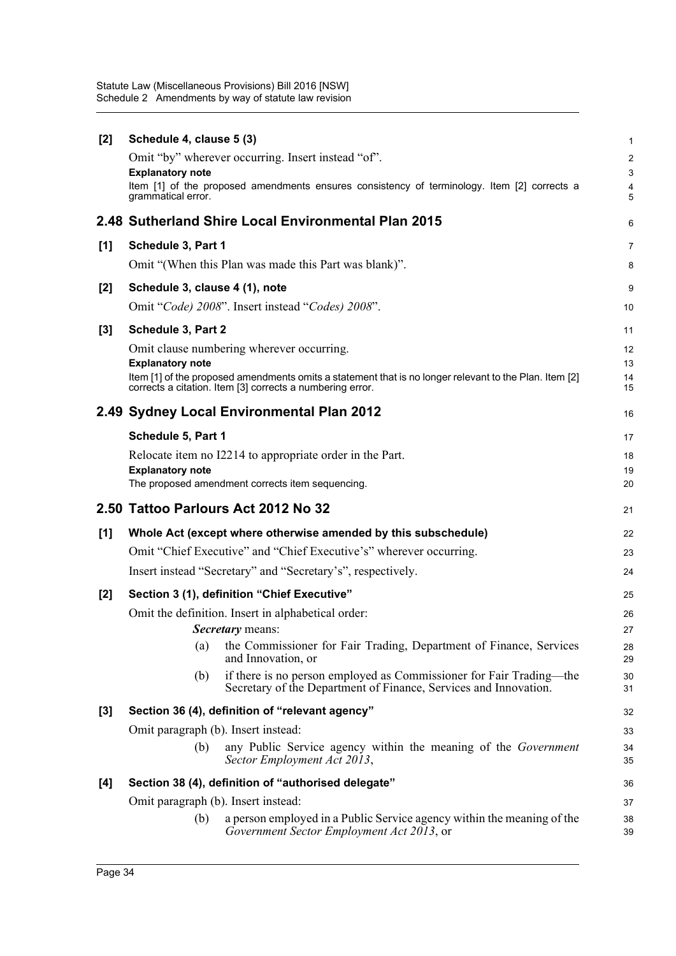Statute Law (Miscellaneous Provisions) Bill 2016 [NSW] Schedule 2 Amendments by way of statute law revision

| Schedule 4, clause 5 (3)                                                                             | $\mathbf{1}$                                                                                                                                                                                                                                                                                                                                                                                                                                                                                                                                                                                                                                                                                                                                                                                                                                                                                                                                                 |
|------------------------------------------------------------------------------------------------------|--------------------------------------------------------------------------------------------------------------------------------------------------------------------------------------------------------------------------------------------------------------------------------------------------------------------------------------------------------------------------------------------------------------------------------------------------------------------------------------------------------------------------------------------------------------------------------------------------------------------------------------------------------------------------------------------------------------------------------------------------------------------------------------------------------------------------------------------------------------------------------------------------------------------------------------------------------------|
| Omit "by" wherever occurring. Insert instead "of".                                                   | 2                                                                                                                                                                                                                                                                                                                                                                                                                                                                                                                                                                                                                                                                                                                                                                                                                                                                                                                                                            |
| <b>Explanatory note</b>                                                                              | $\mathsf 3$                                                                                                                                                                                                                                                                                                                                                                                                                                                                                                                                                                                                                                                                                                                                                                                                                                                                                                                                                  |
| grammatical error.                                                                                   | 4<br>5                                                                                                                                                                                                                                                                                                                                                                                                                                                                                                                                                                                                                                                                                                                                                                                                                                                                                                                                                       |
|                                                                                                      | 6                                                                                                                                                                                                                                                                                                                                                                                                                                                                                                                                                                                                                                                                                                                                                                                                                                                                                                                                                            |
| Schedule 3, Part 1                                                                                   | 7                                                                                                                                                                                                                                                                                                                                                                                                                                                                                                                                                                                                                                                                                                                                                                                                                                                                                                                                                            |
| Omit "(When this Plan was made this Part was blank)".                                                | 8                                                                                                                                                                                                                                                                                                                                                                                                                                                                                                                                                                                                                                                                                                                                                                                                                                                                                                                                                            |
| Schedule 3, clause 4 (1), note                                                                       | 9                                                                                                                                                                                                                                                                                                                                                                                                                                                                                                                                                                                                                                                                                                                                                                                                                                                                                                                                                            |
| Omit "Code) 2008". Insert instead "Codes) 2008".                                                     | 10                                                                                                                                                                                                                                                                                                                                                                                                                                                                                                                                                                                                                                                                                                                                                                                                                                                                                                                                                           |
| Schedule 3, Part 2                                                                                   | 11                                                                                                                                                                                                                                                                                                                                                                                                                                                                                                                                                                                                                                                                                                                                                                                                                                                                                                                                                           |
| Omit clause numbering wherever occurring.                                                            | 12                                                                                                                                                                                                                                                                                                                                                                                                                                                                                                                                                                                                                                                                                                                                                                                                                                                                                                                                                           |
|                                                                                                      | 13<br>14                                                                                                                                                                                                                                                                                                                                                                                                                                                                                                                                                                                                                                                                                                                                                                                                                                                                                                                                                     |
| corrects a citation. Item [3] corrects a numbering error.                                            | 15                                                                                                                                                                                                                                                                                                                                                                                                                                                                                                                                                                                                                                                                                                                                                                                                                                                                                                                                                           |
|                                                                                                      | 16                                                                                                                                                                                                                                                                                                                                                                                                                                                                                                                                                                                                                                                                                                                                                                                                                                                                                                                                                           |
| Schedule 5, Part 1                                                                                   | 17                                                                                                                                                                                                                                                                                                                                                                                                                                                                                                                                                                                                                                                                                                                                                                                                                                                                                                                                                           |
| Relocate item no I2214 to appropriate order in the Part.                                             | 18                                                                                                                                                                                                                                                                                                                                                                                                                                                                                                                                                                                                                                                                                                                                                                                                                                                                                                                                                           |
|                                                                                                      | 19<br>20                                                                                                                                                                                                                                                                                                                                                                                                                                                                                                                                                                                                                                                                                                                                                                                                                                                                                                                                                     |
|                                                                                                      | 21                                                                                                                                                                                                                                                                                                                                                                                                                                                                                                                                                                                                                                                                                                                                                                                                                                                                                                                                                           |
|                                                                                                      |                                                                                                                                                                                                                                                                                                                                                                                                                                                                                                                                                                                                                                                                                                                                                                                                                                                                                                                                                              |
|                                                                                                      | 22<br>23                                                                                                                                                                                                                                                                                                                                                                                                                                                                                                                                                                                                                                                                                                                                                                                                                                                                                                                                                     |
|                                                                                                      | 24                                                                                                                                                                                                                                                                                                                                                                                                                                                                                                                                                                                                                                                                                                                                                                                                                                                                                                                                                           |
|                                                                                                      |                                                                                                                                                                                                                                                                                                                                                                                                                                                                                                                                                                                                                                                                                                                                                                                                                                                                                                                                                              |
|                                                                                                      | 25                                                                                                                                                                                                                                                                                                                                                                                                                                                                                                                                                                                                                                                                                                                                                                                                                                                                                                                                                           |
|                                                                                                      | 26<br>27                                                                                                                                                                                                                                                                                                                                                                                                                                                                                                                                                                                                                                                                                                                                                                                                                                                                                                                                                     |
|                                                                                                      | 28                                                                                                                                                                                                                                                                                                                                                                                                                                                                                                                                                                                                                                                                                                                                                                                                                                                                                                                                                           |
| and Innovation, or                                                                                   | 29                                                                                                                                                                                                                                                                                                                                                                                                                                                                                                                                                                                                                                                                                                                                                                                                                                                                                                                                                           |
| Secretary of the Department of Finance, Services and Innovation.                                     | 30<br>31                                                                                                                                                                                                                                                                                                                                                                                                                                                                                                                                                                                                                                                                                                                                                                                                                                                                                                                                                     |
| Section 36 (4), definition of "relevant agency"                                                      | 32                                                                                                                                                                                                                                                                                                                                                                                                                                                                                                                                                                                                                                                                                                                                                                                                                                                                                                                                                           |
| Omit paragraph (b). Insert instead:                                                                  | 33                                                                                                                                                                                                                                                                                                                                                                                                                                                                                                                                                                                                                                                                                                                                                                                                                                                                                                                                                           |
| any Public Service agency within the meaning of the Government<br>(b)<br>Sector Employment Act 2013, | 34<br>35                                                                                                                                                                                                                                                                                                                                                                                                                                                                                                                                                                                                                                                                                                                                                                                                                                                                                                                                                     |
| Section 38 (4), definition of "authorised delegate"                                                  | 36                                                                                                                                                                                                                                                                                                                                                                                                                                                                                                                                                                                                                                                                                                                                                                                                                                                                                                                                                           |
| Omit paragraph (b). Insert instead:                                                                  | 37                                                                                                                                                                                                                                                                                                                                                                                                                                                                                                                                                                                                                                                                                                                                                                                                                                                                                                                                                           |
| a person employed in a Public Service agency within the meaning of the<br>(b)                        | 38                                                                                                                                                                                                                                                                                                                                                                                                                                                                                                                                                                                                                                                                                                                                                                                                                                                                                                                                                           |
|                                                                                                      | Item [1] of the proposed amendments ensures consistency of terminology. Item [2] corrects a<br>2.48 Sutherland Shire Local Environmental Plan 2015<br><b>Explanatory note</b><br>Item [1] of the proposed amendments omits a statement that is no longer relevant to the Plan. Item [2]<br>2.49 Sydney Local Environmental Plan 2012<br><b>Explanatory note</b><br>The proposed amendment corrects item sequencing.<br>2.50 Tattoo Parlours Act 2012 No 32<br>Whole Act (except where otherwise amended by this subschedule)<br>Omit "Chief Executive" and "Chief Executive's" wherever occurring.<br>Insert instead "Secretary" and "Secretary's", respectively.<br>Section 3 (1), definition "Chief Executive"<br>Omit the definition. Insert in alphabetical order:<br><b>Secretary</b> means:<br>the Commissioner for Fair Trading, Department of Finance, Services<br>(a)<br>if there is no person employed as Commissioner for Fair Trading—the<br>(b) |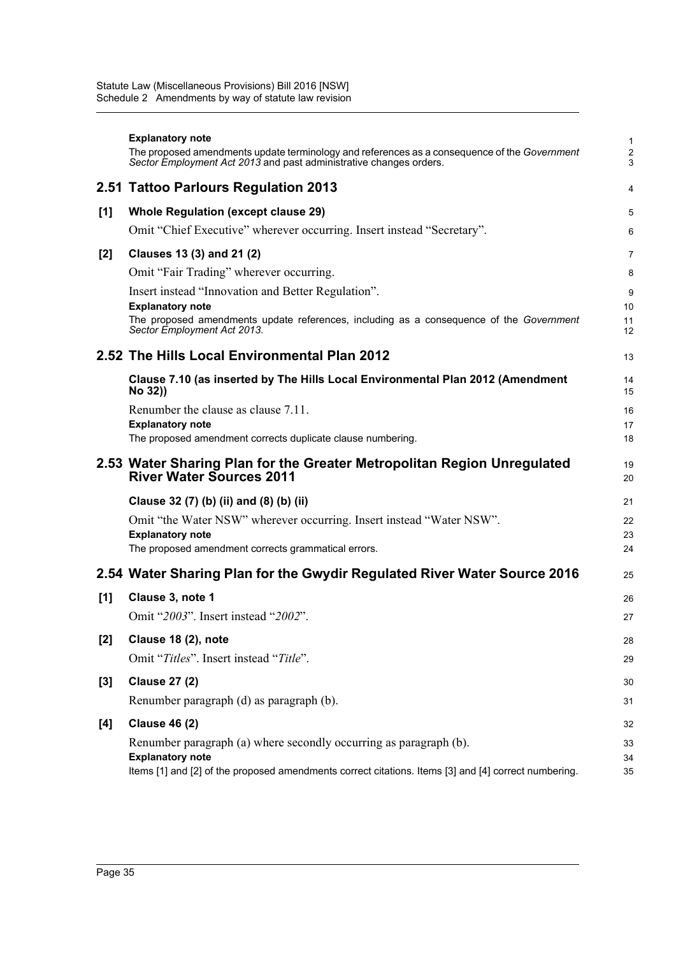|       | <b>Explanatory note</b><br>The proposed amendments update terminology and references as a consequence of the Government<br>Sector Employment Act 2013 and past administrative changes orders. | 1<br>2<br>3    |
|-------|-----------------------------------------------------------------------------------------------------------------------------------------------------------------------------------------------|----------------|
|       | 2.51 Tattoo Parlours Regulation 2013                                                                                                                                                          | 4              |
| [1]   | <b>Whole Regulation (except clause 29)</b>                                                                                                                                                    | 5              |
|       | Omit "Chief Executive" wherever occurring. Insert instead "Secretary".                                                                                                                        | 6              |
| $[2]$ | Clauses 13 (3) and 21 (2)                                                                                                                                                                     | 7              |
|       | Omit "Fair Trading" wherever occurring.                                                                                                                                                       | 8              |
|       | Insert instead "Innovation and Better Regulation".                                                                                                                                            | 9              |
|       | <b>Explanatory note</b><br>The proposed amendments update references, including as a consequence of the Government<br>Sector Employment Act 2013.                                             | 10<br>11<br>12 |
|       | 2.52 The Hills Local Environmental Plan 2012                                                                                                                                                  | 13             |
|       | Clause 7.10 (as inserted by The Hills Local Environmental Plan 2012 (Amendment<br>No 32))                                                                                                     | 14<br>15       |
|       | Renumber the clause as clause 7.11.                                                                                                                                                           | 16             |
|       | <b>Explanatory note</b><br>The proposed amendment corrects duplicate clause numbering.                                                                                                        | 17<br>18       |
|       | 2.53 Water Sharing Plan for the Greater Metropolitan Region Unregulated<br><b>River Water Sources 2011</b>                                                                                    | 19<br>20       |
|       | Clause 32 (7) (b) (ii) and (8) (b) (ii)                                                                                                                                                       | 21             |
|       | Omit "the Water NSW" wherever occurring. Insert instead "Water NSW".                                                                                                                          | 22             |
|       |                                                                                                                                                                                               |                |
|       | <b>Explanatory note</b>                                                                                                                                                                       | 23             |
|       | The proposed amendment corrects grammatical errors.                                                                                                                                           | 24             |
|       | 2.54 Water Sharing Plan for the Gwydir Regulated River Water Source 2016                                                                                                                      | 25             |
| [1]   | Clause 3, note 1                                                                                                                                                                              | 26             |
|       | Omit "2003". Insert instead "2002".                                                                                                                                                           | 27             |
| $[2]$ | Clause 18 (2), note                                                                                                                                                                           | 28             |
|       | Omit "Titles". Insert instead "Title".                                                                                                                                                        | 29             |
| $[3]$ | <b>Clause 27 (2)</b>                                                                                                                                                                          | 30             |
|       | Renumber paragraph (d) as paragraph (b).                                                                                                                                                      | 31             |
| [4]   | <b>Clause 46 (2)</b>                                                                                                                                                                          | 32             |
|       | Renumber paragraph (a) where secondly occurring as paragraph (b).<br><b>Explanatory note</b>                                                                                                  | 33             |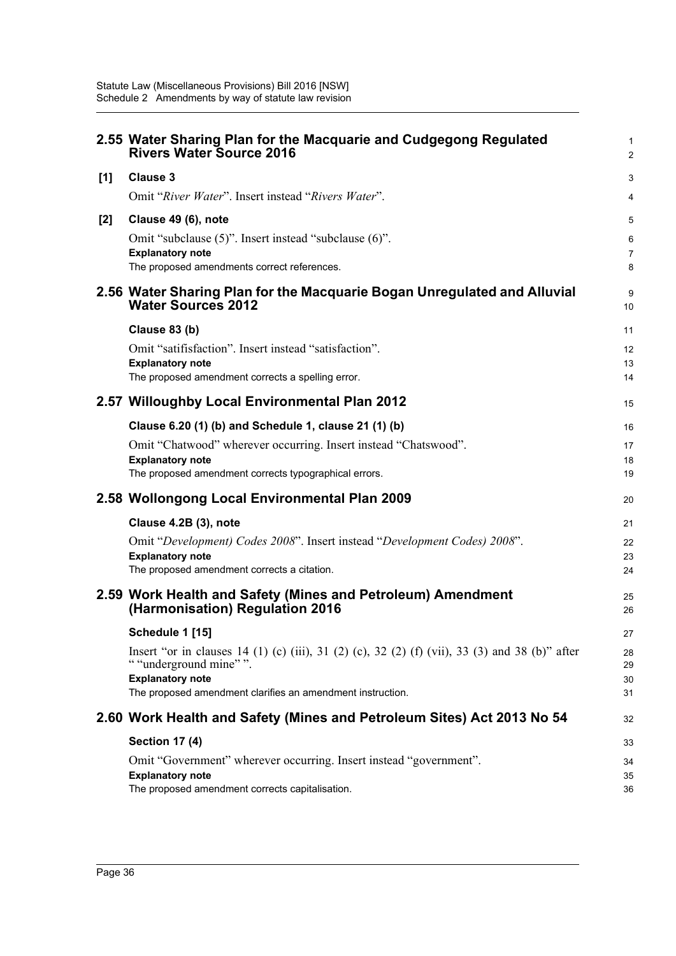|       | 2.55 Water Sharing Plan for the Macquarie and Cudgegong Regulated<br><b>Rivers Water Source 2016</b>                                                 | $\mathbf{1}$<br>2   |
|-------|------------------------------------------------------------------------------------------------------------------------------------------------------|---------------------|
| [1]   | <b>Clause 3</b>                                                                                                                                      | 3                   |
|       | Omit "River Water". Insert instead "Rivers Water".                                                                                                   | 4                   |
| $[2]$ | Clause 49 (6), note                                                                                                                                  | 5                   |
|       | Omit "subclause (5)". Insert instead "subclause (6)".                                                                                                | 6                   |
|       | <b>Explanatory note</b><br>The proposed amendments correct references.                                                                               | $\overline{7}$<br>8 |
|       | 2.56 Water Sharing Plan for the Macquarie Bogan Unregulated and Alluvial<br><b>Water Sources 2012</b>                                                | 9<br>10             |
|       | Clause 83 (b)                                                                                                                                        | 11                  |
|       | Omit "satifisfaction". Insert instead "satisfaction".                                                                                                | 12                  |
|       | <b>Explanatory note</b><br>The proposed amendment corrects a spelling error.                                                                         | 13<br>14            |
|       |                                                                                                                                                      |                     |
|       | 2.57 Willoughby Local Environmental Plan 2012                                                                                                        | 15                  |
|       | Clause 6.20 (1) (b) and Schedule 1, clause 21 (1) (b)                                                                                                | 16                  |
|       | Omit "Chatwood" wherever occurring. Insert instead "Chatswood".                                                                                      | 17                  |
|       | <b>Explanatory note</b><br>The proposed amendment corrects typographical errors.                                                                     | 18<br>19            |
|       | 2.58 Wollongong Local Environmental Plan 2009                                                                                                        | 20                  |
|       | Clause 4.2B (3), note                                                                                                                                | 21                  |
|       | Omit "Development) Codes 2008". Insert instead "Development Codes) 2008".                                                                            | 22                  |
|       | <b>Explanatory note</b>                                                                                                                              | 23                  |
|       | The proposed amendment corrects a citation.                                                                                                          | 24                  |
|       | 2.59 Work Health and Safety (Mines and Petroleum) Amendment<br>(Harmonisation) Regulation 2016                                                       | 25<br>26            |
|       | Schedule 1 [15]                                                                                                                                      | 27                  |
|       | Insert "or in clauses 14 (1) (c) (iii), 31 (2) (c), 32 (2) (f) (vii), 33 (3) and 38 (b)" after<br>" "underground mine" ".<br><b>Explanatory note</b> | 28<br>29<br>30      |
|       | The proposed amendment clarifies an amendment instruction.                                                                                           | 31                  |
|       | 2.60 Work Health and Safety (Mines and Petroleum Sites) Act 2013 No 54                                                                               | 32                  |
|       | <b>Section 17 (4)</b>                                                                                                                                | 33                  |
|       | Omit "Government" wherever occurring. Insert instead "government".                                                                                   | 34                  |
|       | <b>Explanatory note</b><br>The proposed amendment corrects capitalisation.                                                                           | 35<br>36            |
|       |                                                                                                                                                      |                     |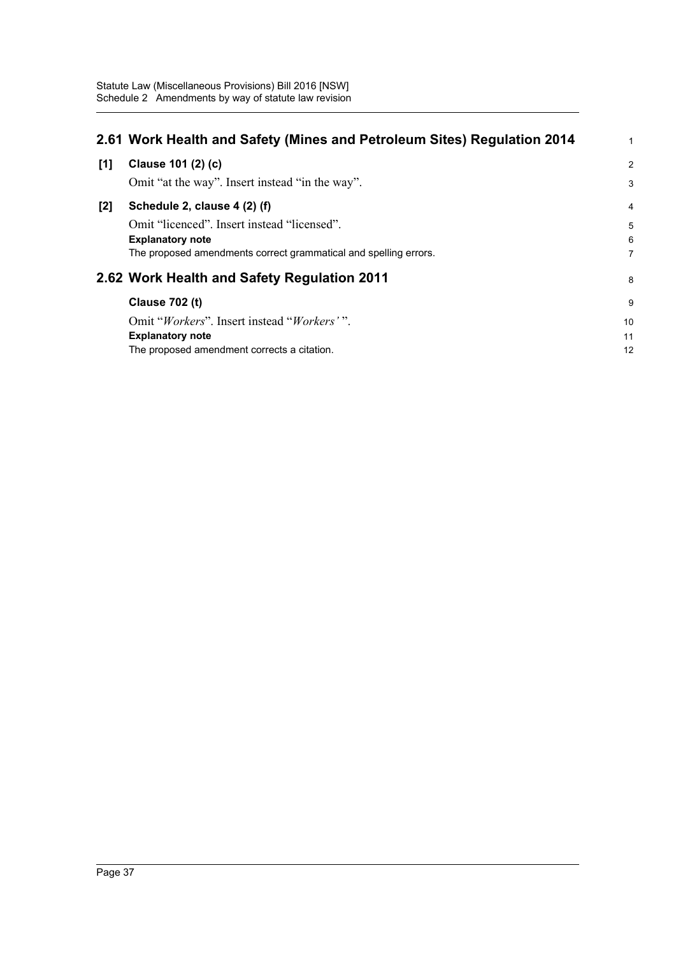|       | 2.61 Work Health and Safety (Mines and Petroleum Sites) Regulation 2014 | $\mathbf{1}$   |
|-------|-------------------------------------------------------------------------|----------------|
| [1]   | Clause 101 (2) (c)                                                      | 2              |
|       | Omit "at the way". Insert instead "in the way".                         | 3              |
| $[2]$ | Schedule 2, clause 4 (2) (f)                                            | $\overline{4}$ |
|       | Omit "licenced". Insert instead "licensed".                             | 5              |
|       | <b>Explanatory note</b>                                                 | 6              |
|       | The proposed amendments correct grammatical and spelling errors.        | $\overline{7}$ |
|       | 2.62 Work Health and Safety Regulation 2011                             | 8              |
|       | <b>Clause 702 (t)</b>                                                   | 9              |
|       | Omit "Workers". Insert instead "Workers'".                              | 10             |
|       | <b>Explanatory note</b>                                                 | 11             |
|       | The proposed amendment corrects a citation.                             | 12             |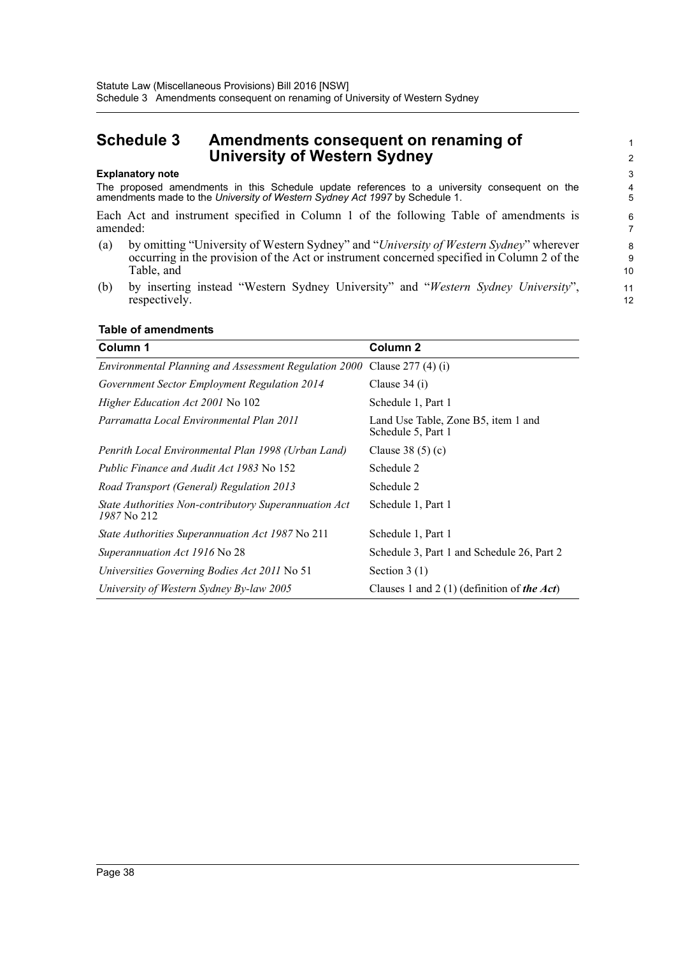# <span id="page-41-0"></span>**Schedule 3 Amendments consequent on renaming of University of Western Sydney**

#### **Explanatory note**

The proposed amendments in this Schedule update references to a university consequent on the amendments made to the *University of Western Sydney Act 1997* by Schedule 1.

Each Act and instrument specified in Column 1 of the following Table of amendments is amended:

- (a) by omitting "University of Western Sydney" and "*University of Western Sydney*" wherever occurring in the provision of the Act or instrument concerned specified in Column 2 of the Table, and
- (b) by inserting instead "Western Sydney University" and "*Western Sydney University*", respectively.

|  |  | Table of amendments |
|--|--|---------------------|
|--|--|---------------------|

| Column 1                                                             | Column <sub>2</sub>                                       |
|----------------------------------------------------------------------|-----------------------------------------------------------|
| Environmental Planning and Assessment Regulation 2000                | Clause $277(4)(i)$                                        |
| Government Sector Employment Regulation 2014                         | Clause $34(i)$                                            |
| <i>Higher Education Act 2001</i> No 102                              | Schedule 1, Part 1                                        |
| Parramatta Local Environmental Plan 2011                             | Land Use Table, Zone B5, item 1 and<br>Schedule 5, Part 1 |
| Penrith Local Environmental Plan 1998 (Urban Land)                   | Clause $38(5)(c)$                                         |
| <i>Public Finance and Audit Act 1983</i> No 152                      | Schedule 2                                                |
| Road Transport (General) Regulation 2013                             | Schedule 2                                                |
| State Authorities Non-contributory Superannuation Act<br>1987 No 212 | Schedule 1, Part 1                                        |
| State Authorities Superannuation Act 1987 No 211                     | Schedule 1, Part 1                                        |
| Superannuation Act 1916 No 28                                        | Schedule 3, Part 1 and Schedule 26, Part 2                |
| Universities Governing Bodies Act 2011 No 51                         | Section $3(1)$                                            |
| University of Western Sydney By-law 2005                             | Clauses 1 and 2 (1) (definition of the Act)               |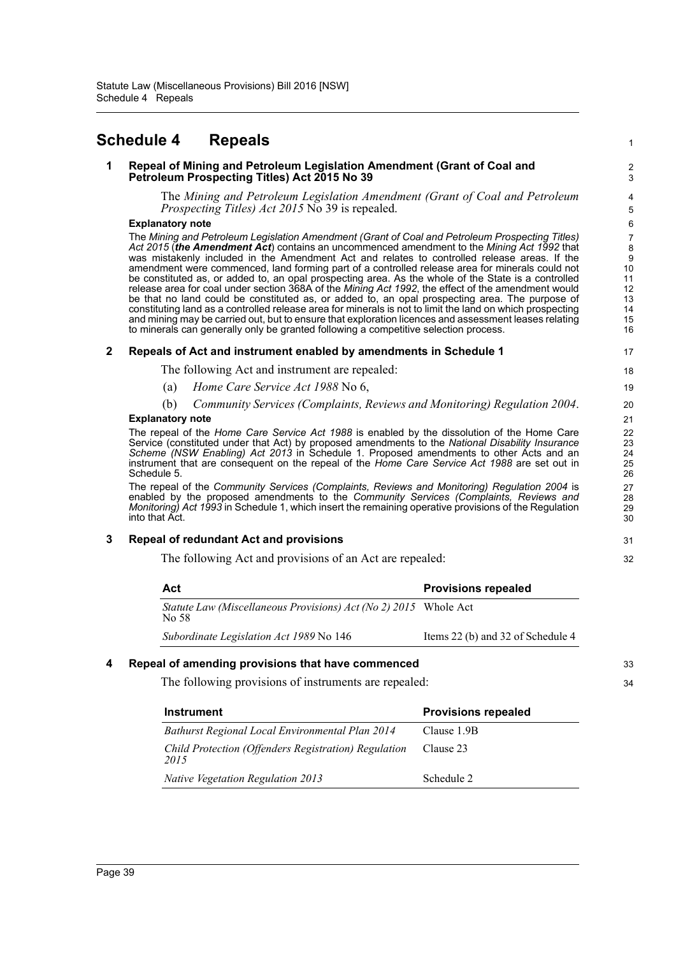# <span id="page-42-0"></span>**Schedule 4 Repeals**

#### **1 Repeal of Mining and Petroleum Legislation Amendment (Grant of Coal and Petroleum Prospecting Titles) Act 2015 No 39**

The *Mining and Petroleum Legislation Amendment (Grant of Coal and Petroleum Prospecting Titles) Act 2015* No 39 is repealed.

1

33 34

#### **Explanatory note**

The *Mining and Petroleum Legislation Amendment (Grant of Coal and Petroleum Prospecting Titles) Act 2015* (*the Amendment Act*) contains an uncommenced amendment to the *Mining Act 1992* that was mistakenly included in the Amendment Act and relates to controlled release areas. If the amendment were commenced, land forming part of a controlled release area for minerals could not be constituted as, or added to, an opal prospecting area. As the whole of the State is a controlled release area for coal under section 368A of the *Mining Act 1992*, the effect of the amendment would be that no land could be constituted as, or added to, an opal prospecting area. The purpose of constituting land as a controlled release area for minerals is not to limit the land on which prospecting and mining may be carried out, but to ensure that exploration licences and assessment leases relating to minerals can generally only be granted following a competitive selection process.

#### **2 Repeals of Act and instrument enabled by amendments in Schedule 1**

The following Act and instrument are repealed:

- (a) *Home Care Service Act 1988* No 6,
- (b) *Community Services (Complaints, Reviews and Monitoring) Regulation 2004*.

#### **Explanatory note**

The repeal of the *Home Care Service Act 1988* is enabled by the dissolution of the Home Care Service (constituted under that Act) by proposed amendments to the *National Disability Insurance Scheme (NSW Enabling) Act 2013* in Schedule 1. Proposed amendments to other Acts and an instrument that are consequent on the repeal of the *Home Care Service Act 1988* are set out in Schedule 5.

The repeal of the *Community Services (Complaints, Reviews and Monitoring) Regulation 2004* is enabled by the proposed amendments to the *Community Services (Complaints, Reviews and Monitoring) Act 1993* in Schedule 1, which insert the remaining operative provisions of the Regulation into that Act.

### **3 Repeal of redundant Act and provisions**

The following Act and provisions of an Act are repealed:

| Act                                                                       | <b>Provisions repealed</b>        |
|---------------------------------------------------------------------------|-----------------------------------|
| Statute Law (Miscellaneous Provisions) Act (No 2) 2015 Whole Act<br>No 58 |                                   |
| Subordinate Legislation Act 1989 No 146                                   | Items 22 (b) and 32 of Schedule 4 |

### **4 Repeal of amending provisions that have commenced**

The following provisions of instruments are repealed:

| <b>Instrument</b>                                            | <b>Provisions repealed</b> |
|--------------------------------------------------------------|----------------------------|
| <b>Bathurst Regional Local Environmental Plan 2014</b>       | Clause 1.9B                |
| Child Protection (Offenders Registration) Regulation<br>2015 | Clause 23                  |
| <b>Native Vegetation Regulation 2013</b>                     | Schedule 2                 |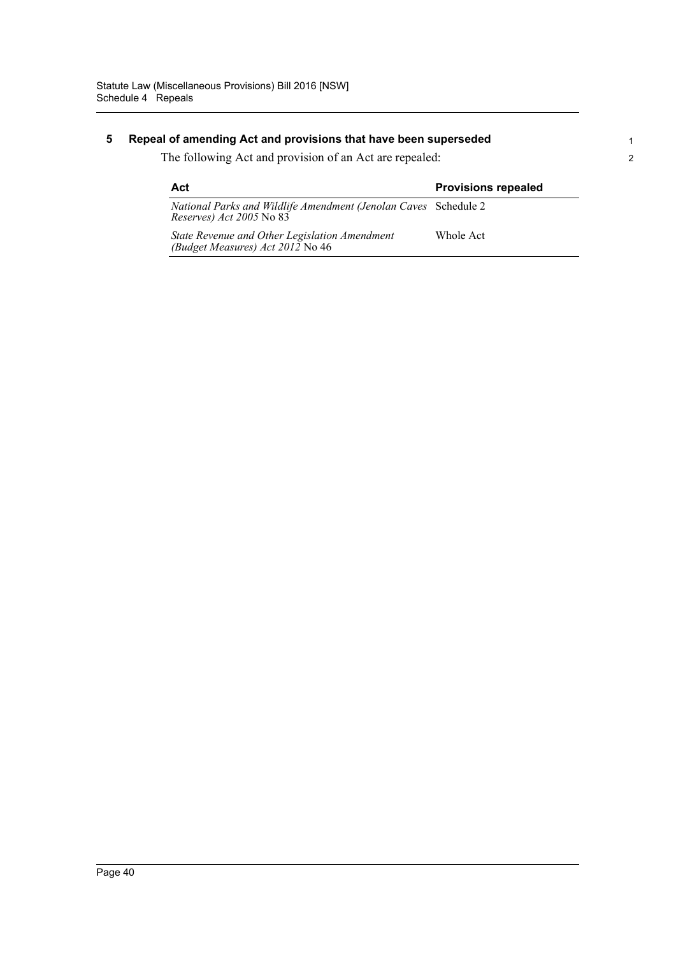## **5 Repeal of amending Act and provisions that have been superseded**

The following Act and provision of an Act are repealed:

| Act                                                                                                 | <b>Provisions repealed</b> |
|-----------------------------------------------------------------------------------------------------|----------------------------|
| National Parks and Wildlife Amendment (Jenolan Caves Schedule 2<br><i>Reserves</i> ) Act 2005 No 83 |                            |
| State Revenue and Other Legislation Amendment<br>(Budget Measures) Act 2012 No 46                   | Whole Act                  |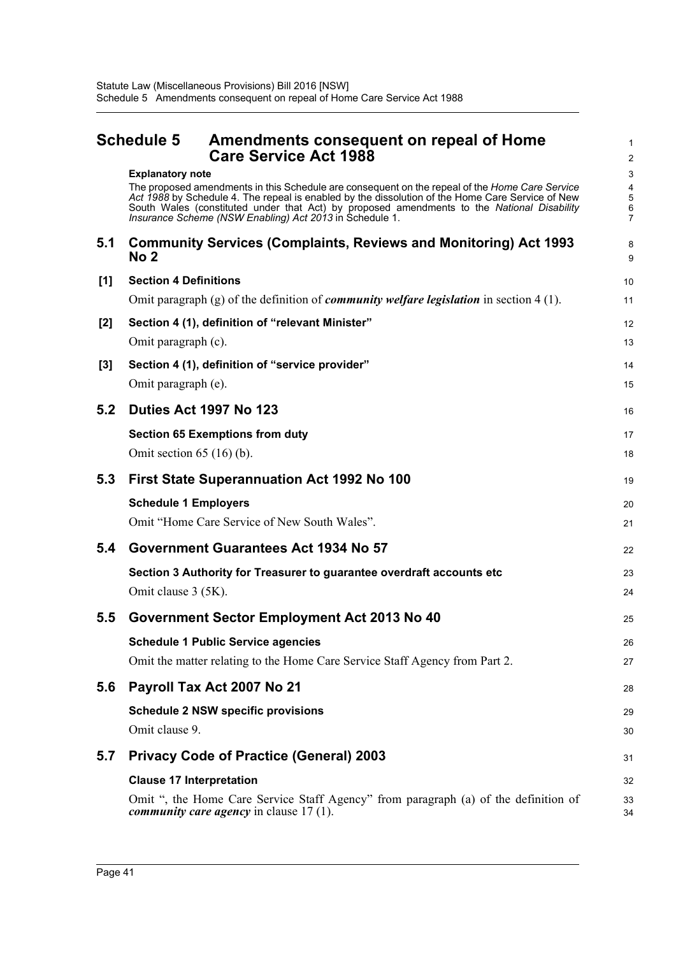<span id="page-44-0"></span>

| <b>Schedule 5</b> | Amendments consequent on repeal of Home |
|-------------------|-----------------------------------------|
|                   | <b>Care Service Act 1988</b>            |

1 2

|       | <b>Explanatory note</b><br>The proposed amendments in this Schedule are consequent on the repeal of the Home Care Service<br>Act 1988 by Schedule 4. The repeal is enabled by the dissolution of the Home Care Service of New<br>South Wales (constituted under that Act) by proposed amendments to the National Disability<br>Insurance Scheme (NSW Enabling) Act 2013 in Schedule 1. | 3<br>4<br>5<br>6<br>$\overline{7}$ |
|-------|----------------------------------------------------------------------------------------------------------------------------------------------------------------------------------------------------------------------------------------------------------------------------------------------------------------------------------------------------------------------------------------|------------------------------------|
| 5.1   | <b>Community Services (Complaints, Reviews and Monitoring) Act 1993</b><br>No 2                                                                                                                                                                                                                                                                                                        | 8<br>9                             |
| [1]   | <b>Section 4 Definitions</b><br>Omit paragraph (g) of the definition of <i>community welfare legislation</i> in section 4 (1).                                                                                                                                                                                                                                                         | 10<br>11                           |
| $[2]$ | Section 4 (1), definition of "relevant Minister"<br>Omit paragraph (c).                                                                                                                                                                                                                                                                                                                | 12<br>13                           |
| $[3]$ | Section 4 (1), definition of "service provider"<br>Omit paragraph (e).                                                                                                                                                                                                                                                                                                                 | 14<br>15                           |
| 5.2   | <b>Duties Act 1997 No 123</b>                                                                                                                                                                                                                                                                                                                                                          | 16                                 |
|       | <b>Section 65 Exemptions from duty</b><br>Omit section $65(16)(b)$ .                                                                                                                                                                                                                                                                                                                   | 17<br>18                           |
| 5.3   | First State Superannuation Act 1992 No 100                                                                                                                                                                                                                                                                                                                                             | 19                                 |
|       | <b>Schedule 1 Employers</b><br>Omit "Home Care Service of New South Wales".                                                                                                                                                                                                                                                                                                            | 20<br>21                           |
| 5.4   | Government Guarantees Act 1934 No 57                                                                                                                                                                                                                                                                                                                                                   | 22                                 |
|       | Section 3 Authority for Treasurer to guarantee overdraft accounts etc<br>Omit clause 3 (5K).                                                                                                                                                                                                                                                                                           | 23<br>24                           |
| 5.5   | Government Sector Employment Act 2013 No 40                                                                                                                                                                                                                                                                                                                                            | 25                                 |
|       | <b>Schedule 1 Public Service agencies</b><br>Omit the matter relating to the Home Care Service Staff Agency from Part 2.                                                                                                                                                                                                                                                               | 26<br>27                           |
| 5.6   | Payroll Tax Act 2007 No 21                                                                                                                                                                                                                                                                                                                                                             | 28                                 |
|       | <b>Schedule 2 NSW specific provisions</b>                                                                                                                                                                                                                                                                                                                                              | 29                                 |
|       | Omit clause 9.                                                                                                                                                                                                                                                                                                                                                                         | 30                                 |
| 5.7   | <b>Privacy Code of Practice (General) 2003</b>                                                                                                                                                                                                                                                                                                                                         | 31                                 |
|       | <b>Clause 17 Interpretation</b>                                                                                                                                                                                                                                                                                                                                                        | 32                                 |
|       | Omit ", the Home Care Service Staff Agency" from paragraph (a) of the definition of<br><i>community care agency</i> in clause $17(1)$ .                                                                                                                                                                                                                                                | 33<br>34                           |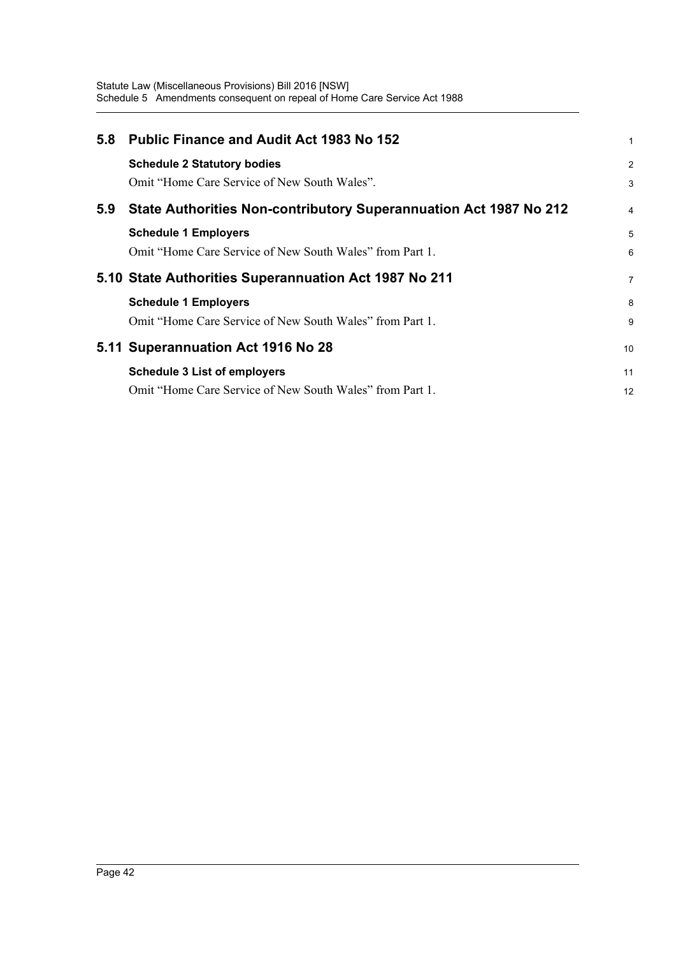| 5.8 | <b>Public Finance and Audit Act 1983 No 152</b>                   | 1              |
|-----|-------------------------------------------------------------------|----------------|
|     | <b>Schedule 2 Statutory bodies</b>                                | $\overline{c}$ |
|     | Omit "Home Care Service of New South Wales".                      | 3              |
| 5.9 | State Authorities Non-contributory Superannuation Act 1987 No 212 | 4              |
|     | <b>Schedule 1 Employers</b>                                       | 5              |
|     | Omit "Home Care Service of New South Wales" from Part 1.          | 6              |
|     | 5.10 State Authorities Superannuation Act 1987 No 211             | 7              |
|     | <b>Schedule 1 Employers</b>                                       | 8              |
|     | Omit "Home Care Service of New South Wales" from Part 1.          | 9              |
|     | 5.11 Superannuation Act 1916 No 28                                | 10             |
|     | <b>Schedule 3 List of employers</b>                               | 11             |
|     | Omit "Home Care Service of New South Wales" from Part 1.          | 12             |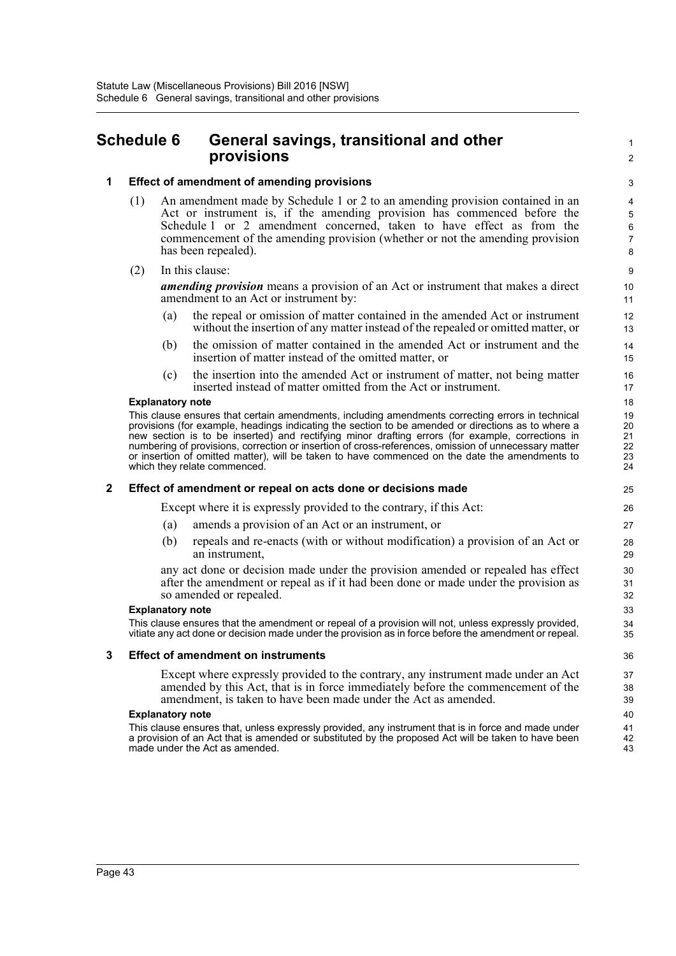# <span id="page-46-0"></span>**Schedule 6 General savings, transitional and other provisions**

#### **1 Effect of amendment of amending provisions**

- (1) An amendment made by Schedule 1 or 2 to an amending provision contained in an Act or instrument is, if the amending provision has commenced before the Schedule 1 or 2 amendment concerned, taken to have effect as from the commencement of the amending provision (whether or not the amending provision has been repealed).
- (2) In this clause:

*amending provision* means a provision of an Act or instrument that makes a direct amendment to an Act or instrument by:

1  $\mathfrak{p}$ 

- (a) the repeal or omission of matter contained in the amended Act or instrument without the insertion of any matter instead of the repealed or omitted matter, or
- (b) the omission of matter contained in the amended Act or instrument and the insertion of matter instead of the omitted matter, or
- (c) the insertion into the amended Act or instrument of matter, not being matter inserted instead of matter omitted from the Act or instrument.

#### **Explanatory note**

This clause ensures that certain amendments, including amendments correcting errors in technical provisions (for example, headings indicating the section to be amended or directions as to where a new section is to be inserted) and rectifying minor drafting errors (for example, corrections in numbering of provisions, correction or insertion of cross-references, omission of unnecessary matter or insertion of omitted matter), will be taken to have commenced on the date the amendments to which they relate commenced.

#### **2 Effect of amendment or repeal on acts done or decisions made**

Except where it is expressly provided to the contrary, if this Act:

- (a) amends a provision of an Act or an instrument, or
- (b) repeals and re-enacts (with or without modification) a provision of an Act or an instrument,

any act done or decision made under the provision amended or repealed has effect after the amendment or repeal as if it had been done or made under the provision as so amended or repealed.

#### **Explanatory note**

This clause ensures that the amendment or repeal of a provision will not, unless expressly provided, vitiate any act done or decision made under the provision as in force before the amendment or repeal.

#### **3 Effect of amendment on instruments**

Except where expressly provided to the contrary, any instrument made under an Act amended by this Act, that is in force immediately before the commencement of the amendment, is taken to have been made under the Act as amended.

#### **Explanatory note**

This clause ensures that, unless expressly provided, any instrument that is in force and made under a provision of an Act that is amended or substituted by the proposed Act will be taken to have been made under the Act as amended.